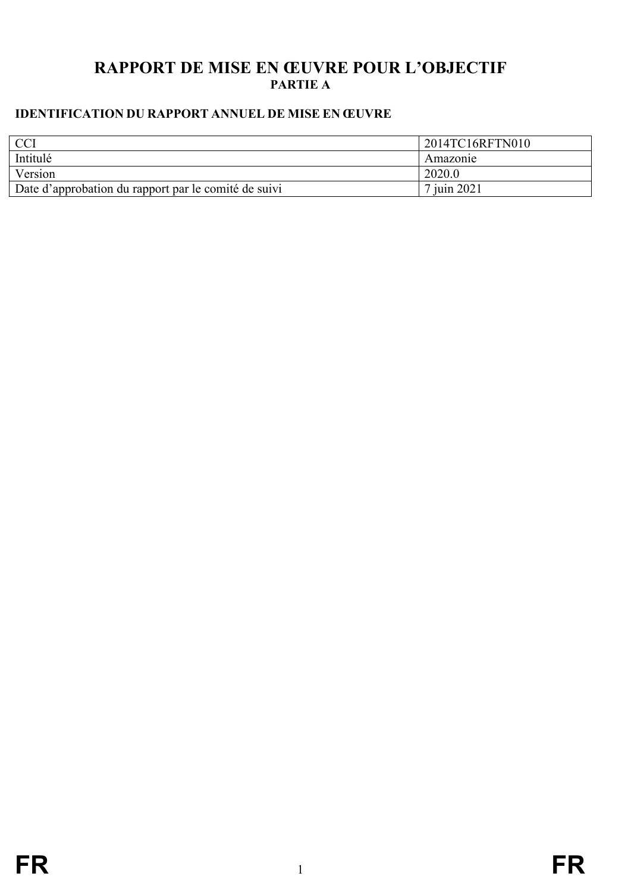# **RAPPORT DE MISE EN ŒUVRE POUR L'OBJECTIF PARTIE A**

# <span id="page-0-0"></span>**IDENTIFICATION DU RAPPORT ANNUEL DE MISE EN ŒUVRE**

| $\cap$ <sup><math>\cap</math></sup>                  | 2014TC16RFTN010 |
|------------------------------------------------------|-----------------|
| Intitulé                                             | Amazonie        |
| Version                                              | 2020.0          |
| Date d'approbation du rapport par le comité de suivi | 7 juin 2021     |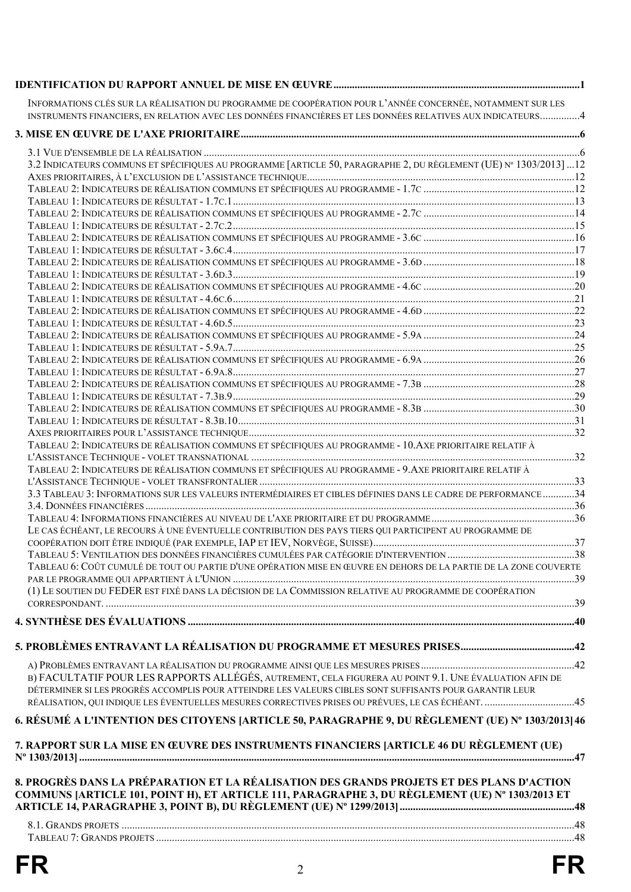|    | INFORMATIONS CLÉS SUR LA RÉALISATION DU PROGRAMME DE COOPÉRATION POUR L'ANNÉE CONCERNÉE, NOTAMMENT SUR LES<br>INSTRUMENTS FINANCIERS, EN RELATION AVEC LES DONNÉES FINANCIÈRES ET LES DONNÉES RELATIVES AUX INDICATEURS4 |    |
|----|--------------------------------------------------------------------------------------------------------------------------------------------------------------------------------------------------------------------------|----|
|    |                                                                                                                                                                                                                          |    |
|    |                                                                                                                                                                                                                          |    |
|    | 3.2 INDICATEURS COMMUNS ET SPÉCIFIQUES AU PROGRAMME [ARTICLE 50, PARAGRAPHE 2, DU RÈGLEMENT (UE) Nº 1303/2013] 12                                                                                                        |    |
|    |                                                                                                                                                                                                                          |    |
|    |                                                                                                                                                                                                                          |    |
|    |                                                                                                                                                                                                                          |    |
|    |                                                                                                                                                                                                                          |    |
|    |                                                                                                                                                                                                                          |    |
|    |                                                                                                                                                                                                                          |    |
|    |                                                                                                                                                                                                                          |    |
|    |                                                                                                                                                                                                                          |    |
|    |                                                                                                                                                                                                                          |    |
|    |                                                                                                                                                                                                                          |    |
|    |                                                                                                                                                                                                                          |    |
|    |                                                                                                                                                                                                                          |    |
|    |                                                                                                                                                                                                                          |    |
|    |                                                                                                                                                                                                                          |    |
|    |                                                                                                                                                                                                                          |    |
|    |                                                                                                                                                                                                                          |    |
|    | TABLEAU 2: INDICATEURS DE RÉALISATION COMMUNS ET SPÉCIFIQUES AU PROGRAMME - 10. AXE PRIORITAIRE RELATIF À                                                                                                                |    |
|    |                                                                                                                                                                                                                          |    |
|    | TABLEAU 2: INDICATEURS DE RÉALISATION COMMUNS ET SPÉCIFIQUES AU PROGRAMME - 9. AXE PRIORITAIRE RELATIF À                                                                                                                 |    |
|    |                                                                                                                                                                                                                          |    |
|    | 3.3 TABLEAU 3: INFORMATIONS SUR LES VALEURS INTERMÉDIAIRES ET CIBLES DÉFINIES DANS LE CADRE DE PERFORMANCE 34                                                                                                            |    |
|    |                                                                                                                                                                                                                          |    |
|    | LE CAS ÉCHÉANT, LE RECOURS À UNE ÉVENTUELLE CONTRIBUTION DES PAYS TIERS QUI PARTICIPENT AU PROGRAMME DE                                                                                                                  |    |
|    |                                                                                                                                                                                                                          |    |
|    |                                                                                                                                                                                                                          |    |
|    | TABLEAU 6: COÛT CUMULÉ DE TOUT OU PARTIE D'UNE OPÉRATION MISE EN ŒUVRE EN DEHORS DE LA PARTIE DE LA ZONE COUVERTE                                                                                                        |    |
|    |                                                                                                                                                                                                                          |    |
|    | (1) LE SOUTIEN DU FEDER EST FIXÉ DANS LA DÉCISION DE LA COMMISSION RELATIVE AU PROGRAMME DE COOPÉRATION                                                                                                                  |    |
|    |                                                                                                                                                                                                                          |    |
|    |                                                                                                                                                                                                                          |    |
|    |                                                                                                                                                                                                                          |    |
|    | B) FACULTATIF POUR LES RAPPORTS ALLÉGÉS, AUTREMENT, CELA FIGURERA AU POINT 9.1. UNE ÉVALUATION AFIN DE                                                                                                                   |    |
|    | DÉTERMINER SI LES PROGRÈS ACCOMPLIS POUR ATTEINDRE LES VALEURS CIBLES SONT SUFFISANTS POUR GARANTIR LEUR                                                                                                                 |    |
|    | RÉALISATION, QUI INDIQUE LES ÉVENTUELLES MESURES CORRECTIVES PRISES OU PRÉVUES, LE CAS ÉCHÉANT. 45                                                                                                                       |    |
|    | 6. RÉSUMÉ A L'INTENTION DES CITOYENS [ARTICLE 50, PARAGRAPHE 9, DU RÈGLEMENT (UE) Nº 1303/2013] 46                                                                                                                       |    |
|    | 7. RAPPORT SUR LA MISE EN ŒUVRE DES INSTRUMENTS FINANCIERS [ARTICLE 46 DU RÈGLEMENT (UE)                                                                                                                                 |    |
|    | 8. PROGRÈS DANS LA PRÉPARATION ET LA RÉALISATION DES GRANDS PROJETS ET DES PLANS D'ACTION<br>COMMUNS [ARTICLE 101, POINT H), ET ARTICLE 111, PARAGRAPHE 3, DU RÈGLEMENT (UE) № 1303/2013 ET                              |    |
|    |                                                                                                                                                                                                                          |    |
|    |                                                                                                                                                                                                                          |    |
| FR | $\overline{2}$                                                                                                                                                                                                           | FR |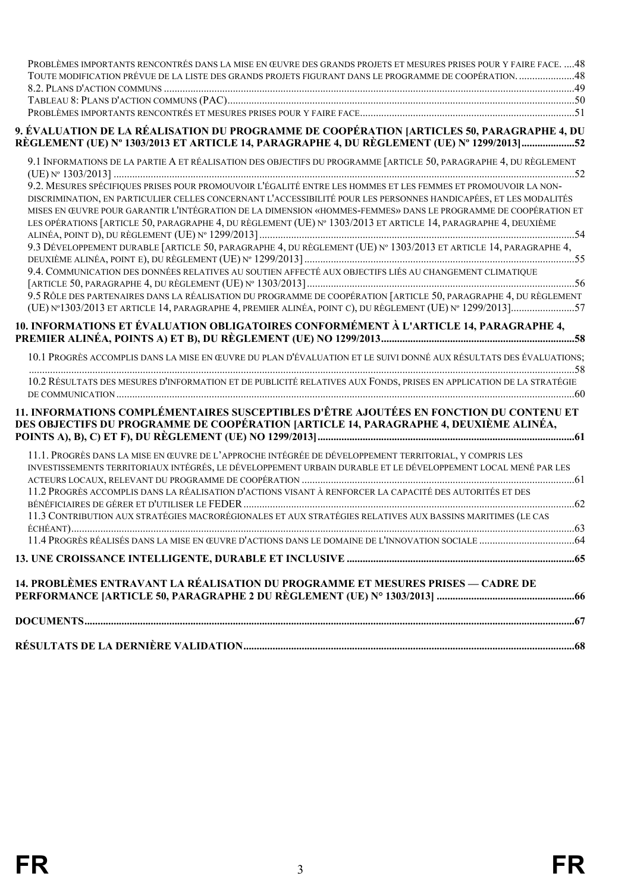| 14. PROBLÈMES ENTRAVANT LA RÉALISATION DU PROGRAMME ET MESURES PRISES — CADRE DE                                                                                                                                                                                                                                                                      |
|-------------------------------------------------------------------------------------------------------------------------------------------------------------------------------------------------------------------------------------------------------------------------------------------------------------------------------------------------------|
|                                                                                                                                                                                                                                                                                                                                                       |
| 11.3 CONTRIBUTION AUX STRATÉGIES MACRORÉGIONALES ET AUX STRATÉGIES RELATIVES AUX BASSINS MARITIMES (LE CAS                                                                                                                                                                                                                                            |
| 11.2 PROGRÈS ACCOMPLIS DANS LA RÉALISATION D'ACTIONS VISANT À RENFORCER LA CAPACITÉ DES AUTORITÉS ET DES                                                                                                                                                                                                                                              |
| 11.1. PROGRÈS DANS LA MISE EN ŒUVRE DE L'APPROCHE INTÉGRÉE DE DÉVELOPPEMENT TERRITORIAL, Y COMPRIS LES<br>INVESTISSEMENTS TERRITORIAUX INTÉGRÉS, LE DÉVELOPPEMENT URBAIN DURABLE ET LE DÉVELOPPEMENT LOCAL MENÉ PAR LES                                                                                                                               |
| 11. INFORMATIONS COMPLÉMENTAIRES SUSCEPTIBLES D'ÊTRE AJOUTÉES EN FONCTION DU CONTENU ET<br>DES OBJECTIFS DU PROGRAMME DE COOPÉRATION [ARTICLE 14, PARAGRAPHE 4, DEUXIÈME ALINÉA,                                                                                                                                                                      |
| 10.2 RÉSULTATS DES MESURES D'INFORMATION ET DE PUBLICITÉ RELATIVES AUX FONDS, PRISES EN APPLICATION DE LA STRATÉGIE                                                                                                                                                                                                                                   |
| 10. INFORMATIONS ET ÉVALUATION OBLIGATOIRES CONFORMÉMENT À L'ARTICLE 14, PARAGRAPHE 4,<br>10.1 PROGRÈS ACCOMPLIS DANS LA MISE EN ŒUVRE DU PLAN D'ÉVALUATION ET LE SUIVI DONNÉ AUX RÉSULTATS DES ÉVALUATIONS:                                                                                                                                          |
| (UE) Nº 1303/2013 ET ARTICLE 14, PARAGRAPHE 4, PREMIER ALINÉA, POINT C), DU RÈGLEMENT (UE) Nº 1299/2013]57                                                                                                                                                                                                                                            |
| 9.4. COMMUNICATION DES DONNÉES RELATIVES AU SOUTIEN AFFECTÉ AUX OBJECTIFS LIÉS AU CHANGEMENT CLIMATIQUE<br>9.5 RÔLE DES PARTENAIRES DANS LA RÉALISATION DU PROGRAMME DE COOPÉRATION [ARTICLE 50, PARAGRAPHE 4, DU RÈGLEMENT                                                                                                                           |
| 9.3 DÉVELOPPEMENT DURABLE [ARTICLE 50, PARAGRAPHE 4, DU RÈGLEMENT (UE) Nº 1303/2013 ET ARTICLE 14, PARAGRAPHE 4,                                                                                                                                                                                                                                      |
| DISCRIMINATION, EN PARTICULIER CELLES CONCERNANT L'ACCESSIBILITÉ POUR LES PERSONNES HANDICAPÉES, ET LES MODALITÉS<br>MISES EN ŒUVRE POUR GARANTIR L'INTÉGRATION DE LA DIMENSION «HOMMES-FEMMES» DANS LE PROGRAMME DE COOPÉRATION ET<br>LES OPÉRATIONS [ARTICLE 50, PARAGRAPHE 4, DU RÈGLEMENT (UE) Nº 1303/2013 ET ARTICLE 14, PARAGRAPHE 4, DEUXIÈME |
| 9.1 INFORMATIONS DE LA PARTIE A ET RÉALISATION DES OBJECTIFS DU PROGRAMME [ARTICLE 50, PARAGRAPHE 4, DU RÈGLEMENT<br>9.2. MESURES SPÉCIFIQUES PRISES POUR PROMOUVOIR L'ÉGALITÉ ENTRE LES HOMMES ET LES FEMMES ET PROMOUVOIR LA NON-                                                                                                                   |
| 9. ÉVALUATION DE LA RÉALISATION DU PROGRAMME DE COOPÉRATION [ARTICLES 50, PARAGRAPHE 4, DU<br>RÈGLEMENT (UE) Nº 1303/2013 ET ARTICLE 14, PARAGRAPHE 4, DU RÈGLEMENT (UE) Nº 1299/2013                                                                                                                                                                 |
|                                                                                                                                                                                                                                                                                                                                                       |
| TOUTE MODIFICATION PRÉVUE DE LA LISTE DES GRANDS PROJETS FIGURANT DANS LE PROGRAMME DE COOPÉRATION48                                                                                                                                                                                                                                                  |
| PROBLÈMES IMPORTANTS RENCONTRÉS DANS LA MISE EN ŒUVRE DES GRANDS PROJETS ET MESURES PRISES POUR Y FAIRE FACE. 48                                                                                                                                                                                                                                      |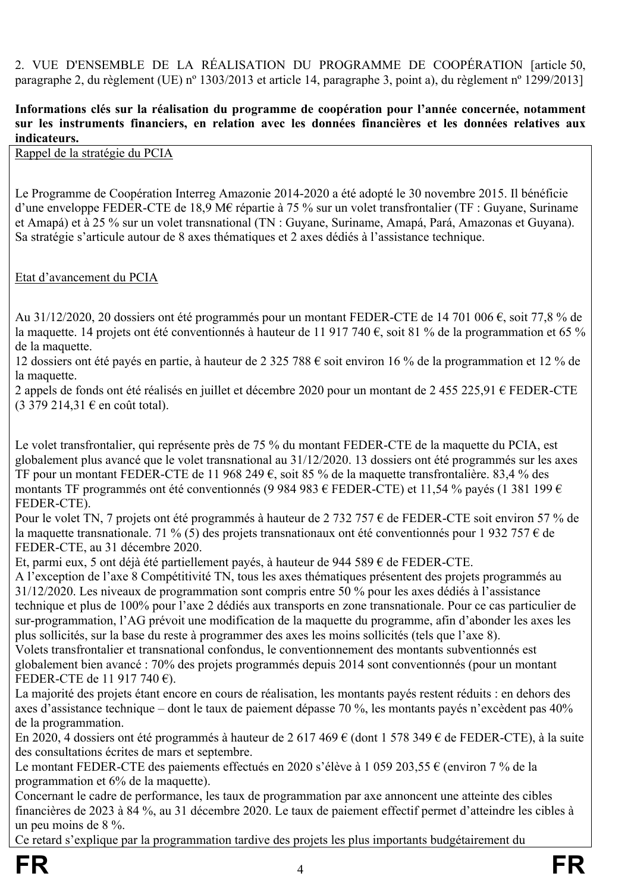2. VUE D'ENSEMBLE DE LA RÉALISATION DU PROGRAMME DE COOPÉRATION [article 50, paragraphe 2, du règlement (UE) nº 1303/2013 et article 14, paragraphe 3, point a), du règlement nº 1299/2013]

#### <span id="page-3-0"></span>**Informations clés sur la réalisation du programme de coopération pour l'année concernée, notamment sur les instruments financiers, en relation avec les données financières et les données relatives aux indicateurs.**

Rappel de la stratégie du PCIA

Le Programme de Coopération Interreg Amazonie 2014-2020 a été adopté le 30 novembre 2015. Il bénéficie d'une enveloppe FEDER-CTE de 18,9 M€ répartie à 75 % sur un volet transfrontalier (TF : Guyane, Suriname et Amapá) et à 25 % sur un volet transnational (TN : Guyane, Suriname, Amapá, Pará, Amazonas et Guyana). Sa stratégie s'articule autour de 8 axes thématiques et 2 axes dédiés à l'assistance technique.

Etat d'avancement du PCIA

Au 31/12/2020, 20 dossiers ont été programmés pour un montant FEDER-CTE de 14 701 006 €, soit 77,8 % de la maquette. 14 projets ont été conventionnés à hauteur de 11 917 740 €, soit 81 % de la programmation et 65 % de la maquette.

12 dossiers ont été payés en partie, à hauteur de 2 325 788 € soit environ 16 % de la programmation et 12 % de la maquette.

2 appels de fonds ont été réalisés en juillet et décembre 2020 pour un montant de 2 455 225,91 € FEDER-CTE  $(3\,379\,214,31 \notin \text{en coût total}).$ 

Le volet transfrontalier, qui représente près de 75 % du montant FEDER-CTE de la maquette du PCIA, est globalement plus avancé que le volet transnational au 31/12/2020. 13 dossiers ont été programmés sur les axes TF pour un montant FEDER-CTE de 11 968 249 €, soit 85 % de la maquette transfrontalière. 83,4 % des montants TF programmés ont été conventionnés (9 984 983 € FEDER-CTE) et 11,54 % payés (1 381 199 € FEDER-CTE).

Pour le volet TN, 7 projets ont été programmés à hauteur de 2 732 757 € de FEDER-CTE soit environ 57 % de la maquette transnationale. 71 % (5) des projets transnationaux ont été conventionnés pour 1 932 757 € de FEDER-CTE, au 31 décembre 2020.

Et, parmi eux, 5 ont déjà été partiellement payés, à hauteur de 944 589 € de FEDER-CTE.

A l'exception de l'axe 8 Compétitivité TN, tous les axes thématiques présentent des projets programmés au 31/12/2020. Les niveaux de programmation sont compris entre 50 % pour les axes dédiés à l'assistance technique et plus de 100% pour l'axe 2 dédiés aux transports en zone transnationale. Pour ce cas particulier de sur-programmation, l'AG prévoit une modification de la maquette du programme, afin d'abonder les axes les plus sollicités, sur la base du reste à programmer des axes les moins sollicités (tels que l'axe 8).

Volets transfrontalier et transnational confondus, le conventionnement des montants subventionnés est globalement bien avancé : 70% des projets programmés depuis 2014 sont conventionnés (pour un montant FEDER-CTE de 11 917 740 €).

La majorité des projets étant encore en cours de réalisation, les montants payés restent réduits : en dehors des axes d'assistance technique – dont le taux de paiement dépasse 70 %, les montants payés n'excèdent pas 40% de la programmation.

En 2020, 4 dossiers ont été programmés à hauteur de 2 617 469 € (dont 1 578 349 € de FEDER-CTE), à la suite des consultations écrites de mars et septembre.

Le montant FEDER-CTE des paiements effectués en 2020 s'élève à 1 059 203,55 € (environ 7 % de la programmation et 6% de la maquette).

Concernant le cadre de performance, les taux de programmation par axe annoncent une atteinte des cibles financières de 2023 à 84 %, au 31 décembre 2020. Le taux de paiement effectif permet d'atteindre les cibles à un peu moins de 8 %.

Ce retard s'explique par la programmation tardive des projets les plus importants budgétairement du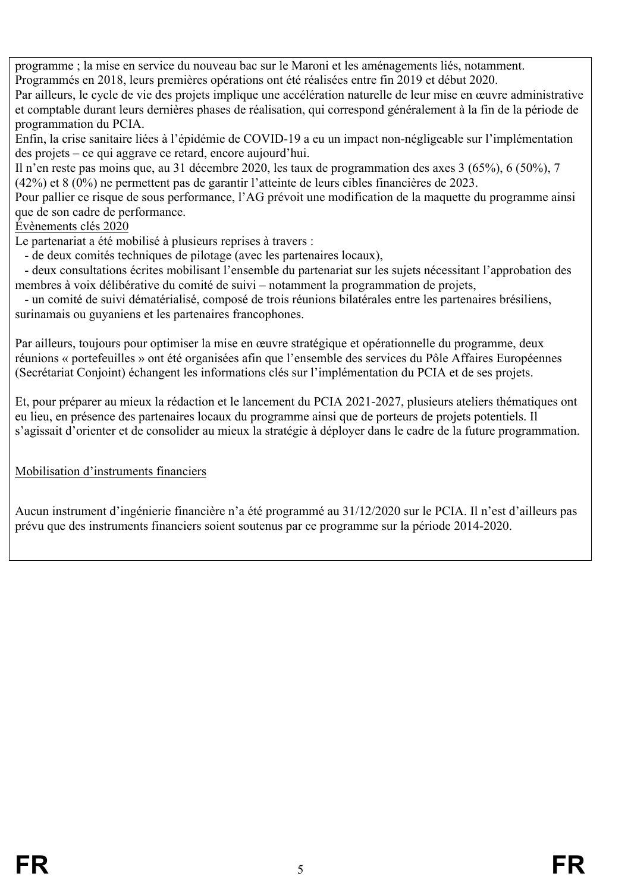programme ; la mise en service du nouveau bac sur le Maroni et les aménagements liés, notamment.

Programmés en 2018, leurs premières opérations ont été réalisées entre fin 2019 et début 2020.

Par ailleurs, le cycle de vie des projets implique une accélération naturelle de leur mise en œuvre administrative et comptable durant leurs dernières phases de réalisation, qui correspond généralement à la fin de la période de programmation du PCIA.

Enfin, la crise sanitaire liées à l'épidémie de COVID-19 a eu un impact non-négligeable sur l'implémentation des projets – ce qui aggrave ce retard, encore aujourd'hui.

Il n'en reste pas moins que, au 31 décembre 2020, les taux de programmation des axes 3 (65%), 6 (50%), 7 (42%) et 8 (0%) ne permettent pas de garantir l'atteinte de leurs cibles financières de 2023.

Pour pallier ce risque de sous performance, l'AG prévoit une modification de la maquette du programme ainsi que de son cadre de performance.

#### Évènements clés 2020

Le partenariat a été mobilisé à plusieurs reprises à travers :

- de deux comités techniques de pilotage (avec les partenaires locaux),

 - deux consultations écrites mobilisant l'ensemble du partenariat sur les sujets nécessitant l'approbation des membres à voix délibérative du comité de suivi – notamment la programmation de projets,

 - un comité de suivi dématérialisé, composé de trois réunions bilatérales entre les partenaires brésiliens, surinamais ou guyaniens et les partenaires francophones.

Par ailleurs, toujours pour optimiser la mise en œuvre stratégique et opérationnelle du programme, deux réunions « portefeuilles » ont été organisées afin que l'ensemble des services du Pôle Affaires Européennes (Secrétariat Conjoint) échangent les informations clés sur l'implémentation du PCIA et de ses projets.

Et, pour préparer au mieux la rédaction et le lancement du PCIA 2021-2027, plusieurs ateliers thématiques ont eu lieu, en présence des partenaires locaux du programme ainsi que de porteurs de projets potentiels. Il s'agissait d'orienter et de consolider au mieux la stratégie à déployer dans le cadre de la future programmation.

## Mobilisation d'instruments financiers

Aucun instrument d'ingénierie financière n'a été programmé au 31/12/2020 sur le PCIA. Il n'est d'ailleurs pas prévu que des instruments financiers soient soutenus par ce programme sur la période 2014-2020.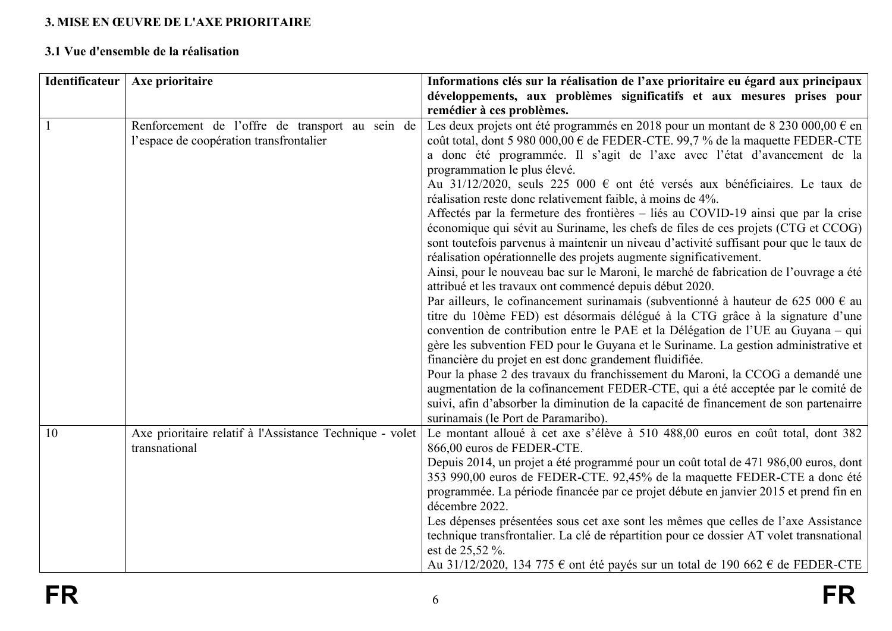# **3. MISE EN ŒUVRE DE L'AXE PRIORITAIRE**

## **3.1 Vue d'ensemble de la réalisation**

<span id="page-5-1"></span><span id="page-5-0"></span>

| Identificateur | Axe prioritaire                                                                            | Informations clés sur la réalisation de l'axe prioritaire eu égard aux principaux<br>développements, aux problèmes significatifs et aux mesures prises pour                                                                                                                                                                                                                                                                                                                                                                                                                                                                                                                                                                                                                                                                                                                                                                                                                                                                                                                                                                                                                                                                                                                                                                                                                                                                                                                                                                                                                                                                                |
|----------------|--------------------------------------------------------------------------------------------|--------------------------------------------------------------------------------------------------------------------------------------------------------------------------------------------------------------------------------------------------------------------------------------------------------------------------------------------------------------------------------------------------------------------------------------------------------------------------------------------------------------------------------------------------------------------------------------------------------------------------------------------------------------------------------------------------------------------------------------------------------------------------------------------------------------------------------------------------------------------------------------------------------------------------------------------------------------------------------------------------------------------------------------------------------------------------------------------------------------------------------------------------------------------------------------------------------------------------------------------------------------------------------------------------------------------------------------------------------------------------------------------------------------------------------------------------------------------------------------------------------------------------------------------------------------------------------------------------------------------------------------------|
|                |                                                                                            | remédier à ces problèmes.                                                                                                                                                                                                                                                                                                                                                                                                                                                                                                                                                                                                                                                                                                                                                                                                                                                                                                                                                                                                                                                                                                                                                                                                                                                                                                                                                                                                                                                                                                                                                                                                                  |
|                | Renforcement de l'offre de transport au sein de<br>l'espace de coopération transfrontalier | Les deux projets ont été programmés en 2018 pour un montant de 8 230 000,00 € en<br>coût total, dont 5 980 000,00 € de FEDER-CTE. 99,7 % de la maquette FEDER-CTE<br>a donc été programmée. Il s'agit de l'axe avec l'état d'avancement de la<br>programmation le plus élevé.<br>Au 31/12/2020, seuls 225 000 € ont été versés aux bénéficiaires. Le taux de<br>réalisation reste donc relativement faible, à moins de 4%.<br>Affectés par la fermeture des frontières - liés au COVID-19 ainsi que par la crise<br>économique qui sévit au Suriname, les chefs de files de ces projets (CTG et CCOG)<br>sont toutefois parvenus à maintenir un niveau d'activité suffisant pour que le taux de<br>réalisation opérationnelle des projets augmente significativement.<br>Ainsi, pour le nouveau bac sur le Maroni, le marché de fabrication de l'ouvrage a été<br>attribué et les travaux ont commencé depuis début 2020.<br>Par ailleurs, le cofinancement surinamais (subventionné à hauteur de 625 000 € au<br>titre du 10ème FED) est désormais délégué à la CTG grâce à la signature d'une<br>convention de contribution entre le PAE et la Délégation de l'UE au Guyana – qui<br>gère les subvention FED pour le Guyana et le Suriname. La gestion administrative et<br>financière du projet en est donc grandement fluidifiée.<br>Pour la phase 2 des travaux du franchissement du Maroni, la CCOG a demandé une<br>augmentation de la cofinancement FEDER-CTE, qui a été acceptée par le comité de<br>suivi, afin d'absorber la diminution de la capacité de financement de son partenairre<br>surinamais (le Port de Paramaribo). |
| 10             | Axe prioritaire relatif à l'Assistance Technique - volet<br>transnational                  | Le montant alloué à cet axe s'élève à 510 488,00 euros en coût total, dont 382<br>866,00 euros de FEDER-CTE.<br>Depuis 2014, un projet a été programmé pour un coût total de 471 986,00 euros, dont<br>353 990,00 euros de FEDER-CTE. 92,45% de la maquette FEDER-CTE a donc été<br>programmée. La période financée par ce projet débute en janvier 2015 et prend fin en<br>décembre 2022.<br>Les dépenses présentées sous cet axe sont les mêmes que celles de l'axe Assistance<br>technique transfrontalier. La clé de répartition pour ce dossier AT volet transnational<br>est de 25,52 %.<br>Au 31/12/2020, 134 775 $\epsilon$ ont été payés sur un total de 190 662 $\epsilon$ de FEDER-CTE                                                                                                                                                                                                                                                                                                                                                                                                                                                                                                                                                                                                                                                                                                                                                                                                                                                                                                                                          |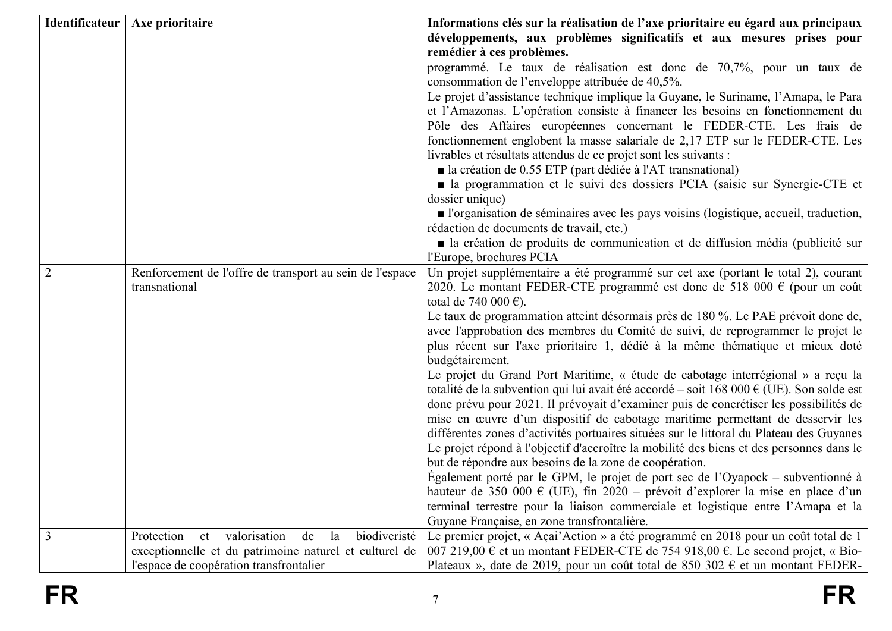|                | Identificateur   Axe prioritaire                             | Informations clés sur la réalisation de l'axe prioritaire eu égard aux principaux                                                                                  |
|----------------|--------------------------------------------------------------|--------------------------------------------------------------------------------------------------------------------------------------------------------------------|
|                |                                                              | développements, aux problèmes significatifs et aux mesures prises pour                                                                                             |
|                |                                                              | remédier à ces problèmes.                                                                                                                                          |
|                |                                                              | programmé. Le taux de réalisation est donc de 70,7%, pour un taux de                                                                                               |
|                |                                                              | consommation de l'enveloppe attribuée de 40,5%.                                                                                                                    |
|                |                                                              | Le projet d'assistance technique implique la Guyane, le Suriname, l'Amapa, le Para                                                                                 |
|                |                                                              | et l'Amazonas. L'opération consiste à financer les besoins en fonctionnement du<br>Pôle des Affaires européennes concernant le FEDER-CTE. Les frais de             |
|                |                                                              | fonctionnement englobent la masse salariale de 2,17 ETP sur le FEDER-CTE. Les                                                                                      |
|                |                                                              | livrables et résultats attendus de ce projet sont les suivants :                                                                                                   |
|                |                                                              | ■ la création de 0.55 ETP (part dédiée à l'AT transnational)                                                                                                       |
|                |                                                              | • la programmation et le suivi des dossiers PCIA (saisie sur Synergie-CTE et                                                                                       |
|                |                                                              | dossier unique)                                                                                                                                                    |
|                |                                                              | l'organisation de séminaires avec les pays voisins (logistique, accueil, traduction,                                                                               |
|                |                                                              | rédaction de documents de travail, etc.)                                                                                                                           |
|                |                                                              | • la création de produits de communication et de diffusion média (publicité sur                                                                                    |
|                |                                                              | l'Europe, brochures PCIA                                                                                                                                           |
| $\overline{2}$ | Renforcement de l'offre de transport au sein de l'espace     | Un projet supplémentaire a été programmé sur cet axe (portant le total 2), courant                                                                                 |
|                | transnational                                                | 2020. Le montant FEDER-CTE programmé est donc de 518 000 € (pour un coût                                                                                           |
|                |                                                              | total de 740 000 €).<br>Le taux de programmation atteint désormais près de 180 %. Le PAE prévoit donc de,                                                          |
|                |                                                              | avec l'approbation des membres du Comité de suivi, de reprogrammer le projet le                                                                                    |
|                |                                                              | plus récent sur l'axe prioritaire 1, dédié à la même thématique et mieux doté                                                                                      |
|                |                                                              | budgétairement.                                                                                                                                                    |
|                |                                                              | Le projet du Grand Port Maritime, « étude de cabotage interrégional » a reçu la                                                                                    |
|                |                                                              | totalité de la subvention qui lui avait été accordé – soit 168 000 € (UE). Son solde est                                                                           |
|                |                                                              | donc prévu pour 2021. Il prévoyait d'examiner puis de concrétiser les possibilités de                                                                              |
|                |                                                              | mise en œuvre d'un dispositif de cabotage maritime permettant de desservir les                                                                                     |
|                |                                                              | différentes zones d'activités portuaires situées sur le littoral du Plateau des Guyanes                                                                            |
|                |                                                              | Le projet répond à l'objectif d'accroître la mobilité des biens et des personnes dans le                                                                           |
|                |                                                              | but de répondre aux besoins de la zone de coopération.                                                                                                             |
|                |                                                              | Egalement porté par le GPM, le projet de port sec de l'Oyapock – subventionné à                                                                                    |
|                |                                                              | hauteur de 350 000 € (UE), fin 2020 – prévoit d'explorer la mise en place d'un<br>terminal terrestre pour la liaison commerciale et logistique entre l'Amapa et la |
|                |                                                              | Guvane Française, en zone transfrontalière.                                                                                                                        |
| 3              | biodiveristé<br>valorisation<br>Protection<br>de<br>la<br>et | Le premier projet, « Açai'Action » a été programmé en 2018 pour un coût total de 1                                                                                 |
|                | exceptionnelle et du patrimoine naturel et culturel de       | 007 219,00 € et un montant FEDER-CTE de 754 918,00 €. Le second projet, « Bio-                                                                                     |
|                | l'espace de coopération transfrontalier                      | Plateaux », date de 2019, pour un coût total de 850 302 $\epsilon$ et un montant FEDER-                                                                            |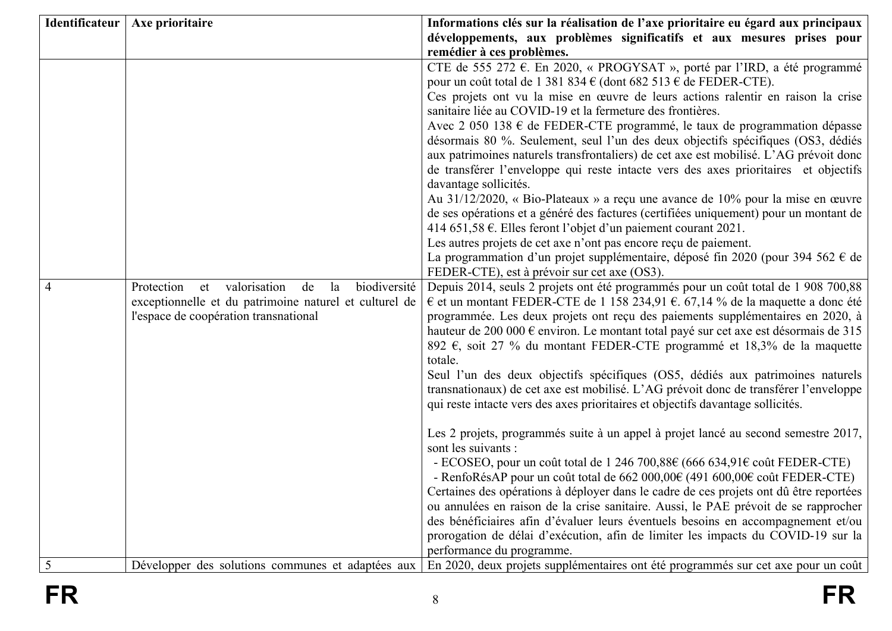|   | Identificateur   Axe prioritaire                             | Informations clés sur la réalisation de l'axe prioritaire eu égard aux principaux                                                                                            |
|---|--------------------------------------------------------------|------------------------------------------------------------------------------------------------------------------------------------------------------------------------------|
|   |                                                              | développements, aux problèmes significatifs et aux mesures prises pour                                                                                                       |
|   |                                                              | remédier à ces problèmes.                                                                                                                                                    |
|   |                                                              | CTE de 555 272 €. En 2020, « PROGYSAT », porté par l'IRD, a été programmé                                                                                                    |
|   |                                                              | pour un coût total de 1 381 834 $\epsilon$ (dont 682 513 $\epsilon$ de FEDER-CTE).                                                                                           |
|   |                                                              | Ces projets ont vu la mise en œuvre de leurs actions ralentir en raison la crise<br>sanitaire liée au COVID-19 et la fermeture des frontières.                               |
|   |                                                              | Avec 2 050 138 € de FEDER-CTE programmé, le taux de programmation dépasse                                                                                                    |
|   |                                                              | désormais 80 %. Seulement, seul l'un des deux objectifs spécifiques (OS3, dédiés                                                                                             |
|   |                                                              | aux patrimoines naturels transfrontaliers) de cet axe est mobilisé. L'AG prévoit donc                                                                                        |
|   |                                                              | de transférer l'enveloppe qui reste intacte vers des axes prioritaires et objectifs                                                                                          |
|   |                                                              | davantage sollicités.                                                                                                                                                        |
|   |                                                              | Au 31/12/2020, « Bio-Plateaux » a reçu une avance de 10% pour la mise en œuvre                                                                                               |
|   |                                                              | de ses opérations et a généré des factures (certifiées uniquement) pour un montant de                                                                                        |
|   |                                                              | 414 651,58 €. Elles feront l'objet d'un paiement courant 2021.                                                                                                               |
|   |                                                              | Les autres projets de cet axe n'ont pas encore reçu de paiement.                                                                                                             |
|   |                                                              | La programmation d'un projet supplémentaire, déposé fin 2020 (pour 394 562 € de                                                                                              |
|   |                                                              | FEDER-CTE), est à prévoir sur cet axe (OS3).                                                                                                                                 |
| 4 | valorisation<br>biodiversité<br>Protection<br>de<br>la<br>et | Depuis 2014, seuls 2 projets ont été programmés pour un coût total de 1 908 700,88                                                                                           |
|   | exceptionnelle et du patrimoine naturel et culturel de       | € et un montant FEDER-CTE de 1 158 234,91 € 67,14 % de la maquette a donc été                                                                                                |
|   | l'espace de coopération transnational                        | programmée. Les deux projets ont reçu des paiements supplémentaires en 2020, à<br>hauteur de 200 000 € environ. Le montant total payé sur cet axe est désormais de 315       |
|   |                                                              | 892 $\epsilon$ , soit 27 % du montant FEDER-CTE programmé et 18,3% de la maquette                                                                                            |
|   |                                                              | totale.                                                                                                                                                                      |
|   |                                                              | Seul l'un des deux objectifs spécifiques (OS5, dédiés aux patrimoines naturels                                                                                               |
|   |                                                              | transnationaux) de cet axe est mobilisé. L'AG prévoit donc de transférer l'enveloppe                                                                                         |
|   |                                                              | qui reste intacte vers des axes prioritaires et objectifs davantage sollicités.                                                                                              |
|   |                                                              |                                                                                                                                                                              |
|   |                                                              | Les 2 projets, programmés suite à un appel à projet lancé au second semestre 2017,                                                                                           |
|   |                                                              | sont les suivants :                                                                                                                                                          |
|   |                                                              | - ECOSEO, pour un coût total de 1 246 700,88 $\epsilon$ (666 634,91 $\epsilon$ coût FEDER-CTE)                                                                               |
|   |                                                              | - RenfoRésAP pour un coût total de $662\,000,000$ (491 $600,000$ ) coût FEDER-CTE)<br>Certaines des opérations à déployer dans le cadre de ces projets ont dû être reportées |
|   |                                                              | ou annulées en raison de la crise sanitaire. Aussi, le PAE prévoit de se rapprocher                                                                                          |
|   |                                                              | des bénéficiaires afin d'évaluer leurs éventuels besoins en accompagnement et/ou                                                                                             |
|   |                                                              | prorogation de délai d'exécution, afin de limiter les impacts du COVID-19 sur la                                                                                             |
|   |                                                              | performance du programme.                                                                                                                                                    |
| 5 | Développer des solutions communes et adaptées aux            | En 2020, deux projets supplémentaires ont été programmés sur cet axe pour un coût                                                                                            |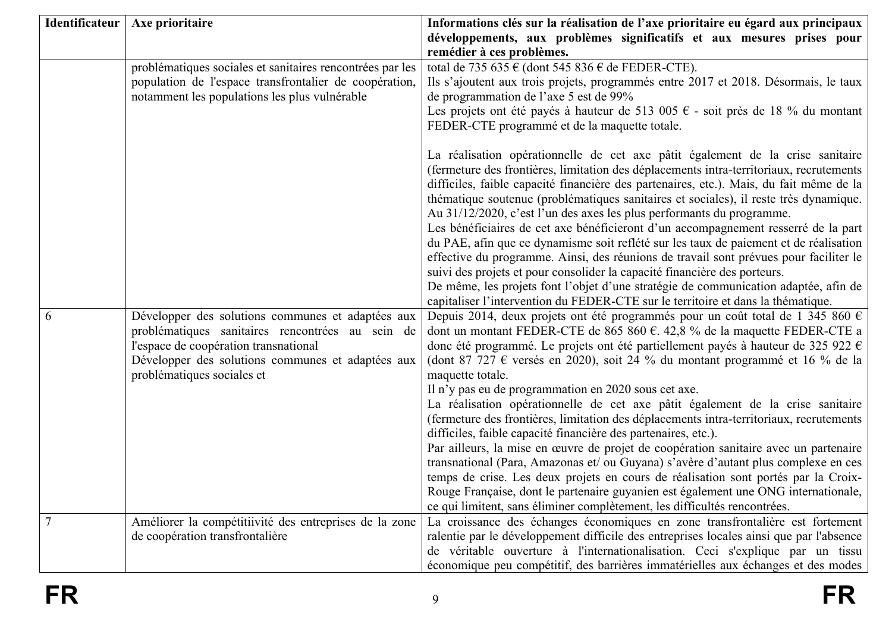|                | Identificateur   Axe prioritaire                                                                                                                                                                                                  | Informations clés sur la réalisation de l'axe prioritaire eu égard aux principaux<br>développements, aux problèmes significatifs et aux mesures prises pour<br>remédier à ces problèmes.                                                                                                                                                                                                                                                                                                                                                                                                                                                                                                                                                                                                                                                                                                                                                                                                                                                                                                                                                |
|----------------|-----------------------------------------------------------------------------------------------------------------------------------------------------------------------------------------------------------------------------------|-----------------------------------------------------------------------------------------------------------------------------------------------------------------------------------------------------------------------------------------------------------------------------------------------------------------------------------------------------------------------------------------------------------------------------------------------------------------------------------------------------------------------------------------------------------------------------------------------------------------------------------------------------------------------------------------------------------------------------------------------------------------------------------------------------------------------------------------------------------------------------------------------------------------------------------------------------------------------------------------------------------------------------------------------------------------------------------------------------------------------------------------|
|                | problématiques sociales et sanitaires rencontrées par les<br>population de l'espace transfrontalier de coopération,<br>notamment les populations les plus vulnérable                                                              | total de 735 635 € (dont 545 836 € de FEDER-CTE).<br>Ils s'ajoutent aux trois projets, programmés entre 2017 et 2018. Désormais, le taux<br>de programmation de l'axe 5 est de 99%<br>Les projets ont été payés à hauteur de 513 005 € - soit près de 18 % du montant<br>FEDER-CTE programmé et de la maquette totale.                                                                                                                                                                                                                                                                                                                                                                                                                                                                                                                                                                                                                                                                                                                                                                                                                  |
|                |                                                                                                                                                                                                                                   | La réalisation opérationnelle de cet axe pâtit également de la crise sanitaire<br>(fermeture des frontières, limitation des déplacements intra-territoriaux, recrutements<br>difficiles, faible capacité financière des partenaires, etc.). Mais, du fait même de la<br>thématique soutenue (problématiques sanitaires et sociales), il reste très dynamique.<br>Au 31/12/2020, c'est l'un des axes les plus performants du programme.<br>Les bénéficiaires de cet axe bénéficieront d'un accompagnement resserré de la part<br>du PAE, afin que ce dynamisme soit reflété sur les taux de paiement et de réalisation<br>effective du programme. Ainsi, des réunions de travail sont prévues pour faciliter le<br>suivi des projets et pour consolider la capacité financière des porteurs.<br>De même, les projets font l'objet d'une stratégie de communication adaptée, afin de<br>capitaliser l'intervention du FEDER-CTE sur le territoire et dans la thématique.                                                                                                                                                                  |
| 6              | Développer des solutions communes et adaptées aux<br>problématiques sanitaires rencontrées au sein de<br>l'espace de coopération transnational<br>Développer des solutions communes et adaptées aux<br>problématiques sociales et | Depuis 2014, deux projets ont été programmés pour un coût total de 1 345 860 $\epsilon$<br>dont un montant FEDER-CTE de 865 860 $\epsilon$ . 42,8 % de la maquette FEDER-CTE a<br>donc été programmé. Le projets ont été partiellement payés à hauteur de 325 922 $\epsilon$<br>(dont 87 727 $\epsilon$ versés en 2020), soit 24 % du montant programmé et 16 % de la<br>maquette totale.<br>Il n'y pas eu de programmation en 2020 sous cet axe.<br>La réalisation opérationnelle de cet axe pâtit également de la crise sanitaire<br>(fermeture des frontières, limitation des déplacements intra-territoriaux, recrutements<br>difficiles, faible capacité financière des partenaires, etc.).<br>Par ailleurs, la mise en œuvre de projet de coopération sanitaire avec un partenaire<br>transnational (Para, Amazonas et/ ou Guyana) s'avère d'autant plus complexe en ces<br>temps de crise. Les deux projets en cours de réalisation sont portés par la Croix-<br>Rouge Française, dont le partenaire guyanien est également une ONG internationale,<br>ce qui limitent, sans éliminer complètement, les difficultés rencontrées. |
| $\overline{7}$ | Améliorer la compétitiivité des entreprises de la zone<br>de coopération transfrontalière                                                                                                                                         | La croissance des échanges économiques en zone transfrontalière est fortement<br>ralentie par le développement difficile des entreprises locales ainsi que par l'absence<br>de véritable ouverture à l'internationalisation. Ceci s'explique par un tissu<br>économique peu compétitif, des barrières immatérielles aux échanges et des modes                                                                                                                                                                                                                                                                                                                                                                                                                                                                                                                                                                                                                                                                                                                                                                                           |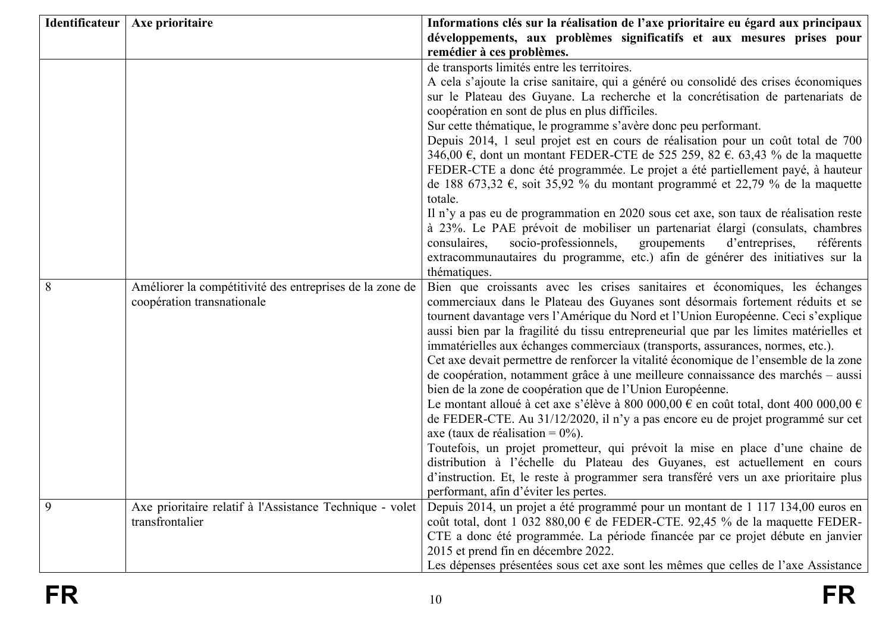|   | Identificateur   Axe prioritaire                                                       | Informations clés sur la réalisation de l'axe prioritaire eu égard aux principaux<br>développements, aux problèmes significatifs et aux mesures prises pour<br>remédier à ces problèmes.                                                                                                                                                                                                                                                                                                                                                                                                                                                                                                                                                                                                                                                                                                                                                                                                                                                                                                                                                                                                                   |
|---|----------------------------------------------------------------------------------------|------------------------------------------------------------------------------------------------------------------------------------------------------------------------------------------------------------------------------------------------------------------------------------------------------------------------------------------------------------------------------------------------------------------------------------------------------------------------------------------------------------------------------------------------------------------------------------------------------------------------------------------------------------------------------------------------------------------------------------------------------------------------------------------------------------------------------------------------------------------------------------------------------------------------------------------------------------------------------------------------------------------------------------------------------------------------------------------------------------------------------------------------------------------------------------------------------------|
|   |                                                                                        | de transports limités entre les territoires.<br>A cela s'ajoute la crise sanitaire, qui a généré ou consolidé des crises économiques<br>sur le Plateau des Guyane. La recherche et la concrétisation de partenariats de<br>coopération en sont de plus en plus difficiles.<br>Sur cette thématique, le programme s'avère donc peu performant.<br>Depuis 2014, 1 seul projet est en cours de réalisation pour un coût total de 700<br>346,00 €, dont un montant FEDER-CTE de 525 259, 82 €. 63,43 % de la maquette<br>FEDER-CTE a donc été programmée. Le projet a été partiellement payé, à hauteur<br>de 188 673,32 €, soit 35,92 % du montant programmé et 22,79 % de la maquette<br>totale.<br>Il n'y a pas eu de programmation en 2020 sous cet axe, son taux de réalisation reste<br>à 23%. Le PAE prévoit de mobiliser un partenariat élargi (consulats, chambres<br>consulaires,<br>socio-professionnels,<br>d'entreprises,<br>groupements<br>référents<br>extracommunautaires du programme, etc.) afin de générer des initiatives sur la                                                                                                                                                           |
| 8 | Améliorer la compétitivité des entreprises de la zone de<br>coopération transnationale | thématiques.<br>Bien que croissants avec les crises sanitaires et économiques, les échanges<br>commerciaux dans le Plateau des Guyanes sont désormais fortement réduits et se<br>tournent davantage vers l'Amérique du Nord et l'Union Européenne. Ceci s'explique<br>aussi bien par la fragilité du tissu entrepreneurial que par les limites matérielles et<br>immatérielles aux échanges commerciaux (transports, assurances, normes, etc.).<br>Cet axe devait permettre de renforcer la vitalité économique de l'ensemble de la zone<br>de coopération, notamment grâce à une meilleure connaissance des marchés – aussi<br>bien de la zone de coopération que de l'Union Européenne.<br>Le montant alloué à cet axe s'élève à 800 000,00 € en coût total, dont 400 000,00 €<br>de FEDER-CTE. Au 31/12/2020, il n'y a pas encore eu de projet programmé sur cet<br>axe (taux de réalisation = $0\%$ ).<br>Toutefois, un projet prometteur, qui prévoit la mise en place d'une chaine de<br>distribution à l'échelle du Plateau des Guyanes, est actuellement en cours<br>d'instruction. Et, le reste à programmer sera transféré vers un axe prioritaire plus<br>performant, afin d'éviter les pertes. |
| 9 | Axe prioritaire relatif à l'Assistance Technique - volet<br>transfrontalier            | Depuis 2014, un projet a été programmé pour un montant de 1 117 134,00 euros en<br>coût total, dont 1 032 880,00 $\epsilon$ de FEDER-CTE. 92,45 % de la maquette FEDER-<br>CTE a donc été programmée. La période financée par ce projet débute en janvier<br>2015 et prend fin en décembre 2022.<br>Les dépenses présentées sous cet axe sont les mêmes que celles de l'axe Assistance                                                                                                                                                                                                                                                                                                                                                                                                                                                                                                                                                                                                                                                                                                                                                                                                                     |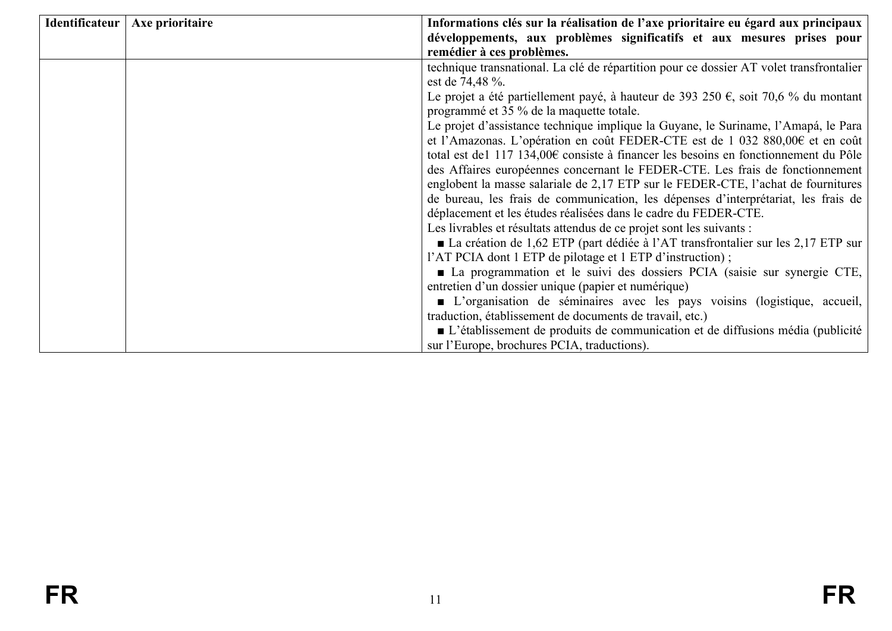| Identificateur   Axe prioritaire | Informations clés sur la réalisation de l'axe prioritaire eu égard aux principaux             |  |  |  |  |
|----------------------------------|-----------------------------------------------------------------------------------------------|--|--|--|--|
|                                  | développements, aux problèmes significatifs et aux mesures prises pour                        |  |  |  |  |
|                                  | remédier à ces problèmes.                                                                     |  |  |  |  |
|                                  | technique transnational. La clé de répartition pour ce dossier AT volet transfrontalier       |  |  |  |  |
|                                  | est de 74,48 %.                                                                               |  |  |  |  |
|                                  | Le projet a été partiellement payé, à hauteur de 393 250 €, soit 70,6 % du montant            |  |  |  |  |
|                                  | programmé et 35 % de la maquette totale.                                                      |  |  |  |  |
|                                  | Le projet d'assistance technique implique la Guyane, le Suriname, l'Amapá, le Para            |  |  |  |  |
|                                  | et l'Amazonas. L'opération en coût FEDER-CTE est de 1 032 880,00€ et en coût                  |  |  |  |  |
|                                  | total est de1 117 134,00€ consiste à financer les besoins en fonctionnement du Pôle           |  |  |  |  |
|                                  | des Affaires européennes concernant le FEDER-CTE. Les frais de fonctionnement                 |  |  |  |  |
|                                  | englobent la masse salariale de 2,17 ETP sur le FEDER-CTE, l'achat de fournitures             |  |  |  |  |
|                                  | de bureau, les frais de communication, les dépenses d'interprétariat, les frais de            |  |  |  |  |
|                                  | déplacement et les études réalisées dans le cadre du FEDER-CTE.                               |  |  |  |  |
|                                  | Les livrables et résultats attendus de ce projet sont les suivants :                          |  |  |  |  |
|                                  | ■ La création de 1,62 ETP (part dédiée à l'AT transfrontalier sur les 2,17 ETP sur            |  |  |  |  |
|                                  | l'AT PCIA dont 1 ETP de pilotage et 1 ETP d'instruction);                                     |  |  |  |  |
|                                  | • La programmation et le suivi des dossiers PCIA (saisie sur synergie CTE,                    |  |  |  |  |
|                                  | entretien d'un dossier unique (papier et numérique)                                           |  |  |  |  |
|                                  | • L'organisation de séminaires avec les pays voisins (logistique, accueil,                    |  |  |  |  |
|                                  | traduction, établissement de documents de travail, etc.)                                      |  |  |  |  |
|                                  | $\blacksquare$ L'établissement de produits de communication et de diffusions média (publicité |  |  |  |  |
|                                  | sur l'Europe, brochures PCIA, traductions).                                                   |  |  |  |  |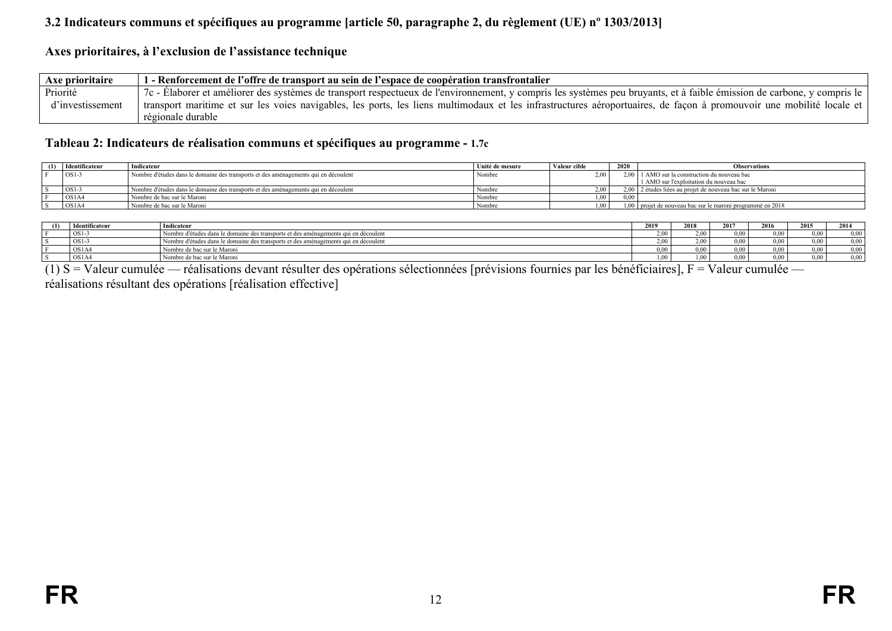## **3.2 Indicateurs communs et spécifiques au programme [article 50, paragraphe 2, du règlement (UE) nº 1303/2013]**

#### **Axes prioritaires, à l'exclusion de l'assistance technique**

| Axe prioritaire  | 1 - Renforcement de l'offre de transport au sein de l'espace de coopération transfrontalier                                                                             |
|------------------|-------------------------------------------------------------------------------------------------------------------------------------------------------------------------|
| Priorité         | 7c - Élaborer et améliorer des systèmes de transport respectueux de l'environnement, y compris les systèmes peu bruyants, et à faible émission de carbone, y compris le |
| d'investissement | transport maritime et sur les voies navigables, les ports, les liens multimodaux et les infrastructures aéroportuaires, de façon à promouvoir une mobilité locale et    |
|                  | régionale durable                                                                                                                                                       |

#### **Tableau 2: Indicateurs de réalisation communs et spécifiques au programme - 1.7c**

| Identificateur                 | Indicateur                                                                          | Unité de mesure | Valeur cible | 2020 | <b>Observations</b>                                          |
|--------------------------------|-------------------------------------------------------------------------------------|-----------------|--------------|------|--------------------------------------------------------------|
| $OS1-3$                        | Nombre d'études dans le domaine des transports et des aménagements qui en découlent | Nombre          | 2.00         |      | 2,00   1 AMO sur la construction du nouveau bac              |
|                                |                                                                                     |                 |              |      | 1 AMO sur l'exploitation du nouveau bac                      |
| $OS1-$                         | Nombre d'études dans le domaine des transports et des aménagements qui en découlent | Nombre          | 2.00         |      | 2,00   2 études liées au projet de nouveau bac sur le Maroni |
| OS <sub>1</sub> A <sub>4</sub> | l Nombre de bac sur le Maroni                                                       | Nombre          | .00.         | 0.00 |                                                              |
| OS <sub>1</sub> A <sub>4</sub> | Nombre de bac sur le Maroni                                                         | Nombre          |              |      | 1,00 projet de nouveau bac sur le maroni programmé en 2018   |

| (1) | <b>Identificateur</b> | Indicateur                                                                                 | 2010<br>49 L Z | 2019 | 2017 | 2016              | 2015 | 2014 |
|-----|-----------------------|--------------------------------------------------------------------------------------------|----------------|------|------|-------------------|------|------|
|     | OS <sub>1</sub> -     | Nombre d'études dans les<br>le domaine des transports et des aménagements qui en découlent | 2.00           |      |      | $^{\prime\prime}$ | 0.00 | 0.00 |
|     | $OS1-$                | Nombre d'études dans le domaine des transports et des aménagements qui en découlent        | 2.00           | .00  |      |                   | 0.00 | 0.00 |
|     | OS1A                  | Nombre de bac sur le Maroni                                                                | 0.00           |      |      | 00 <sup>0</sup>   | 0.00 | 0.00 |
|     | OS1A4                 | Nombre de bac sur le Maroni                                                                | 00،            | 00   |      |                   | 0.00 | 0.00 |

<span id="page-11-2"></span><span id="page-11-1"></span><span id="page-11-0"></span>(1) S = Valeur cumulée — réalisations devant résulter des opérations sélectionnées [prévisions fournies par les bénéficiaires], F = Valeur cumulée réalisations résultant des opérations [réalisation effective]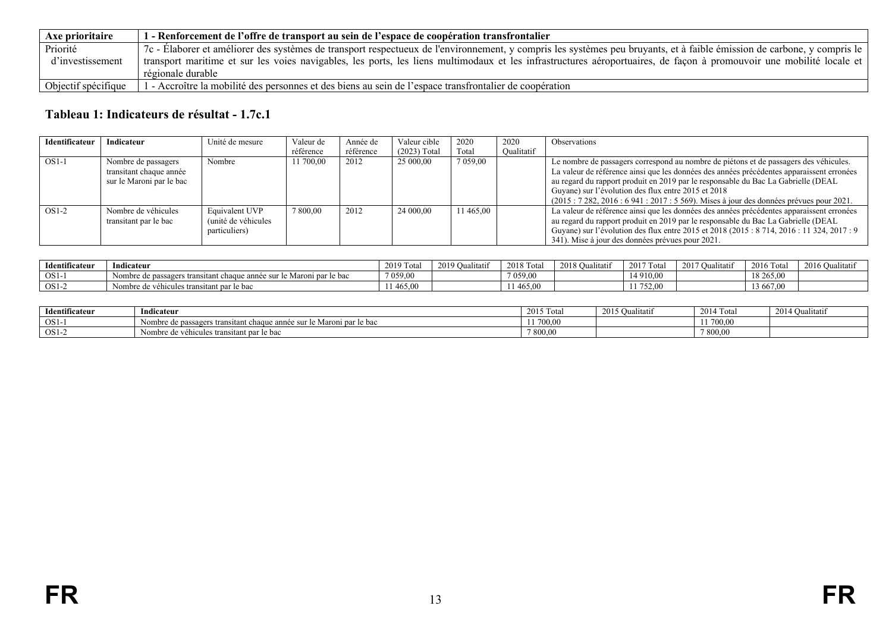| Axe prioritaire     | 1 - Renforcement de l'offre de transport au sein de l'espace de coopération transfrontalier                                                                             |
|---------------------|-------------------------------------------------------------------------------------------------------------------------------------------------------------------------|
| Priorité            | 7c - Élaborer et améliorer des systèmes de transport respectueux de l'environnement, y compris les systèmes peu bruyants, et à faible émission de carbone, y compris le |
| d'investissement    | transport maritime et sur les voies navigables, les ports, les liens multimodaux et les infrastructures aéroportuaires, de façon à promouvoir une mobilité locale et    |
|                     | régionale durable                                                                                                                                                       |
| Objectif spécifique | 1 - Accroître la mobilité des personnes et des biens au sein de l'espace transfrontalier de coopération                                                                 |

# **Tableau 1: Indicateurs de résultat - 1.7c.1**

| Identificateur | Indicateur               | Unité de mesure     | Valeur de | Année de  | Valeur cible   | 2020        | 2020       | Observations                                                                               |
|----------------|--------------------------|---------------------|-----------|-----------|----------------|-------------|------------|--------------------------------------------------------------------------------------------|
|                |                          |                     | référence | référence | $(2023)$ Total | Total       | Oualitatif |                                                                                            |
| $OS1-1$        | Nombre de passagers      | Nombre              | 11 700.00 | 2012      | 25 000,00      | 7 0 5 9 0 0 |            | Le nombre de passagers correspond au nombre de piétons et de passagers des véhicules.      |
|                | transitant chaque année  |                     |           |           |                |             |            | La valeur de référence ainsi que les données des années précédentes apparaissent erronées  |
|                | sur le Maroni par le bac |                     |           |           |                |             |            | au regard du rapport produit en 2019 par le responsable du Bac La Gabrielle (DEAL          |
|                |                          |                     |           |           |                |             |            | Guyane) sur l'évolution des flux entre 2015 et 2018                                        |
|                |                          |                     |           |           |                |             |            | $(2015: 7282, 2016: 6941: 2017: 5569)$ . Mises à jour des données prévues pour 2021.       |
| $OS1-2$        | Nombre de véhicules      | Equivalent UVP      | 7 800,00  | 2012      | 24 000,00      | 11 465.00   |            | La valeur de référence ainsi que les données des années précédentes apparaissent erronées  |
|                | transitant par le bac    | (unité de véhicules |           |           |                |             |            | au regard du rapport produit en 2019 par le responsable du Bac La Gabrielle (DEAL          |
|                |                          | particuliers)       |           |           |                |             |            | Guyane) sur l'évolution des flux entre 2015 et 2018 (2015 : 8 714, 2016 : 11 324, 2017 : 9 |
|                |                          |                     |           |           |                |             |            | 341). Mise à jour des données prévues pour 2021.                                           |

| Identificateur | $\cdots$<br>Indicateur                                                        | $2019T_0$<br> | $\mathbf{A}$ $\mathbf{A}$<br>'Jualitatif<br>ZU. | $2010 \text{ m}$<br>-2018<br>-1 otal | $2010 \Omega$<br>ıtatıf<br>2018<br>vuar. | 2017T<br>Total<br>ZU I | 2017O <sub>0</sub><br>Jualitatif | 2016T<br>2016 Total | 2016 Qualitati |
|----------------|-------------------------------------------------------------------------------|---------------|-------------------------------------------------|--------------------------------------|------------------------------------------|------------------------|----------------------------------|---------------------|----------------|
| $OS1$ -.       | Nombre de passagers transitant chaque année sur le l'<br>le bac<br>Maroni par | 7 059,00      |                                                 | 7 0 5 9 .00                          |                                          | 1910,00                |                                  | 18 265,00           |                |
| $OS1-$         | véhicules transitant par le bac<br>Nombre de                                  | 11 465.00     |                                                 | 465.00                               |                                          | 11 752,00              |                                  | 3 667,00            |                |

<span id="page-12-0"></span>

| Identificateur | Indicateur                                                                | $2015$ To<br>-Tota | 2015 Qualitatif | 2014 Total | 2014 Qualitatif |
|----------------|---------------------------------------------------------------------------|--------------------|-----------------|------------|-----------------|
| $OS1-$         | e de passagers transitant chaque année sur le Maroni par le bac<br>Nombre | 1,700,00           |                 | 11 700.00  |                 |
| $OS1-$         | e de véhicules transitant par le bac<br>Nombre                            | 800,00             |                 | 7 800,00   |                 |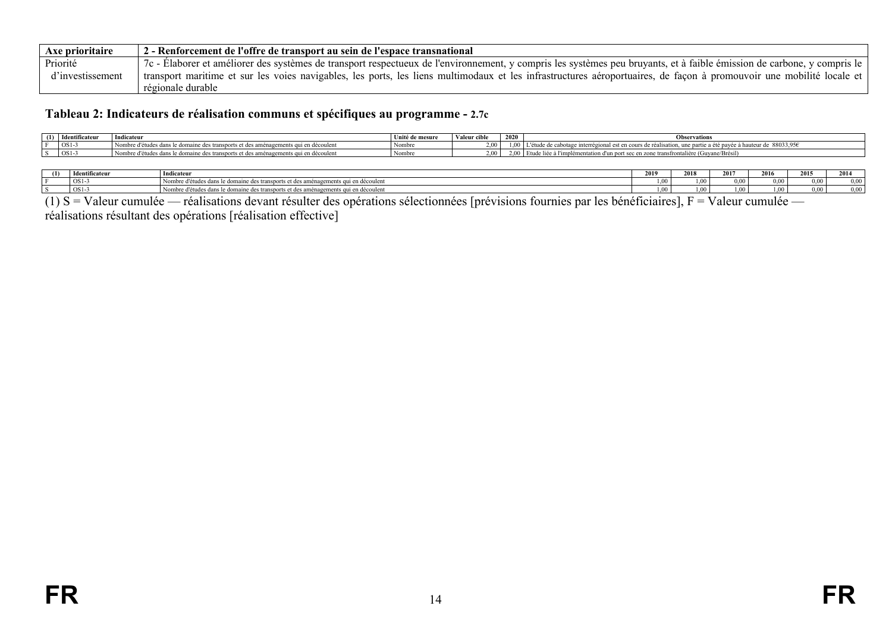| Axe prioritaire  | 2 - Renforcement de l'offre de transport au sein de l'espace transnational                                                                                              |
|------------------|-------------------------------------------------------------------------------------------------------------------------------------------------------------------------|
| Priorité         | 7c - Elaborer et améliorer des systèmes de transport respectueux de l'environnement, y compris les systèmes peu bruyants, et à faible émission de carbone, y compris le |
| d'investissement | transport maritime et sur les voies navigables, les ports, les liens multimodaux et les infrastructures aéroportuaires, de façon à promouvoir une mobilité locale et    |
|                  | régionale durable                                                                                                                                                       |

#### **Tableau 2: Indicateurs de réalisation communs et spécifiques au programme - 2.7c**

| - (1)<br>$\rightarrow$ | Identificateur | Indicateur                                                                                            | Unité de mesure | Valeur o     | 2020 | <b>Observations</b>                                                                                     |
|------------------------|----------------|-------------------------------------------------------------------------------------------------------|-----------------|--------------|------|---------------------------------------------------------------------------------------------------------|
|                        | $OS1-3$        | $\mathbf{A}$<br>les dans le domaine des transports et des aménagements qui en découlent<br>. d'études | Nombre          | 2.00         |      | €38033.95، ق<br>une partie<br>de cabotage :<br>مامحمد<br>al est en cours :<br>r haufeur de<br>ere.<br>. |
|                        | $OS1-3$        | e d'études dans le domaine des transports et des aménagements qui en découlent                        | Nombre          | 2.00.<br>. v |      | t sec en zone transfrontalière (Guyane/Brésil)<br>an port sec =                                         |

| (1) | Identificateur  | Indicateur                                                                          | 2019 | 2018 | 2017            | 2016  | 2014<br>- - - - | 2014     |
|-----|-----------------|-------------------------------------------------------------------------------------|------|------|-----------------|-------|-----------------|----------|
|     | OS <sub>1</sub> | Nombre d'études dans le domaine des transports et des aménagements qui en découlent | $ -$ |      | 0.00            | 0 O G | 0.00            | $0.00 -$ |
|     | OS1             | bre d'études dans le domaine des transports et des aménagements qui en découlent    | --   |      | 00 <sup>1</sup> | -00   | 0.00            | 0.00     |

 $(1)$  S = Valeur cumulée — réalisations devant résulter des opérations sélectionnées [prévisions fournies par les bénéficiaires], F = Valeur cumulée —

<span id="page-13-0"></span>réalisations résultant des opérations [réalisation effective]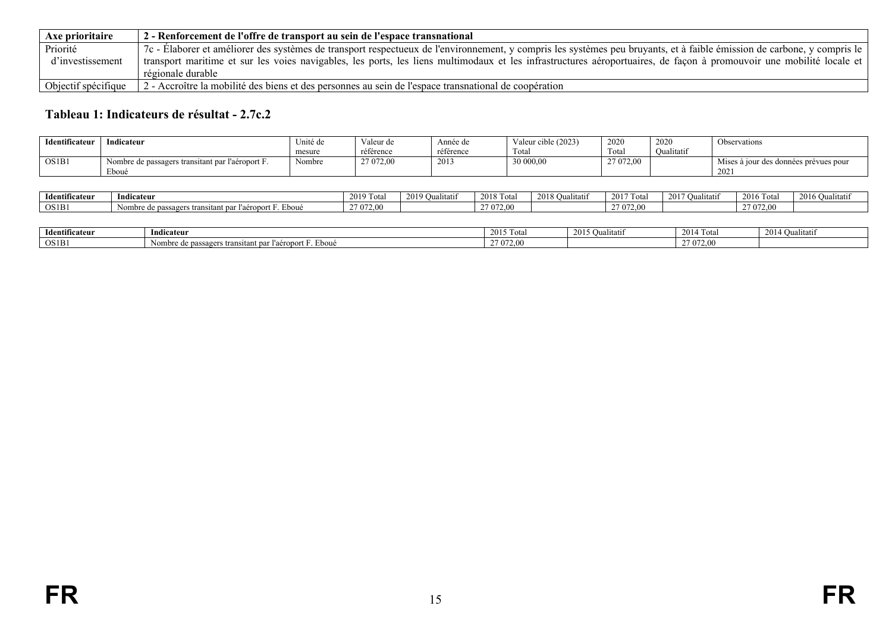| Axe prioritaire            | 2 - Renforcement de l'offre de transport au sein de l'espace transnational                                                                                              |
|----------------------------|-------------------------------------------------------------------------------------------------------------------------------------------------------------------------|
| Priorité                   | 7c - Élaborer et améliorer des systèmes de transport respectueux de l'environnement, y compris les systèmes peu bruyants, et à faible émission de carbone, y compris le |
| d'investissement           | transport maritime et sur les voies navigables, les ports, les liens multimodaux et les infrastructures aéroportuaires, de façon à promouvoir une mobilité locale et    |
|                            | régionale durable                                                                                                                                                       |
| $\log$ Objectif spécifique | 2 - Accroître la mobilité des biens et des personnes au sein de l'espace transnational de coopération                                                                   |

# **Tableau 1: Indicateurs de résultat - 2.7c.2**

| Identificateur | Indicateur                                       | Unité de | Valeur de | Année de           | Valeur cible (2023) | 2020      | 2020       | Observations                          |
|----------------|--------------------------------------------------|----------|-----------|--------------------|---------------------|-----------|------------|---------------------------------------|
|                |                                                  | mesure   | référence | référence          | Total               | Tota      | Oualitatif |                                       |
| OS1B1          | Nombre de passagers transitant par l'aéroport F. | Nombre   | 27 072.00 | 201<br><b>2013</b> | 30 000,00           | 27 072,00 |            | Mises à jour des données prévues pour |
|                | ∠boué                                            |          |           |                    |                     |           |            | 202                                   |

| .<br><b>Identificateur</b> | Indicateur                                                            | 2019 T<br>' 10ta | $2019 \Omega$<br>Jualitatif | 2018 To<br>Tota | $\sim$ $\sim$ $\sim$<br>Qualitatif<br>2010 | 2017 To<br>Total | 2017<br>∪ualıtatı! | l otal<br>201         | 2016<br>Jualitati: |
|----------------------------|-----------------------------------------------------------------------|------------------|-----------------------------|-----------------|--------------------------------------------|------------------|--------------------|-----------------------|--------------------|
| OS1B1                      | Eboue<br>eroport<br>Nombre de passagers<br>et par i.<br>∽s transitan. | 27 072 00<br>۰.  |                             | 27 072.00       |                                            | 27 072,00        |                    | <sup>2</sup> 7 072.00 |                    |

<span id="page-14-0"></span>

| .<br>Identificateur | Indicateur                                                | $2015$ To<br>Total | 2015 O<br>. Chr<br><b>Qualitati</b> | 2014 To<br>4 Tota | 2014 C<br>ualıtatıf |
|---------------------|-----------------------------------------------------------|--------------------|-------------------------------------|-------------------|---------------------|
| OS1B                | . Eboué<br>re de passagers transitant par l'aèro.<br>Nom. | 27 072.00          |                                     | 27.272<br>$1 - 0$ |                     |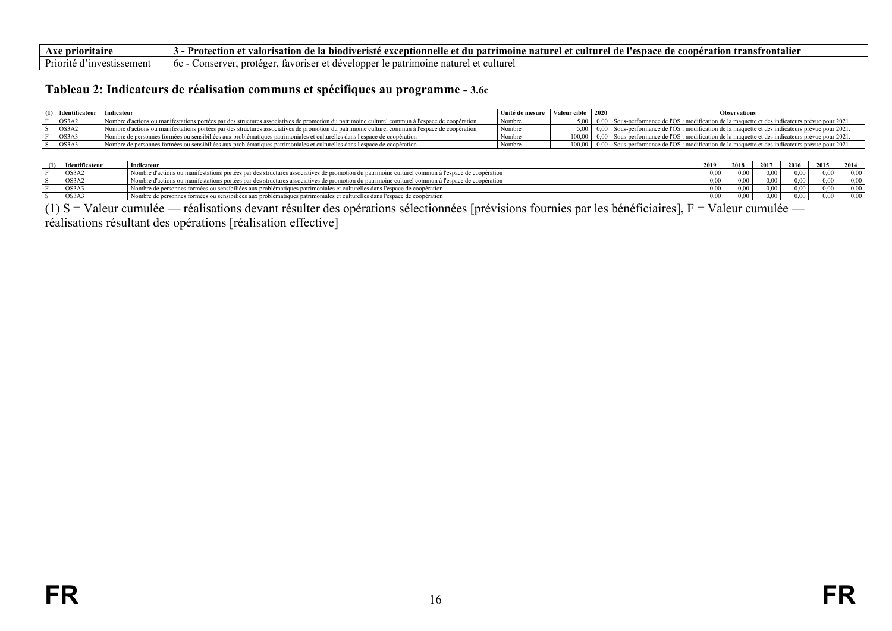| prior<br>нан                   | <br>transfrontalier<br>coon<br>≅ction ⊾<br>.، culture '<br>`rısatıon<br>$\sim$<br>entionn<br>natrimoine<br>7 de<br>ΛŤ<br>ation<br>de l<br>- ae<br>naturel<br>'esna<br>valor<br>oe<br>ISH |
|--------------------------------|------------------------------------------------------------------------------------------------------------------------------------------------------------------------------------------|
| <b>Priorite</b><br>estissement | culturel<br>ımoıne<br>nature<br>.ons<br>. favr<br>- 6c<br>natr<br>rote<br>15 F                                                                                                           |

#### **Tableau 2: Indicateurs de réalisation communs et spécifiques au programme - 3.6c**

| (1) Identificateur | Indicateur                                                                                                                                      | Unité de mesure   Valeur cible |        | $\begin{array}{c} 2020 \end{array}$ | <b>Observations</b>                                                                                           |
|--------------------|-------------------------------------------------------------------------------------------------------------------------------------------------|--------------------------------|--------|-------------------------------------|---------------------------------------------------------------------------------------------------------------|
| OS3A2              | Nombre d'actions ou manifestations portées par des structures associatives de promotion du patrimoine culturel commun à l'espace de coopération | l Nombre                       |        |                                     | 0,00 Sous-performance de l'OS : modification de la maquette et des indicateurs prévue pour 2021.              |
| OS3A2              | Nombre d'actions ou manifestations portées par des structures associatives de promotion du patrimoine culturel commun à l'espace de coopération | Nombre                         |        |                                     | 5,00   0,00   Sous-performance de l'OS : modification de la maquette et des indicateurs prévue pour 2021.     |
| OS3A3              | Nombre de personnes formées ou sensibiliées aux problématiques patrimoniales et culturelles dans l'espace de coopération                        | Nombre                         | 100.00 |                                     | 0.00 Sous-performance de l'OS : modification de la maquette et des indicateurs prévue pour 2021.              |
| OS3A3              | Nombre de personnes formées ou sensibiliées aux problématiques patrimoniales et culturelles dans l'espace de coopération                        | ' Nombre                       |        |                                     | $100,00$   0,00   Sous-performance de l'OS : modification de la maquette et des indicateurs prévue pour 2021. |

| (1) | Identificateur | Indicateur                                                                                                                                        | 2019  | 2018 | 2017            | 2016 | 2015 | 2014 |
|-----|----------------|---------------------------------------------------------------------------------------------------------------------------------------------------|-------|------|-----------------|------|------|------|
|     | OS3A2          | Nombre d'actions ou manifestations portées par des structures associatives de promotion du patrimoine culturel commun à l'espace de coopération   | 00 (  | 0.00 | 00 <sub>0</sub> |      | 0.00 | 0.00 |
|     | OS3A2          | I Nombre d'actions ou manifestations portées par des structures associatives de promotion du patrimoine culturel commun à l'espace de coopération | 00(   | 0.00 | 0.00            | ი იი | 0.00 | 0.00 |
|     | OS3A3          | Nombre de personnes formées ou sensibiliées aux problématiques patrimoniales et culturelles dans l'espace de coopération                          | 00(   | 0.00 | 0.00            | 0.00 | 0.00 | 0.00 |
|     | $\cos 343$     | Nombre de personnes formées ou sensibiliées aux problématiques patrimoniales et culturelles dans l'espace de coopération                          | 0.001 | 0.00 | 0.00            | 0.00 | 0.00 | 0.00 |

(1) S = Valeur cumulée — réalisations devant résulter des opérations sélectionnées [prévisions fournies par les bénéficiaires], F = Valeur cumulée —

<span id="page-15-0"></span>réalisations résultant des opérations [réalisation effective]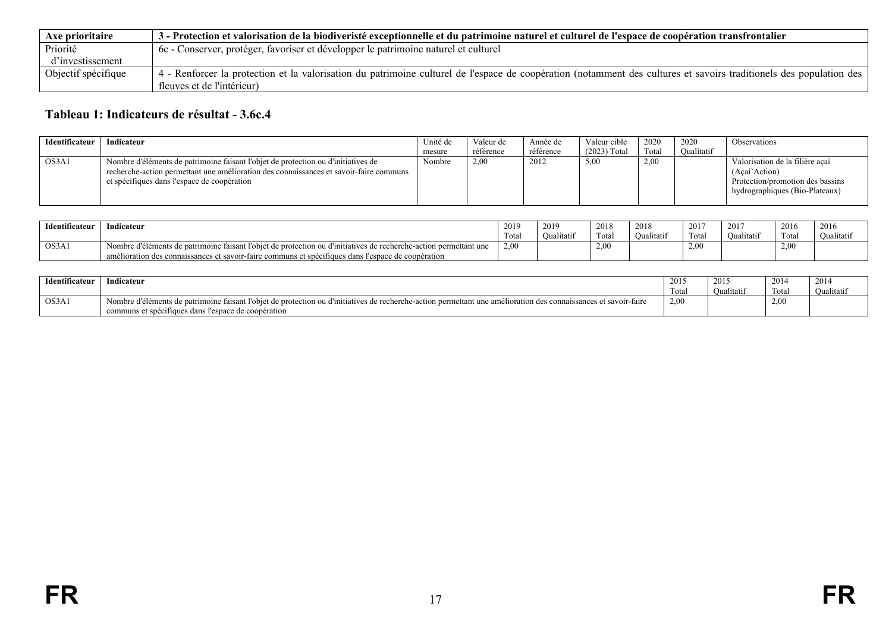| Axe prioritaire     | 3 - Protection et valorisation de la biodiveristé exceptionnelle et du patrimoine naturel et culturel de l'espace de coopération transfrontalier                    |
|---------------------|---------------------------------------------------------------------------------------------------------------------------------------------------------------------|
| Priorité            | 6c - Conserver, protéger, favoriser et développer le patrimoine naturel et culturel                                                                                 |
| d'investissement    |                                                                                                                                                                     |
| Objectif spécifique | 4 - Renforcer la protection et la valorisation du patrimoine culturel de l'espace de coopération (notamment des cultures et savoirs traditionels des population des |
|                     | fleuves et de l'intérieur)                                                                                                                                          |

# **Tableau 1: Indicateurs de résultat - 3.6c.4**

| Identificateur | Indicateur                                                                                                                                                                                                                 | Unité de | Valeur de | Année de  | Valeur cible   | 2020  | 2020       | <b>Observations</b>                                                                                                    |
|----------------|----------------------------------------------------------------------------------------------------------------------------------------------------------------------------------------------------------------------------|----------|-----------|-----------|----------------|-------|------------|------------------------------------------------------------------------------------------------------------------------|
|                |                                                                                                                                                                                                                            | mesure   | référence | référence | $(2023)$ Total | Total | Oualitatif |                                                                                                                        |
| OS3A1          | Nombre d'éléments de patrimoine faisant l'objet de protection ou d'initiatives de<br>recherche-action permettant une amélioration des connaissances et savoir-faire communs<br>et spécifiques dans l'espace de coopération | Nombre   | 2.00      | 2012      | 5,00           | 2.00  |            | Valorisation de la filière acaí<br>(Acaí'Action)<br>Protection/promotion des bassins<br>hydrographiques (Bio-Plateaux) |

| Identificateur | 2019<br>Indicateur                                                                                                              |       | 2019              | 2018 | 2018       | 201 <sup>-</sup>           | 2017       | 2016  | 2016       |
|----------------|---------------------------------------------------------------------------------------------------------------------------------|-------|-------------------|------|------------|----------------------------|------------|-------|------------|
|                |                                                                                                                                 | Total | <b>Oualitatif</b> | Tota | Oualitatif | <b>CONTRACTOR</b><br>Tota. | Oualitatii | Total | Oualitatif |
| OS3A1          | : d'éléments d<br>ts de patrimoine faisant l'objet de protection ou d'initiatives de recherche-action permettant une<br>Nombre, | 2,00  |                   | 2,00 |            | 2.00                       |            | 2,00  |            |
|                | amélioration des connaissances et savoir-faire communs et spécifiques dans l'espace de coopération                              |       |                   |      |            |                            |            |       |            |

<span id="page-16-0"></span>

| Identificateur | $-$<br>dicateur                                                                                                                                                        | 2015  | 2015<br>.         | 2014  | 2014       |
|----------------|------------------------------------------------------------------------------------------------------------------------------------------------------------------------|-------|-------------------|-------|------------|
|                |                                                                                                                                                                        | Total | <b>Qualitatif</b> | Total | Oualitatif |
| OS3A1          | is de natrimoine faisant l'obiet de protection ou d'initiatives de recherche-action permettant une amélioration des connaissances et savoir-faire<br>Nombre d'éléments | 2,00  |                   | 2,00  |            |
|                | communs et spécifiques dans l'espace de coopération                                                                                                                    |       |                   |       |            |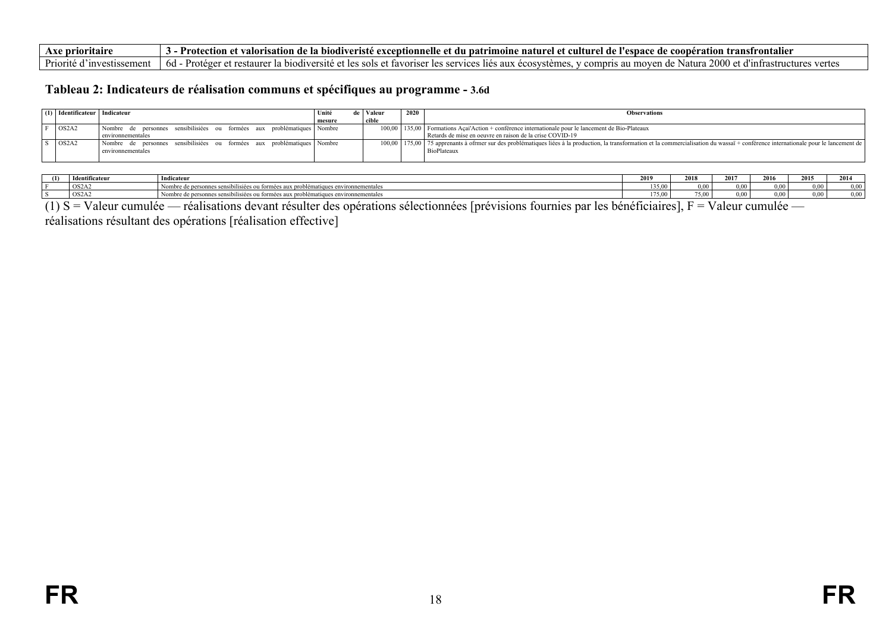| Axe prioritaire           | - Protection et valorisation de la biodiveristé exceptionnelle et du patrimoine naturel et culturel de l'espace de coopération transfrontalier                                                          |
|---------------------------|---------------------------------------------------------------------------------------------------------------------------------------------------------------------------------------------------------|
| Priorité d'investissement | 2000 et<br>t et restaurer la biodiversité et les sols et favoriser les services lies aux écosystèmes, y compris au moven de Natura 7.<br>. - Protéger<br>$6d -$<br>s vertes<br>et d'infrastructures les |

#### **Tableau 2: Indicateurs de réalisation communs et spécifiques au programme - 3.6d**

| (1) Identificateur   Indicateur |                                                                         | Unité  | Valeur | 2020 | <b>Observations</b>                                                                                                                                                                         |
|---------------------------------|-------------------------------------------------------------------------|--------|--------|------|---------------------------------------------------------------------------------------------------------------------------------------------------------------------------------------------|
|                                 |                                                                         | mesure | cible  |      |                                                                                                                                                                                             |
| $\log_{2}$                      | Nombre de personnes sensibilisiées ou formées aux problématiques Nombre |        |        |      | 100,00   135,00   Formations Acai Action + conférence internationale pour le lancement de Bio-Plateaux                                                                                      |
|                                 | environnementales                                                       |        |        |      | Retards de mise en oeuvre en raison de la crise COVID-19                                                                                                                                    |
| OS2A2                           | Nombre de personnes sensibilisiées ou formées aux problématiques Nombre |        |        |      | 100,00   175,00   75 apprenants à ofrmer sur des problématiques liées à la production, la transformation et la commercialisation du wassaï + conférence internationale pour le lancement de |
|                                 | environnementales                                                       |        |        |      | <b>BioPlateaux</b>                                                                                                                                                                          |
|                                 |                                                                         |        |        |      |                                                                                                                                                                                             |

| (1) | Ldonti<br>Identificateur | Indicateu                                                                                    | 2019   | 2018        | 2017<br>1011 | 2016 | 2015     | 2014     |
|-----|--------------------------|----------------------------------------------------------------------------------------------|--------|-------------|--------------|------|----------|----------|
|     | OS2A2                    | coroblématiques environnementales<br>I Nombre de personnes sensibilisiées ou foi.<br>*ormees | 135.00 | . .<br>0.00 | 00(          | 0.00 | $0.00 -$ | $0.00 -$ |
|     | OS2A2                    | uux problématiques environnementales<br>Nombre de personnes sensibilisiées ou formées au     | 75.00  | 75.00       | 00(          | 0.00 | 0.00     | 0.00     |

(1) S = Valeur cumulée — réalisations devant résulter des opérations sélectionnées [prévisions fournies par les bénéficiaires], F = Valeur cumulée —

<span id="page-17-0"></span>réalisations résultant des opérations [réalisation effective]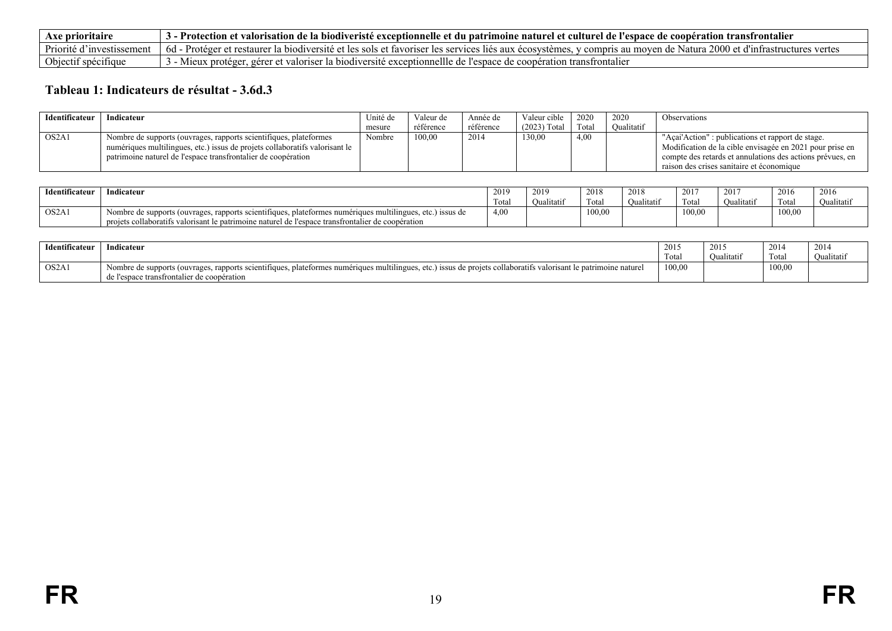| Axe prioritaire              | ∙ Protection et ≀<br>e la biodiveristé exceptionnelle et du patrimoine naturel et culturel de l'espace de coopération transfrontalier<br>valorisation de                                |
|------------------------------|-----------------------------------------------------------------------------------------------------------------------------------------------------------------------------------------|
| Priorité d<br>∵mvestissement | u 2000 et d'infrastructures vertes<br>-6d - Protéger et restaurer l<br>≅ Natura ∠<br>t la biodiversité et les sols et favoriser les services lies aux écosystemes<br>v compris au moven |
| Objectif spécifique          | er la biodiversité exceptionnellle<br>e l'espace de coopération transfrontalier<br>et valoriser "<br>Mieux<br>e de<br>. gerer<br>. proteger                                             |

# **Tableau 1: Indicateurs de résultat - 3.6d.3**

| Identificateur                 | Indicateur                                                                  | Unité de | Valeur de | Année de  | Valeur cible   | 2020  | 2020       | Observations                                              |
|--------------------------------|-----------------------------------------------------------------------------|----------|-----------|-----------|----------------|-------|------------|-----------------------------------------------------------|
|                                |                                                                             | mesure   | référence | référence | $(2023)$ Total | Total | Oualitatif |                                                           |
| OS <sub>2</sub> A <sub>1</sub> | Nombre de supports (ouvrages, rapports scientifiques, plateformes           | Nombre   | 100.00    | 2014      | 130.00         | 4.00  |            | "Açai'Action" : publications et rapport de stage.         |
|                                | numériques multilingues, etc.) issus de projets collaboratifs valorisant le |          |           |           |                |       |            | Modification de la cible envisagée en 2021 pour prise en  |
|                                | patrimoine naturel de l'espace transfrontalier de coopération               |          |           |           |                |       |            | compte des retards et annulations des actions prévues, en |
|                                |                                                                             |          |           |           |                |       |            | raison des crises sanitaire et économique                 |

| Identificateur                 | Indicateur                                                                                                  |      | 2019       | 201c<br>201 č  | 2018       | 2017                     | 201'       | 2016   | $\mathbf{a}$<br>2010 |
|--------------------------------|-------------------------------------------------------------------------------------------------------------|------|------------|----------------|------------|--------------------------|------------|--------|----------------------|
|                                |                                                                                                             | Гоta | Oualitatif | cars.<br>Tota. | Oualitatif | <b>CONTINUES</b><br>Tota | Oualitatif | Total  | Oualitatif           |
| OS <sub>2</sub> A <sub>1</sub> | 1 Nombre de supports (ouvrages, rapports scientifiques, plateformes numériques multilingues, etc.) issus de | 4.00 |            | 100,00         |            | 100.00                   |            | 100,00 |                      |
|                                | projets collaboratifs valorisant le patrimoine naturel de l'espace transfrontalier de coopération           |      |            |                |            |                          |            |        |                      |

<span id="page-18-0"></span>

| $\cdot \cdot \cdot$<br><b>Identificateur</b> | Indicateur                                                                                                                                                                                                                      | 2015<br>1 ouu | 2015<br><b>Qualitatii</b> | 2014<br>Tota. | 2014<br>Oualitatif |
|----------------------------------------------|---------------------------------------------------------------------------------------------------------------------------------------------------------------------------------------------------------------------------------|---------------|---------------------------|---------------|--------------------|
| OS2A1                                        | Nombre de supports (ouvrages, rapports scientifiques, $r$<br>etc.) issus de projets collaboratifs valorisant i<br>, plateformes numériques multilingues.<br>le patrimoine naturel<br>de l'espace transfrontalier de coopération | 100,00        |                           | 100,00        |                    |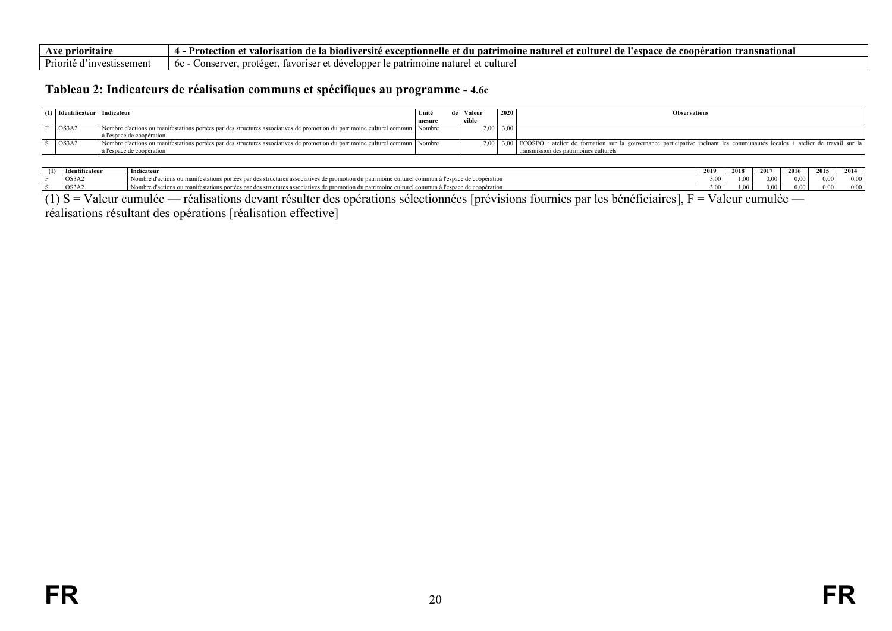| ve prioritair                                         | transnational)<br>natr<br>cooner<br>ersite exc<br>cultur<br>. de<br>excenti<br>du<br>aature'.<br>espace de J<br>ction<br>atıo<br>valorı<br>satıon<br>. at -<br>4 DIOGIV<br>., de F<br>onneue |
|-------------------------------------------------------|----------------------------------------------------------------------------------------------------------------------------------------------------------------------------------------------|
| $D_{\rm ini}$<br>sement<br>orite<br>. inve<br>281182. | iature<br>conse<br>- 6C<br>tavorisei<br>DALFIMC<br>.<br>vс<br>iuiu                                                                                                                           |

#### **Tableau 2: Indicateurs de réalisation communs et spécifiques au programme - 4.6c**

| $(1)$ Identificateur Indicateur |                                                                                                                              | Unité  | Valeur | 2020 | <b>Observations</b>                                                                                                                       |
|---------------------------------|------------------------------------------------------------------------------------------------------------------------------|--------|--------|------|-------------------------------------------------------------------------------------------------------------------------------------------|
|                                 |                                                                                                                              | mesure | cible  |      |                                                                                                                                           |
| OS3A2                           | Nombre d'actions ou manifestations portées par des structures associatives de promotion du patrimoine culturel commun Nombre |        | 2.00   | 3,00 |                                                                                                                                           |
|                                 | à l'espace de coopération                                                                                                    |        |        |      |                                                                                                                                           |
| OS3A2                           | Nombre d'actions ou manifestations portées par des structures associatives de promotion du patrimoine culturel commun Nombre |        |        |      | 2,00   3,00   ECOSEO : atelier de formation sur la gouvernance participative incluant les communautés locales + atelier de travail sur la |
|                                 | à l'espace de coopération                                                                                                    |        |        |      | transmission des patrimoines culturels                                                                                                    |

| l x<br>Identificater | Indicateur                                                                                                                                                                  | 2019 | 2018            | 2017<br>-4017 | 2016  | 2015 | 2014 |
|----------------------|-----------------------------------------------------------------------------------------------------------------------------------------------------------------------------|------|-----------------|---------------|-------|------|------|
| OS3A2                | es par des structures associatives de<br>l commun à l'espace de coopération<br>abre d'actions ou manifestations portées.<br>du natrumoune<br><b>COMMON</b>                  | 3.00 | $00 -$          | 0.00          | - - - | 0.00 | 0.00 |
| OS3A2                | le culturel commun à l'espace de coopération<br>re d'actions ou manifestations portées par des structures associatives de pr<br>$\alpha$ near<br>promotion du<br>natrimoine | ነ በበ | 00 <sup>1</sup> | 0.00          | .     | 0.00 | 0.00 |

(1) S = Valeur cumulée — réalisations devant résulter des opérations sélectionnées [prévisions fournies par les bénéficiaires], F = Valeur cumulée —

<span id="page-19-0"></span>réalisations résultant des opérations [réalisation effective]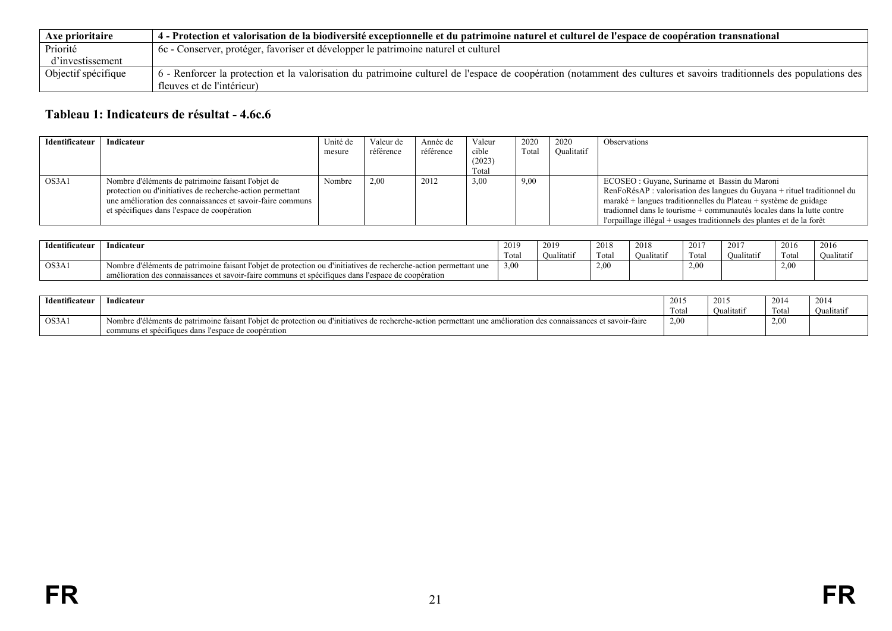| Axe prioritaire     | 4 - Protection et valorisation de la biodiversité exceptionnelle et du patrimoine naturel et culturel de l'espace de coopération transnational                        |
|---------------------|-----------------------------------------------------------------------------------------------------------------------------------------------------------------------|
| Priorité            | 6c - Conserver, protéger, favoriser et développer le patrimoine naturel et culturel                                                                                   |
| d'investissement    |                                                                                                                                                                       |
| Objectif spécifique | 6 - Renforcer la protection et la valorisation du patrimoine culturel de l'espace de coopération (notamment des cultures et savoirs traditionnels des populations des |
|                     | fleuves et de l'intérieur)                                                                                                                                            |

# **Tableau 1: Indicateurs de résultat - 4.6c.6**

| Identificateur | Indicateur                                                 | Unité de | Valeur de | Année de  | Valeur | 2020  | 2020       | <b>Observations</b>                                                      |
|----------------|------------------------------------------------------------|----------|-----------|-----------|--------|-------|------------|--------------------------------------------------------------------------|
|                |                                                            | mesure   | référence | référence | cible  | Total | Oualitatif |                                                                          |
|                |                                                            |          |           |           | (2023) |       |            |                                                                          |
|                |                                                            |          |           |           | Total  |       |            |                                                                          |
| OS3A1          | Nombre d'éléments de patrimoine faisant l'objet de         | Nombre   | 2,00      | 2012      | 3,00   | 9,00  |            | ECOSEO : Guyane, Suriname et Bassin du Maroni                            |
|                | protection ou d'initiatives de recherche-action permettant |          |           |           |        |       |            | RenFoRésAP : valorisation des langues du Guyana + rituel traditionnel du |
|                | une amélioration des connaissances et savoir-faire communs |          |           |           |        |       |            | maraké + langues traditionnelles du Plateau + système de guidage         |
|                | et spécifiques dans l'espace de coopération                |          |           |           |        |       |            | tradionnel dans le tourisme + communautés locales dans la lutte contre   |
|                |                                                            |          |           |           |        |       |            | l'orpaillage illégal + usages traditionnels des plantes et de la forêt   |

| <sup>1</sup> dentificateur | Indicateur                                                                                                        | 2019  | 2016<br>201 | 2018       | 2018       | 2017              | 2017              | 2016<br>2010   | 2016              |
|----------------------------|-------------------------------------------------------------------------------------------------------------------|-------|-------------|------------|------------|-------------------|-------------------|----------------|-------------------|
|                            |                                                                                                                   | Total | Oualitatif  | Tota       | Oualitatii | Total             | <b>Jualitatif</b> | can a<br>Total | <b>Qualitativ</b> |
| OS3A1                      | Nombre d'éléments de patrimoine faisant l'objet de protection ou d'initiatives de recherche-action permettant une | 3,00  |             | <u>. .</u> |            | 2.00 <sub>1</sub> |                   | 2,00           |                   |
|                            | amélioration des connaissances et savoir-faire communs et spécifiques dans l'espace de coopération                |       |             |            |            |                   |                   |                |                   |

<span id="page-20-0"></span>

| Identificateur | Indicateur                                                                                                                                                                                                              | 2015<br>1 otal | 2015<br>Oualitatif | 2014<br>$\sim$<br>'Tota | 201<br><b>Qualitatii</b> |
|----------------|-------------------------------------------------------------------------------------------------------------------------------------------------------------------------------------------------------------------------|----------------|--------------------|-------------------------|--------------------------|
| OS3A1          | Nombre d'éléments de patrimoine faisant l'objet de protection ou d'initiatives de recherche-action permettant une amélioration des connaissances et savoir-faire<br>communs et spécifiques dans l'espace de coopération | 2.00           |                    | 2.0 <sup>0</sup>        |                          |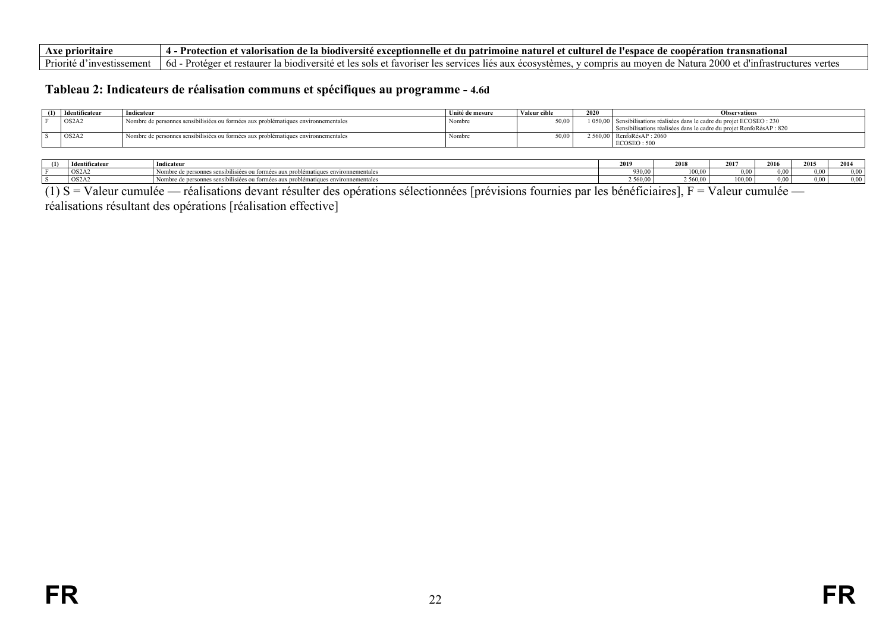| Axe prioritaire                | Protection<br>t valorisation de la biodiversité excentionnelle et du natrimoine naturel et culturel de l'esnace de coonération t<br>transnational                                                     |
|--------------------------------|-------------------------------------------------------------------------------------------------------------------------------------------------------------------------------------------------------|
| Priorité d'<br>⊺investissement | 2000 et<br>- Protéger et restaurer la biodiversité et les sols et favoriser les services lies aux écosystèmes.<br>v compris au moven de Natura.<br><sub>6d</sub><br>a vertes<br>t d'infrastructures i |

#### **Tableau 2: Indicateurs de réalisation communs et spécifiques au programme - 4.6d**

| $(1)$ Identificateur | Indicateur                                                                         | Unité de mesure | Valeur cible | 2020 | <b>Observations</b>                                                      |
|----------------------|------------------------------------------------------------------------------------|-----------------|--------------|------|--------------------------------------------------------------------------|
| $\overline{OS2A2}$   | Nombre de personnes sensibilisiées ou formées aux problématiques environnementales | Nombre          | 50.00        |      | 1 050,00 Sensibilisations réalisées dans le cadre du projet ECOSEO : 230 |
|                      |                                                                                    |                 |              |      | Sensibilisations réalisées dans le cadre du projet RenfoRésAP : 820      |
| OS2A2                | Nombre de personnes sensibilisiées ou formées aux problématiques environnementales | Nombre          | 50.00        |      | 2 560,00 RenfoRésAP : 2060                                               |
|                      |                                                                                    |                 |              |      | ECOSEO: 500                                                              |

| (1) | uficateur.            | Indicateur                                                                       | 2019   | 2018     | 2017   | 2016 | 2015 | 201             |
|-----|-----------------------|----------------------------------------------------------------------------------|--------|----------|--------|------|------|-----------------|
|     | $\log_{2A_{\lambda}}$ | e personnes sensibilisiées ou formées aux problématiques env<br>ivironnementales | 930.00 | 100 00   | (10)   | 0.00 | .    | 00 <sup>0</sup> |
|     | OS2A <sub>2</sub>     | es ou formées aux problématiques ei<br>2. sensibilismu                           | 560.00 | ` 560.00 | 100.00 | 0.00 | .    | 00 <sup>0</sup> |

 $(1)$  S = Valeur cumulée — réalisations devant résulter des opérations sélectionnées [prévisions fournies par les bénéficiaires], F = Valeur cumulée —

<span id="page-21-0"></span>réalisations résultant des opérations [réalisation effective]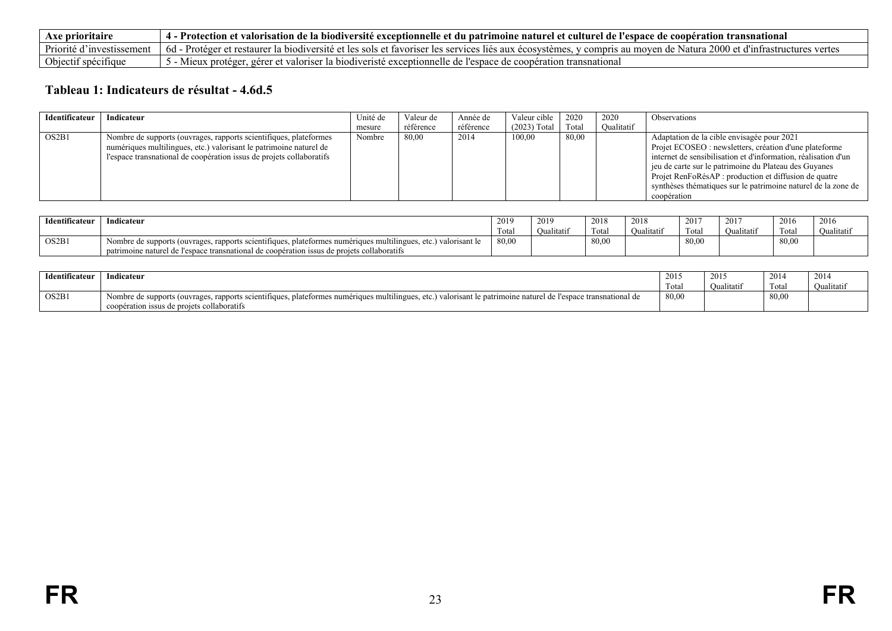| Axe prioritaire                | Protec.<br>t valorisation de la biodiversité exceptionnelle et du patrimoine naturel et culturel de l'espace de coopération transnational                                                          |
|--------------------------------|----------------------------------------------------------------------------------------------------------------------------------------------------------------------------------------------------|
| Priorité d<br>f investissement | $2000$ et d'infr<br>Natura<br>$6d -$<br>f la biodiversite et les sols et favoriser les services liés aux écosystèmes.<br>- Profeger et restaurer i<br>v compris au moven<br>vertes<br>rastructures |
| Objectif spécifique            | r la biodiveriste exceptionnelle de l'espace de coopération<br>et valoriser<br>1 transnational<br>gerer<br>proteger                                                                                |

# **Tableau 1: Indicateurs de résultat - 4.6d.5**

| Identificateur | Indicateur                                                                                                                                                                                                      | Unité de | Valeur de | Année de  | Valeur cible 1 | 2020  | 2020              | <b>Observations</b>                                                                                                                                                                                                                                                                                                                                       |
|----------------|-----------------------------------------------------------------------------------------------------------------------------------------------------------------------------------------------------------------|----------|-----------|-----------|----------------|-------|-------------------|-----------------------------------------------------------------------------------------------------------------------------------------------------------------------------------------------------------------------------------------------------------------------------------------------------------------------------------------------------------|
|                |                                                                                                                                                                                                                 | mesure   | référence | référence | $(2023)$ Total | Total | <b>Qualitatif</b> |                                                                                                                                                                                                                                                                                                                                                           |
| OS2B1          | Nombre de supports (ouvrages, rapports scientifiques, plateformes<br>numériques multilingues, etc.) valorisant le patrimoine naturel de<br>l'espace transnational de coopération issus de projets collaboratifs | Nombre   | 80,00     | 2014      | 100,00         | 80,00 |                   | Adaptation de la cible envisagée pour 2021<br>Projet ECOSEO : newsletters, création d'une plateforme<br>internet de sensibilisation et d'information, réalisation d'un<br>jeu de carte sur le patrimoine du Plateau des Guyanes<br>Projet RenFoRésAP : production et diffusion de quatre<br>synthèses thématiques sur le patrimoine naturel de la zone de |
|                |                                                                                                                                                                                                                 |          |           |           |                |       |                   | coopération                                                                                                                                                                                                                                                                                                                                               |

| <b>Identificateur</b> | Indicateur                                                                                                          | 2019  | 2019       | 2018              | 2018              | 201'  | 2017       | 2016  | 2016       |
|-----------------------|---------------------------------------------------------------------------------------------------------------------|-------|------------|-------------------|-------------------|-------|------------|-------|------------|
|                       |                                                                                                                     | Tota  | Oualitatif | Tota <sub>1</sub> | <b>Qualitatif</b> | Tota. | Oualitatif | Tota  | Oualitatif |
| OS2B1                 | plateformes numériques multilingues.<br>, etc.) valorisant<br>Nombre de supports (ouvrages, rapports scientifiques, | 80,00 |            | 80,00             |                   | 80,00 |            | 80,00 |            |
|                       | patrimoine naturel de l'espace transnational de coopération issus de projets collaboratifs                          |       |            |                   |                   |       |            |       |            |

<span id="page-22-0"></span>

| Identificateur | Indicateur                                                                                                                                                                                     | $\sim$<br>$201-$ | 2015      | 2014  | 2014      |
|----------------|------------------------------------------------------------------------------------------------------------------------------------------------------------------------------------------------|------------------|-----------|-------|-----------|
|                |                                                                                                                                                                                                | Total            | Jualitati | Tota  | Oualitati |
| OS2B1          | Nombre de supports (ouvrages,<br>3, plateformes numériques multilingues,<br>.) valorisant le patrimoine naturel de l'espace transnational de<br>rapports scientifiques.<br>$\Delta$<br>. UW. . | 80,00            |           | 80,00 |           |
|                | coopération issus de projets collaboratifs                                                                                                                                                     |                  |           |       |           |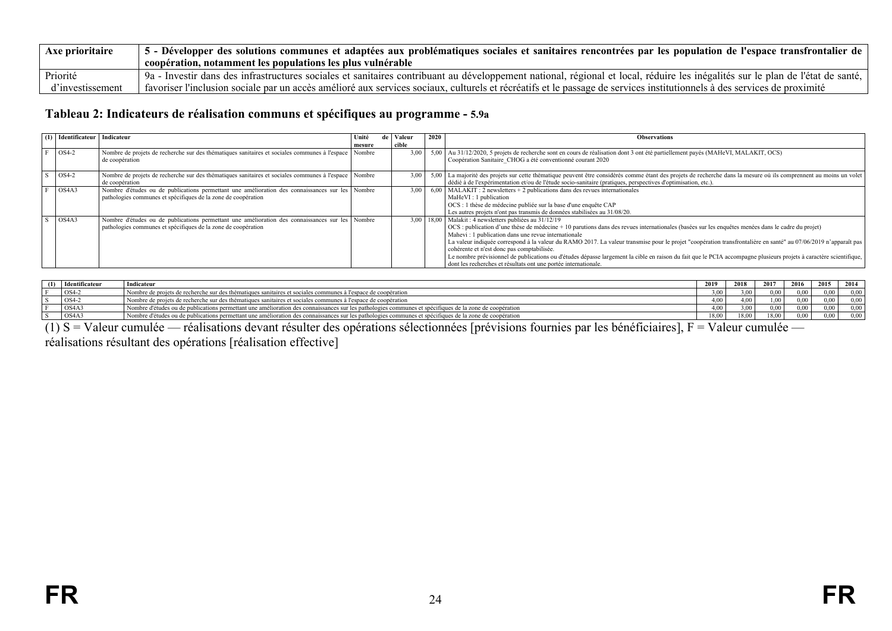| Axe prioritaire  | $\frac{1}{2}$ 5 - Développer des solutions communes et adaptées aux problématiques sociales et sanitaires rencontrées par les population de l'espace transfrontalier de l'    |
|------------------|-------------------------------------------------------------------------------------------------------------------------------------------------------------------------------|
|                  | coopération, notamment les populations les plus vulnérable                                                                                                                    |
| Priorité         | 9 - Investir dans des infrastructures sociales et sanitaires contribuant au développement national, régional et local, réduire les inégalités sur le plan de l'état de santé, |
| d'investissement | favoriser l'inclusion sociale par un accès amélioré aux services sociaux, culturels et récréatifs et le passage de services institutionnels à des services de proximité       |

## **Tableau 2: Indicateurs de réalisation communs et spécifiques au programme - 5.9a**

| (1) Identificateur   Indicateur |                                                                                                        | Unité  | de   Valeur             | 2020 | <b>Observations</b>                                                                                                                                                |
|---------------------------------|--------------------------------------------------------------------------------------------------------|--------|-------------------------|------|--------------------------------------------------------------------------------------------------------------------------------------------------------------------|
| OS4-2                           | Nombre de projets de recherche sur des thématiques sanitaires et sociales communes à l'espace Nombre   | mesure | cible<br>$3.00\text{ }$ |      | 5,00 Au 31/12/2020, 5 projets de recherche sont en cours de réalisation dont 3 ont été partiellement payés (MAHeVI, MALAKIT, OCS)                                  |
|                                 | de coopération                                                                                         |        |                         |      | Coopération Sanitaire CHOG a été conventionné courant 2020                                                                                                         |
| OS4-2                           | Nombre de projets de recherche sur des thématiques sanitaires et sociales communes à l'espace   Nombre |        | 3.00                    |      | 5.00 La majorité des projets sur cette thématique peuvent être considérés comme étant des projets de recherche dans la mesure où ils comprennent au moins un volet |
|                                 | de coopération                                                                                         |        |                         |      | dédié à de l'expérimentation et/ou de l'étude socio-sanitaire (pratiques, perspectives d'optimisation, etc.).                                                      |
| OS <sub>4</sub> A <sub>3</sub>  | Nombre d'études ou de publications permettant une amélioration des connaissances sur les Nombre        |        | 3.00                    |      | $6,00$   MALAKIT : 2 newsletters + 2 publications dans des revues internationales                                                                                  |
|                                 | pathologies communes et spécifiques de la zone de coopération                                          |        |                         |      | MaHeVI: 1 publication                                                                                                                                              |
|                                 |                                                                                                        |        |                         |      | OCS : 1 thèse de médecine publiée sur la base d'une enquête CAP                                                                                                    |
|                                 |                                                                                                        |        |                         |      | Les autres projets n'ont pas transmis de données stabilisées au 31/08/20.                                                                                          |
| OS <sub>4</sub> A <sub>3</sub>  | Nombre d'études ou de publications permettant une amélioration des connaissances sur les Nombre        |        |                         |      | 3,00   18,00   Malakit: 4 newsletters publiées au 31/12/19                                                                                                         |
|                                 | pathologies communes et spécifiques de la zone de coopération                                          |        |                         |      | OCS : publication d'une thèse de médecine + 10 parutions dans des revues internationales (basées sur les enquêtes menées dans le cadre du projet)                  |
|                                 |                                                                                                        |        |                         |      | Mahevi: 1 publication dans une revue internationale                                                                                                                |
|                                 |                                                                                                        |        |                         |      | La valeur indiquée correspond à la valeur du RAMO 2017. La valeur transmise pour le projet "coopération transfrontalière en santé" au 07/06/2019 n'apparaît pas    |
|                                 |                                                                                                        |        |                         |      | cohérente et n'est donc pas comptabilisée.                                                                                                                         |
|                                 |                                                                                                        |        |                         |      | Le nombre prévisionnel de publications ou d'études dépasse largement la cible en raison du fait que le PCIA accompagne plusieurs projets à caractère scientifique, |
|                                 |                                                                                                        |        |                         |      | dont les recherches et résultats ont une portée internationale.                                                                                                    |

| (1) | Identificateur | Indicateur                                                                                                                                             | -2010<br>-40 F | 2018           | 2017            | 2016     | 2015 | 2014 |
|-----|----------------|--------------------------------------------------------------------------------------------------------------------------------------------------------|----------------|----------------|-----------------|----------|------|------|
|     | OS4            | Nombre de projets de recherche sur des thématiques sanitaires et sociales communes à l'espace de coopération                                           | 3.00           | 0 <sup>0</sup> | ) 00            | 0.00     | 0.00 | 0.00 |
|     | $OS4-$         | Nombre de projets de recherche sur des thématiques sanitaires et sociales communes à l'espace de coopération                                           | 4.00           |                | 00              | $0.00 -$ | 0.00 |      |
|     | OS4A3          | Nombre d'études ou de publications permettant une amélioration des connaissances sur les pathologies communes et spécifiques de la zone de coopération | 4.00           |                | 00 <sub>0</sub> | 0.00     | 0.00 | 0.00 |
|     | OS4A3          | Nombre d'études ou de publications permettant une amélioration des connaissances sur les pathologies communes et spécifiques de la zone de coopération | 8.00           | 18.00          | 18,00           | 0.00     | 0.00 | 0.00 |

(1) S = Valeur cumulée — réalisations devant résulter des opérations sélectionnées [prévisions fournies par les bénéficiaires], F = Valeur cumulée —

<span id="page-23-0"></span>réalisations résultant des opérations [réalisation effective]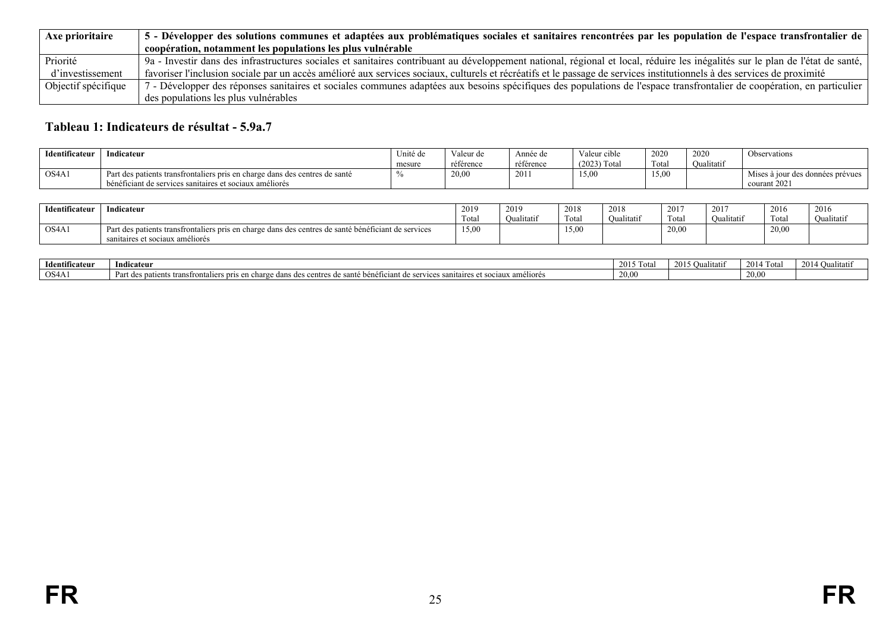| Axe prioritaire     | 5 - Développer des solutions communes et adaptées aux problématiques sociales et sanitaires rencontrées par les population de l'espace transfrontalier de                      |
|---------------------|--------------------------------------------------------------------------------------------------------------------------------------------------------------------------------|
|                     | coopération, notamment les populations les plus vulnérable                                                                                                                     |
| Priorité            | 9a - Investir dans des infrastructures sociales et sanitaires contribuant au développement national, régional et local, réduire les inégalités sur le plan de l'état de santé, |
| d'investissement    | favoriser l'inclusion sociale par un accès amélioré aux services sociaux, culturels et récréatifs et le passage de services institutionnels à des services de proximité        |
| Objectif spécifique | 7 - Développer des réponses sanitaires et sociales communes adaptées aux besoins spécifiques des populations de l'espace transfrontalier de coopération, en particulier        |
|                     | des populations les plus vulnérables                                                                                                                                           |

#### **Tableau 1: Indicateurs de résultat - 5.9a.7**

| Identificateur                 | Indicateur                                                                             | Unité de | Valeur de | Année de  | Valeur cible   | 2020  | 2020       | Observations                     |
|--------------------------------|----------------------------------------------------------------------------------------|----------|-----------|-----------|----------------|-------|------------|----------------------------------|
|                                |                                                                                        | mesure   | référence | référence | $(2023)$ Total | Fotal | Oualitatif |                                  |
| OS <sub>4</sub> A <sub>1</sub> | Part des patients transfrontaliers pris en charge dans des centres de santé            |          | 20,00     | 2011      | 15,00          | 15,00 |            | Mises à jour des données prévues |
|                                | $\cdot$ 1 $\cdot$<br>$\sim$<br>bénéficiant de services sanitaires et sociaux améliorés |          |           |           |                |       |            | courant 2021                     |

| Identificateur | Indicateur                                                                                                                                  | 2019<br><b>COLUMN</b><br>Tota. | 2019<br>Oualitatii | 2018<br>Total          | 2018<br>$\cdots$<br>'Jualitatif | 2017<br>$\sim$<br>Total | 2017<br><b>Jualitatif</b> | 201<br>zuic<br>Total | 201<br>$\sim$<br>Qualitatif |
|----------------|---------------------------------------------------------------------------------------------------------------------------------------------|--------------------------------|--------------------|------------------------|---------------------------------|-------------------------|---------------------------|----------------------|-----------------------------|
| $'$ OS4A1      | a patients transfrontaliers pris en charge dans des centres de santé bénéficiant de services<br>Part des<br>sanitaires et sociaux améliorés | 15,00                          |                    | $\sim$ $\sim$<br>12,00 |                                 | 20,00                   |                           | 20,00                |                             |

<span id="page-24-0"></span>

| Identificateu. | Indicateur                                                                                                                                                           | 2015<br>- 1 Ota | י ונזי<br>ուստ | 2014 Total | 2014<br>лиаптап |
|----------------|----------------------------------------------------------------------------------------------------------------------------------------------------------------------|-----------------|----------------|------------|-----------------|
| $'$ OS4A.      | .<br>transfronte<br>henetu<br>t sociaux améliorés<br>nris '<br>erge dans u<br>sante<br>ны нег<br><br>— осненстані че .<br>$\ldots$ and it is the set of $\sim$<br>سی | 0.00            |                | 20.00 L    |                 |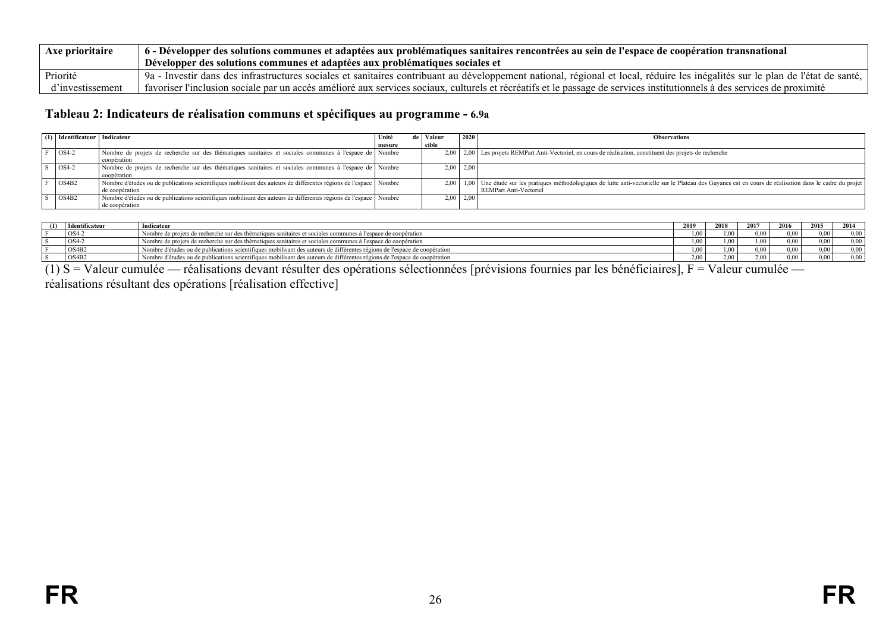| <b>Axe prioritaire</b> | $\pm$ 6 - Développer des solutions communes et adaptées aux problématiques sanitaires rencontrées au sein de l'espace de coopération transnational                             |
|------------------------|--------------------------------------------------------------------------------------------------------------------------------------------------------------------------------|
|                        | Développer des solutions communes et adaptées aux problématiques sociales et                                                                                                   |
| Priorité               | 9a - Investir dans des infrastructures sociales et sanitaires contribuant au développement national, régional et local, réduire les inégalités sur le plan de l'état de santé, |
| d'investissement       | favoriser l'inclusion sociale par un accès amélioré aux services sociaux, culturels et récréatifs et le passage de services institutionnels à des services de proximité        |

## **Tableau 2: Indicateurs de réalisation communs et spécifiques au programme - 6.9a**

| Identificateur   Indicateur |                                                                                                                        | Unité  | Valeur | 2020          | <b>Observations</b>                                                                                                                                                |
|-----------------------------|------------------------------------------------------------------------------------------------------------------------|--------|--------|---------------|--------------------------------------------------------------------------------------------------------------------------------------------------------------------|
|                             |                                                                                                                        | mesure | cible  |               |                                                                                                                                                                    |
| $OS4-2$                     | Nombre de projets de recherche sur des thématiques sanitaires et sociales communes à l'espace de Nombre<br>coopération |        |        |               | 2,00   2,00   Les projets REMPart Anti-Vectoriel, en cours de réalisation, constituent des projets de recherche                                                    |
|                             |                                                                                                                        |        |        |               |                                                                                                                                                                    |
| $OS4-2$                     | Nombre de projets de recherche sur des thématiques sanitaires et sociales communes à l'espace de Nombre                |        |        | $2,00$   2,00 |                                                                                                                                                                    |
|                             | coopération                                                                                                            |        |        |               |                                                                                                                                                                    |
| OS4B2                       | Nombre d'études ou de publications scientifiques mobilisant des auteurs de différentes régions de l'espace Nombre      |        |        |               | 2,00   1,00   Une étude sur les pratiques méthodologiques de lutte anti-vectorielle sur le Plateau des Guyanes est en cours de réalisation dans le cadre du projet |
|                             | de coopération                                                                                                         |        |        |               | REMPart Anti-Vectoriel                                                                                                                                             |
| OS4B2                       | Nombre d'études ou de publications scientifiques mobilisant des auteurs de différentes régions de l'espace   Nombre    |        |        | $2.00$   2.00 |                                                                                                                                                                    |
|                             | de coopération                                                                                                         |        |        |               |                                                                                                                                                                    |

| (1) | <b>Identificateur</b> | Indicateur                                                                                                                | 2019              | 2018 | 2017     | 2016     | 2015 | 2014 |
|-----|-----------------------|---------------------------------------------------------------------------------------------------------------------------|-------------------|------|----------|----------|------|------|
|     | OS4-2                 | l Nombre de projets de recherche sur des thématiques sanitaires et sociales communes à l'espace de coopération            | 1.00.             | .00. | $\Omega$ | 0.00     | 000  | 0.00 |
|     | $OS4-2$               | Nombre de projets de recherche sur des thématiques sanitaires et sociales communes à l'espace de coopération              | 00.1              | 1.00 |          | $0.00 -$ |      | 000  |
|     | OS4B2                 | Nombre d'études ou de publications scientifiques mobilisant des auteurs de différentes régions de l'espace de coopération | 1.00              | .00. | ۱ 00     | 0.00     | 000  | 0.00 |
|     | OS4B <sub>2</sub>     | Nombre d'études ou de publications scientifiques mobilisant des auteurs de différentes régions de l'espace de coopération | 2.00 <sub>1</sub> | 2.00 | 00'      | 0.00     |      | 0.00 |

<span id="page-25-0"></span>(1) S = Valeur cumulée — réalisations devant résulter des opérations sélectionnées [prévisions fournies par les bénéficiaires], F = Valeur cumulée réalisations résultant des opérations [réalisation effective]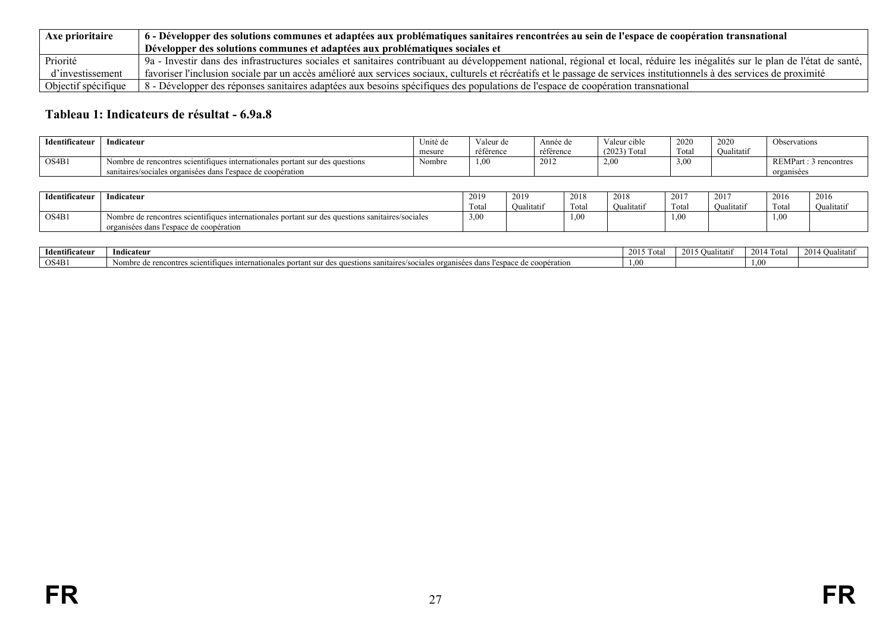| Axe prioritaire     | $\parallel$ 6 - Développer des solutions communes et adaptées aux problématiques sanitaires rencontrées au sein de l'espace de coopération transnational                       |
|---------------------|--------------------------------------------------------------------------------------------------------------------------------------------------------------------------------|
|                     | Développer des solutions communes et adaptées aux problématiques sociales et                                                                                                   |
| Priorité            | 9a - Investir dans des infrastructures sociales et sanitaires contribuant au développement national, régional et local, réduire les inégalités sur le plan de l'état de santé, |
| d'investissement    | favoriser l'inclusion sociale par un accès amélioré aux services sociaux, culturels et récréatifs et le passage de services institutionnels à des services de proximité        |
| Objectif spécifique | 8 - Développer des réponses sanitaires adaptées aux besoins spécifiques des populations de l'espace de coopération transnational                                               |

# **Tableau 1: Indicateurs de résultat - 6.9a.8**

| Identificateur | $\mathbf{v}$ . The set of $\mathbf{v}$<br>Indicateur                         | Jnité de | Valeur de | Année de  | Valeur cible   | 2020                  | 2020       | Observations            |
|----------------|------------------------------------------------------------------------------|----------|-----------|-----------|----------------|-----------------------|------------|-------------------------|
|                |                                                                              | mesure   | référence | référence | $(2023)$ Total | Total                 | Oualitatif |                         |
| OS4B1          | Nombre de rencontres scientifiques internationales portant sur des questions | Nombre   | 1,00      | 2012      | 2,00           | $\sim$ $\sim$<br>3.00 |            | REMPart<br>s rencontre. |
|                | sanitaires/sociales organisées dans l'espace de coopération                  |          |           |           |                |                       |            | organisées              |

| Identificateur | Indicateur                                                                                       | 2019  | 2019       | 2018  | 2018       | 2017                       | 2017      | 2016<br><b>2010</b> | 2016       |
|----------------|--------------------------------------------------------------------------------------------------|-------|------------|-------|------------|----------------------------|-----------|---------------------|------------|
|                |                                                                                                  | Total | Oualitatif | Total | Oualitatif | <b>CONTRACTOR</b><br>Total | Oualitati | Tota.               | Oualitatif |
| OS4B1          | Nombre de rencontres scientifiques internationales portant sur des questions sanitaires/sociales | 3.00  |            | 1,00  |            | 0.0c                       |           | 1.00                |            |
|                | organisées dans l'espace de coopération                                                          |       |            |       |            |                            |           |                     |            |

<span id="page-26-0"></span>

| .<br><b>Identificateur</b> | $\mathbf{v}$<br>Indicateur                                                                                                                                                                               | 201: | utati.<br>2 V L | $2014 -$<br>Tota | $\sim$ $\sim$<br>$\sim$<br>2014<br>- Vuaniau. |
|----------------------------|----------------------------------------------------------------------------------------------------------------------------------------------------------------------------------------------------------|------|-----------------|------------------|-----------------------------------------------|
| OS4B1                      | $\mathbf{v}$<br>nternationales<br>l'espac<br>coopération<br>Nombre de<br>a sanitaires/soc.<br>rencontres *<br><br>ales orgar<br>des at<br>ititique<br><b>BOY</b><br>۱۱۲۴۴۴۰<br>∕ د∩ د<br><br>--<br>تتحدث |      |                 | $\theta$         |                                               |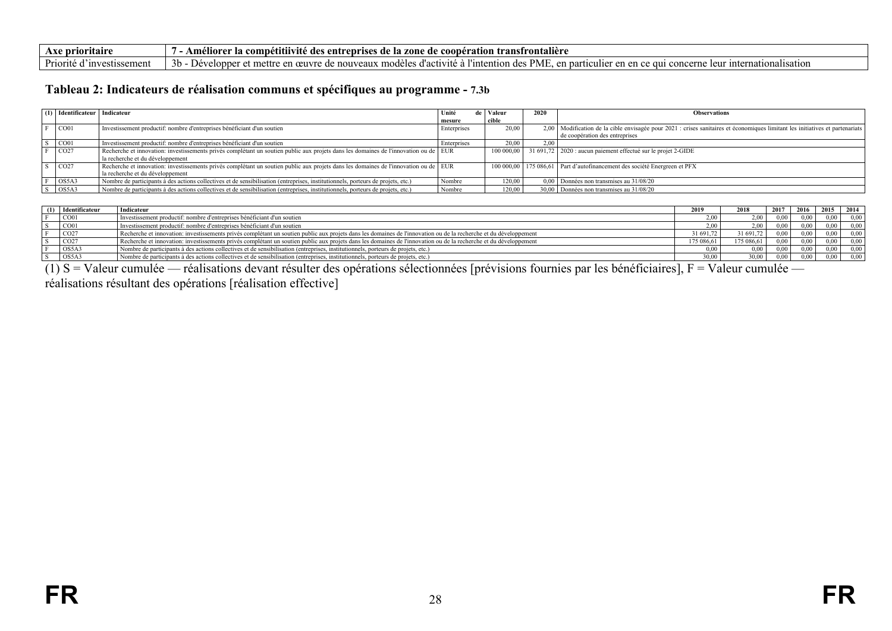| Axe prioritaire                | s entreprises de la zone de o<br>e coopération transfrontalière :<br>Ameliore <sup>,</sup><br>. comnetitiivite :<br>des                                                                                      |
|--------------------------------|--------------------------------------------------------------------------------------------------------------------------------------------------------------------------------------------------------------|
| Priorité d<br>l´investissement | $\mathbf{\cdot}$<br>. des PME<br>-3h<br>., modėles d'activite a "<br>leur internationalisation<br>mettre :<br>en particulier en en ce d<br>l'intention.<br>e en œuvre de nouveaux<br>elonnei<br>qui concerne |

#### **Tableau 2: Indicateurs de réalisation communs et spécifiques au programme - 7.3b**

| (1) | Identificateur   Indicateur |                                                                                                                                      | Unité       | de   Valeur | 2020 | <b>Observations</b>                                                                                                           |
|-----|-----------------------------|--------------------------------------------------------------------------------------------------------------------------------------|-------------|-------------|------|-------------------------------------------------------------------------------------------------------------------------------|
|     |                             |                                                                                                                                      | mesure      | cible       |      |                                                                                                                               |
|     | CO01                        | Investissement productif: nombre d'entreprises bénéficiant d'un soutien                                                              | Enterprises | 20.00       |      | 2,00 Modification de la cible envisagée pour 2021 : crises sanitaires et économiques limitant les initiatives et partenariats |
|     |                             |                                                                                                                                      |             |             |      | de coopération des entreprises                                                                                                |
|     | CO01                        | Investissement productif: nombre d'entreprises bénéficiant d'un soutien                                                              | Enterprises | 20.00       | 2.00 |                                                                                                                               |
|     | CO27                        | Recherche et innovation: investissements privés complétant un soutien public aux projets dans les domaines de l'innovation ou de EUR |             |             |      | 100 000,00   31 691,72   2020 : aucun paiement effectué sur le projet 2-GIDE                                                  |
|     |                             | la recherche et du développement                                                                                                     |             |             |      |                                                                                                                               |
|     | CO27                        | Recherche et innovation: investissements privés complétant un soutien public aux projets dans les domaines de l'innovation ou de EUR |             |             |      | 100 000,00   175 086,61   Part d'autofinancement des société Energreen et PFX                                                 |
|     |                             | la recherche et du développement                                                                                                     |             |             |      |                                                                                                                               |
|     | OS5A3                       | Nombre de participants à des actions collectives et de sensibilisation (entreprises, institutionnels, porteurs de projets, etc.)     | Nombre      | 120.00      |      | 0,00   Données non transmises au 31/08/20                                                                                     |
|     | OS5A3                       | Nombre de participants à des actions collectives et de sensibilisation (entreprises, institutionnels, porteurs de projets, etc.)     | Nombre      | 120,00      |      | 30,00 Données non transmises au 31/08/20                                                                                      |

| (1) | Identificateur    | Indicateur                                                                                                                                                        | 2019       | 2018       | 2017      | 2016 | 2015 | 2014 |
|-----|-------------------|-------------------------------------------------------------------------------------------------------------------------------------------------------------------|------------|------------|-----------|------|------|------|
|     | CO01              | Investissement productif: nombre d'entreprises bénéficiant d'un soutien                                                                                           |            |            | 0.00      | 0.00 |      | 0.00 |
|     | CO01              | Investissement productif: nombre d'entreprises bénéficiant d'un soutien                                                                                           |            |            | 0.00      | 0,00 |      | 0.00 |
|     | CO27              | Recherche et innovation: investissements privés complétant un soutien public aux projets dans les domaines de l'innovation ou de la recherche et du développement | 1691.72    | 31 691.72  | $_{0.00}$ | 0,00 |      | 0,00 |
|     | $\overline{CO}27$ | Recherche et innovation: investissements privés complétant un soutien public aux projets dans les domaines de l'innovation ou de la recherche et du développement | 175 086.61 | 175 086.61 | 0.00      | 0.00 |      | 0.00 |
|     | OS5A3             | Nombre de participants à des actions collectives et de sensibilisation (entreprises, institutionnels, porteurs de projets, etc.)                                  | D 00       |            | 0.00      | 0.00 |      | 0.00 |
|     | OS5A3             | Nombre de participants à des actions collectives et de sensibilisation (entreprises, institutionnels, porteurs de projets, etc.)                                  | 30,00      | 30,00      | 0.00      | 0,00 |      | 0,00 |

<span id="page-27-0"></span>(1) S = Valeur cumulée — réalisations devant résulter des opérations sélectionnées [prévisions fournies par les bénéficiaires], F = Valeur cumulée réalisations résultant des opérations [réalisation effective]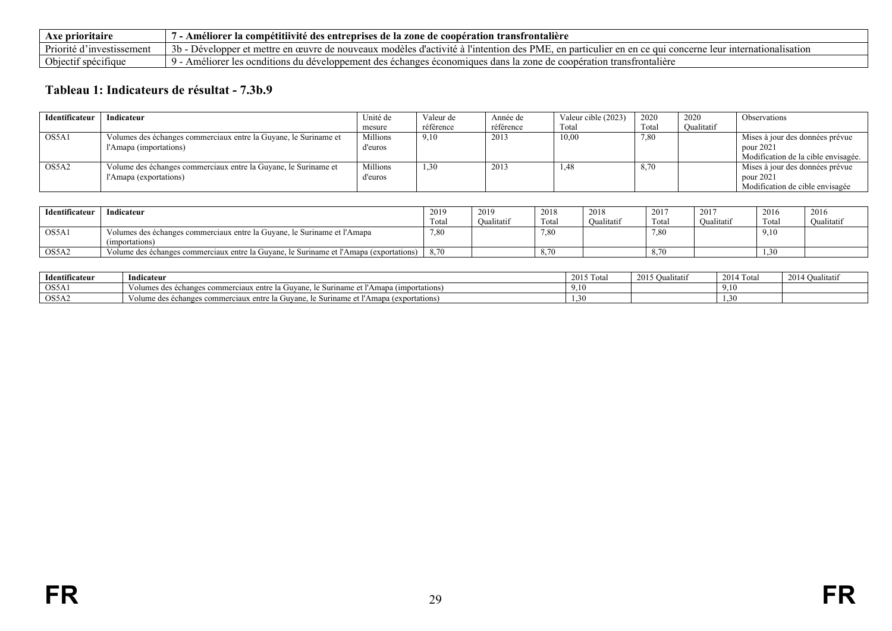| Axe prioritaire               | - Améliorer :<br>r la compétitiivité des entreprises de la zone de<br>cooperation transfrontaliere                                                                                                    |
|-------------------------------|-------------------------------------------------------------------------------------------------------------------------------------------------------------------------------------------------------|
| Priorité a<br>⊺investissement | 3 <sub>b</sub><br><b>PME</b><br>"intention c<br>Développer<br>'es d'activité a<br>e nouveaux modéles<br>en particu<br>`ationalisation<br>: mettre<br>euvre<br>oncerne<br>ce qui c<br>en<br>eur<br>-ae |
| Objectif<br>specifique        | Améliorei<br>transfrontaliere<br>echanges economi<br>r les ocnditions du developpement des l<br>es dans la zone de cooperation i                                                                      |

# **Tableau 1: Indicateurs de résultat - 7.3b.9**

| Identificateur | Indicateur                                                                                 | Unité de            | Valeur de | Année de  | Valeur cible (2023) | 2020  | 2020       | Observations                                                                        |
|----------------|--------------------------------------------------------------------------------------------|---------------------|-----------|-----------|---------------------|-------|------------|-------------------------------------------------------------------------------------|
|                |                                                                                            | mesure              | référence | référence | Total               | Tota. | Oualitatif |                                                                                     |
| OS5A1          | Volumes des échanges commerciaux entre la Guyane, le Suriname et<br>l'Amapa (importations) | Millions<br>d'euros | 9,10      | 2013      | 10,00               | 7.80  |            | Mises à jour des données prévue<br>pour 2021<br>Modification de la cible envisagée. |
| OS5A2          | Volume des échanges commerciaux entre la Guyane, le Suriname et<br>l'Amapa (exportations)  | Millions<br>d'euros | 1,30      | 2013      | 1,48                | 8,70  |            | Mises à jour des données prévue<br>pour 2021<br>Modification de cible envisagée     |

| Identificateur | Indicateur                                                                                 | 2019<br>Total | 2019<br>Oualitatif | 2018<br>Total | 2018<br>Oualitatif | 2017<br>Tota. | 2017<br>Oualitatif | 2016<br>Total | 2016<br>Oualitatif |
|----------------|--------------------------------------------------------------------------------------------|---------------|--------------------|---------------|--------------------|---------------|--------------------|---------------|--------------------|
| OS5A1          | Volumes des échanges commerciaux entre la Guyane, le Suriname et l'Amapa<br>(importations) | 7,80          |                    | 7,80          |                    | 7,80          |                    | 9,10          |                    |
| OS5A2          | Volume des échanges commerciaux entre la Guyane, le Suriname et l'Amapa (exportations)     | 8.70          |                    |               |                    |               |                    | $\sim$        |                    |

<span id="page-28-0"></span>

| Identificateur      | ndicateur                                                                                            | 2015 Total                  | 2015 Oualitatif | 2014 Tota | $2014$ Ot<br>∕ualıtatıf |
|---------------------|------------------------------------------------------------------------------------------------------|-----------------------------|-----------------|-----------|-------------------------|
| $\overline{OS5A}$   | le Suriname et l'Amapa (<br><i>importations</i><br>Volumes des échanges commerciaux entre la Guvane. | 9.10                        |                 | 9.10      |                         |
| $\overline{)$ OS5A2 | Amapa<br>a (exportations)<br>le Suriname et l<br>Volume des échanges commerciaux entre la Guvane.    | 30.<br>$\sim$ $\sim$ $\sim$ |                 |           |                         |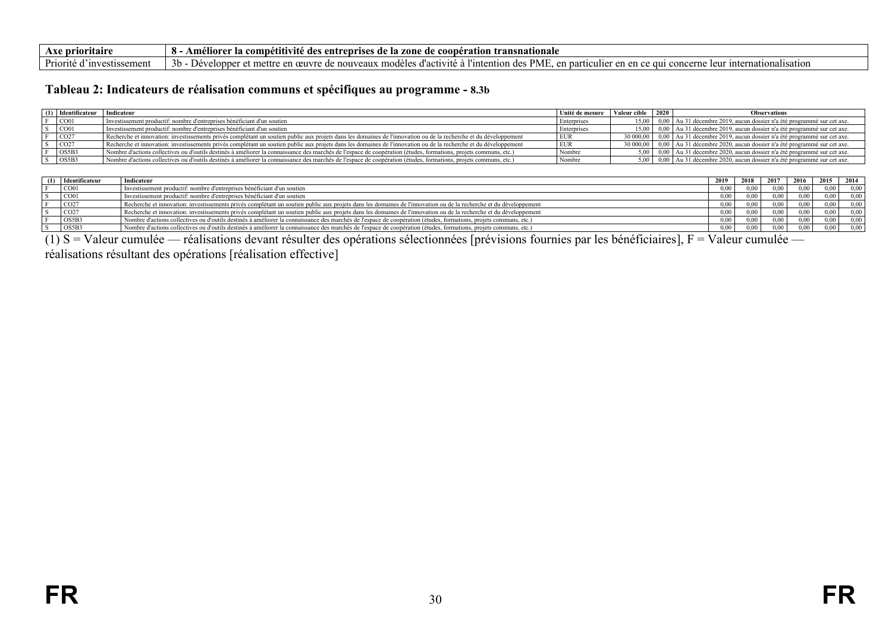| <b>\xe prioritaire</b><br>ААС.                                           | competitivité des<br>entreprises de la zone<br>ı transnatıonale<br>Ameli<br>-de<br>coone<br>ration:                                                                             |
|--------------------------------------------------------------------------|---------------------------------------------------------------------------------------------------------------------------------------------------------------------------------|
| Dr <sub>i</sub><br>estissement<br>orite<br>$^{\circ}$ 111 $\mathrm{V}$ 6 | $\sim$ $\sim$<br>PME.<br>.<br>nationalisation<br>tention u<br>en partio<br>1te<br>mettre<br>culie<br>≜HV†<br>3 <sub>b</sub><br>eloppe<br>del<br>veaux<br>con.<br>. des<br>1 L.V |

#### **Tableau 2: Indicateurs de réalisation communs et spécifiques au programme - 8.3b**

| $(1)$ Identificateur  | Indicateur                                                                                                                                                        | Unité de mesure Valeur cible | $\begin{array}{c} 2020 \end{array}$ | <b>Observations</b>                                                                              |
|-----------------------|-------------------------------------------------------------------------------------------------------------------------------------------------------------------|------------------------------|-------------------------------------|--------------------------------------------------------------------------------------------------|
| $\sim$ CO01           | Investissement productif: nombre d'entreprises bénéficiant d'un soutien                                                                                           | Enterprises                  |                                     | 15,00   0,00   Au 31 décembre 2019, aucun dossier n'a été programmé sur cet axe.                 |
| CO <sub>01</sub>      | Investissement productif: nombre d'entreprises bénéficiant d'un soutien                                                                                           | Enterprises                  |                                     | 15,00   0,00   Au 31 décembre 2019, aucun dossier n'a été programmé sur cet axe.                 |
| $\overline{CO27}$     | Recherche et innovation: investissements privés complétant un soutien public aux projets dans les domaines de l'innovation ou de la recherche et du développement |                              |                                     | 30 000,00 $\vert$ 0,00 $\vert$ Au 31 décembre 2019, aucun dossier n'a été programmé sur cet axe. |
| CO27                  | Recherche et innovation: investissements privés complétant un soutien public aux projets dans les domaines de l'innovation ou de la recherche et du développement | <b>EUR</b>                   |                                     | $3000000$   0,00   Au 31 décembre 2020, aucun dossier n'a été programmé sur cet axe.             |
| $\sum$ OS5B3          | Nombre d'actions collectives ou d'outils destinés à améliorer la connaissance des marchés de l'espace de coopération (études, formations, projets communs, etc.)  | Nombre                       |                                     | $5,00$   0,00   Au 31 décembre 2020, aucun dossier n'a été programmé sur cet axe.                |
| $\log$ <sub>5B3</sub> | Nombre d'actions collectives ou d'outils destinés à améliorer la connaissance des marchés de l'espace de coopération (études, formations, projets communs, etc.)  | Nombre                       |                                     | 5,00   0,00   Au 31 décembre 2020, aucun dossier n'a été programmé sur cet axe.                  |

| Identificateur    | Indicateur                                                                                                                                                        | 2019     | 2018 | 2017     | 2016 | 2015 | 2014 |
|-------------------|-------------------------------------------------------------------------------------------------------------------------------------------------------------------|----------|------|----------|------|------|------|
| CO01              | Investissement productif: nombre d'entreprises bénéficiant d'un soutien                                                                                           | $0.00 -$ | 0.00 | 0.00     | 0.00 | 0.00 | 0.00 |
| $\sim$ CO01       | Investissement productif: nombre d'entreprises bénéficiant d'un soutien                                                                                           | 0.00     | 0.00 | 0.00     | 0.00 | 0.00 | 0,00 |
| $\overline{CO27}$ | Recherche et innovation: investissements privés complétant un soutien public aux projets dans les domaines de l'innovation ou de la recherche et du développement | 000      | 0.00 | 0.00     | 0.00 | 0.00 | 0.00 |
| $\overline{CO27}$ | Recherche et innovation: investissements privés complétant un soutien public aux projets dans les domaines de l'innovation ou de la recherche et du développement | 0.00     | 0.00 | 0.00     | 0.00 | 0.00 | 0.00 |
| OS5B3             | Nombre d'actions collectives ou d'outils destinés à améliorer la connaissance des marchés de l'espace de coopération (études, formations, projets communs, etc.)  | 0.00     | 0,00 | $0.00 -$ | 0.00 | 0.00 | 0,00 |
| OS5B3             | Nombre d'actions collectives ou d'outils destinés à améliorer la connaissance des marchés de l'espace de coopération (études, formations, projets communs, etc.)  | 000      | 0.00 | $0.00 -$ | 0.00 | 0.00 | 0,00 |

(1) S = Valeur cumulée — réalisations devant résulter des opérations sélectionnées [prévisions fournies par les bénéficiaires], F = Valeur cumulée —

<span id="page-29-0"></span>réalisations résultant des opérations [réalisation effective]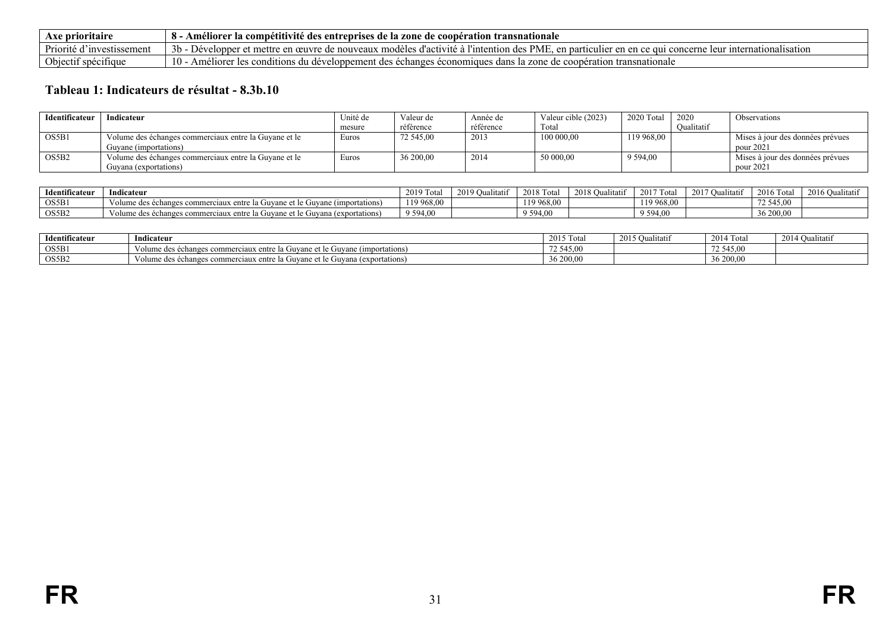| <b>\xe prioritaire</b>                         | $- - -$<br>o<br>Ame.<br>s entrenrises<br>-competitivité des<br>s de la zone-<br>transnationale<br>cooperation<br>: de                                                                 |
|------------------------------------------------|---------------------------------------------------------------------------------------------------------------------------------------------------------------------------------------|
| Priorité c<br>. Inv $\epsilon$<br>vestissement | <b>PMF</b><br>''intention<br>⊤modeles ∶<br>d'activ<br>mettre<br>en particulie.<br>nationalisation<br>. in .<br>cerne<br>ഘ<br>ouvea<br>eloppo<br>en<br>ae.                             |
| Obiectii<br>t specifique                       | 10<br>s du develc<br>zone<br>transnationale<br>onnemer<br>ησρο<br>conditions<br>enore<br>ecna <sup>r</sup><br>ues dans<br>s econo<br>: ge<br>$\Delta \Pi$<br>u<br>nucialiti.<br>. EUN |

# **Tableau 1: Indicateurs de résultat - 8.3b.10**

| Identificateur | Indicateur                                            | Unité de | Valeur de | Année de  | Valeur cible (2023) | 2020 Tota   | 2020       | Observations                     |
|----------------|-------------------------------------------------------|----------|-----------|-----------|---------------------|-------------|------------|----------------------------------|
|                |                                                       | mesure   | référence | référence | Total               |             | Oualitatif |                                  |
| OS5B1          | Volume des échanges commerciaux entre la Guyane et le | Euros    | 72 545,00 | 2013      | 100 000,00          | 119 968,00  |            | Mises à jour des données prévues |
|                | Guvane (importations)                                 |          |           |           |                     |             |            | pour 2021                        |
| OS5B2          | Volume des échanges commerciaux entre la Guyane et le | Euros    | 36 200,00 | 2014      | 50 000,00           | 9 5 9 4 0 0 |            | Mises à jour des données prévues |
|                | Guyana (exportations)                                 |          |           |           |                     |             |            | pour 2021                        |

| $\cdots$<br>Identificateu <sup>.</sup> | Indicateur                                                                        | 2010T<br>Tota<br>ZU L | 2019<br>ılıtatıf<br>- uu | 2018 To<br>Tota | 2018 Oualitatif | 0.17T<br>' Total<br>-20 F | 2017O <sub>0</sub><br>Jualitatif | 2016 Total | 2016O <sub>1</sub><br>Jualitatif |
|----------------------------------------|-----------------------------------------------------------------------------------|-----------------------|--------------------------|-----------------|-----------------|---------------------------|----------------------------------|------------|----------------------------------|
| OS5B1                                  | Volume des échanges commerciaux entre la Guvane et le Guvane (importations)       | 19968,00              |                          | 110.06<br>68,00 |                 | 119 968 <sub>-</sub>      |                                  | 72 545,00  |                                  |
| OS5B2                                  | le Guyana (exportations)<br>Volume des échanges commerciaux entre la Guyane et le | 9 594,00              |                          | 9 5 9 4 0 0     |                 | 9 5 9 4 0 6               |                                  | 36 200,00  |                                  |

<span id="page-30-0"></span>

| Identificateur | $\mathbf{v}$ . The set of $\mathbf{v}$<br>Indicateur                        | 2015T<br>Tota<br>ر ر ر | $2015 \Omega$<br>Oualitatii | 2014 To<br>Tota | 2014 Qualitatif |
|----------------|-----------------------------------------------------------------------------|------------------------|-----------------------------|-----------------|-----------------|
| OS5B1          | Volume des échanges commerciaux entre la Guvane et le Guvane (importations) | $-$ -<br>545.00        |                             | .               |                 |
| OS5B2          | Volume des échanges commerciaux entre la Guyane et le Guyana (exportations) | 36 200,00              |                             | 36 200,0        |                 |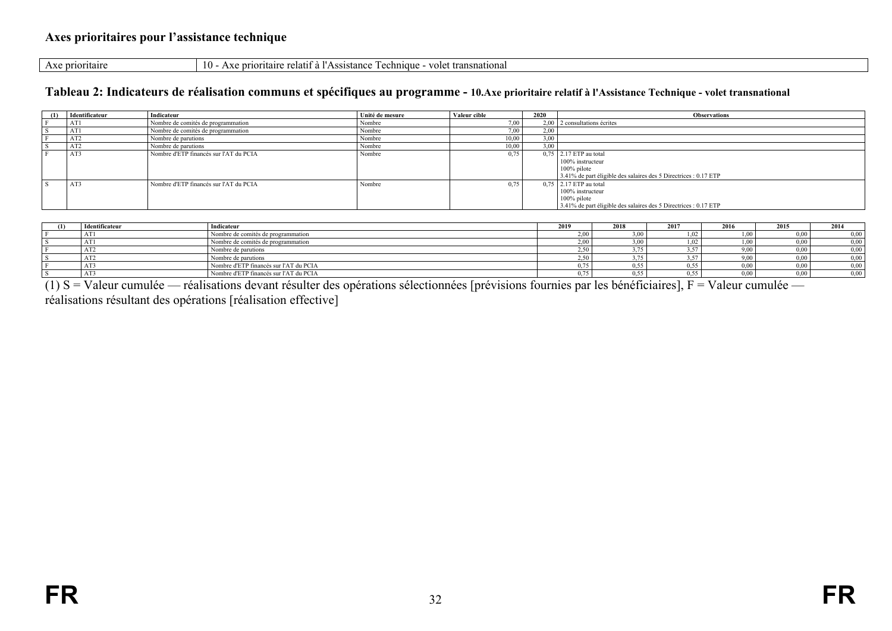Axe prioritaire 10 - Axe prioritaire relatif à l'Assistance Technique - volet transnational

#### **Tableau 2: Indicateurs de réalisation communs et spécifiques au programme - 10.Axe prioritaire relatif à l'Assistance Technique - volet transnational**

| (1) | Identificateur | Indicateur                             | Unité de mesure | Valeur cible | 2020 | <b>Observations</b>                                              |
|-----|----------------|----------------------------------------|-----------------|--------------|------|------------------------------------------------------------------|
|     | AT1            | Nombre de comités de programmation     | Nombre          | 7.00         |      | $2,00$   2 consultations écrites                                 |
|     | AT1            | Nombre de comités de programmation     | Nombre          | $7,00$ ,     | 2,00 |                                                                  |
|     | AT2            | Nombre de parutions                    | Nombre          | 10,00        | 3,00 |                                                                  |
|     | AIJ            | Nombre de parutions                    | Nombre          | 10,00        | 3.00 |                                                                  |
|     | AT3            | Nombre d'ETP financés sur l'AT du PCIA | Nombre          | 0.75         |      | 0,75 2.17 ETP au total                                           |
|     |                |                                        |                 |              |      | 100% instructeur                                                 |
|     |                |                                        |                 |              |      | $100\%$ pilote                                                   |
|     |                |                                        |                 |              |      | 3.41% de part éligible des salaires des 5 Directrices : 0.17 ETP |
|     | 1.772<br>A13   | Nombre d'ETP financés sur l'AT du PCIA | Nombre          | 0.75         |      | $0.75$ 2.17 ETP au total                                         |
|     |                |                                        |                 |              |      | 100% instructeur                                                 |
|     |                |                                        |                 |              |      | $100\%$ pilote                                                   |
|     |                |                                        |                 |              |      | 3.41% de part éligible des salaires des 5 Directrices : 0.17 ETP |

| Identificateur | Indicateur                             | 2019  | 2018      | 2017 | 2016         | 2015 | 2014 |
|----------------|----------------------------------------|-------|-----------|------|--------------|------|------|
| ΑI.            | Nombre de comités de programmation     | 2.00  | 00, 8     |      |              |      | 0.00 |
| <b>AL</b>      | Nombre de comités de programmation     | 2,00  | 3,00      | .02  | . . v        |      | 0.00 |
| n 12           | Nombre de parutions                    | 2.50  | $-$       | $-$  | 9.UU         |      | 0.00 |
| <b>AIL</b>     | Nombre de parutions                    | 2,50  | 75<br>,,, |      | 9,00         |      | 0.00 |
|                | Nombre d'ETP financés sur l'AT du PCIA | $- -$ | 0.55      | 0.55 | n nn<br>J.UU |      | 0.00 |
| A 1 J          | Nombre d'ETP financés sur l'AT du PCIA |       | 0.55      | 0.55 | v.vv         |      | 0.00 |

(1) S = Valeur cumulée — réalisations devant résulter des opérations sélectionnées [prévisions fournies par les bénéficiaires], F = Valeur cumulée —

<span id="page-31-1"></span><span id="page-31-0"></span>réalisations résultant des opérations [réalisation effective]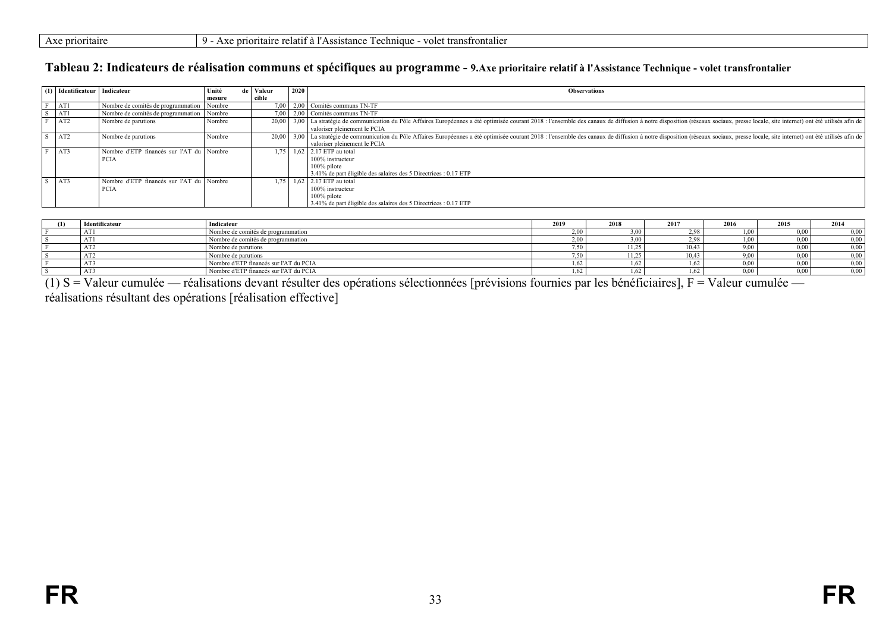| $- -$<br>AXU | prioritaire | $\Omega$<br>. | .<br>t transfrontalier<br>volet<br>chnique<br>ritaire<br>.ance<br>$r_{\Delta}$ $\sim$<br>$\sim$<br>$\sim$<br>.<br>161 L<br>$\sim$<br>.<br>. |
|--------------|-------------|---------------|---------------------------------------------------------------------------------------------------------------------------------------------|
|              |             |               |                                                                                                                                             |

#### **Tableau 2: Indicateurs de réalisation communs et spécifiques au programme - 9.Axe prioritaire relatif à l'Assistance Technique - volet transfrontalier**

| (1) Identificateur Indicateur |                                             | Unité  | de   Valeur | 2020 | <b>Observations</b>                                                                                                                                                                                                            |
|-------------------------------|---------------------------------------------|--------|-------------|------|--------------------------------------------------------------------------------------------------------------------------------------------------------------------------------------------------------------------------------|
|                               |                                             | mesure | cible       |      |                                                                                                                                                                                                                                |
| AT1                           | Nombre de comités de programmation   Nombre |        |             |      | 7.00   2.00   Comités communs TN-TF                                                                                                                                                                                            |
| AT1                           | Nombre de comités de programmation   Nombre |        |             |      | 7.00   2.00   Comités communs TN-TF                                                                                                                                                                                            |
| AT <sub>2</sub>               | Nombre de parutions                         | Nombre |             |      | 20.00 13.00 La stratégie de communication du Pôle Affaires Européennes a été optimisée courant 2018 : l'ensemble des canaux de diffusion à notre disposition (réseaux sociaux, presse locale, site internet) ont été utilisés  |
|                               |                                             |        |             |      | valoriser pleinement le PCIA                                                                                                                                                                                                   |
| AT2                           | Nombre de parutions                         | Nombre |             |      | 20.00 1 3.00 La stratégie de communication du Pôle Affaires Européennes a été optimisée courant 2018 : l'ensemble des canaux de diffusion à notre disposition (réseaux sociaux, presse locale, site internet) ont été utilisés |
|                               |                                             |        |             |      | valoriser pleinement le PCIA                                                                                                                                                                                                   |
| AT3                           | Nombre d'ETP financés sur l'AT du l'Nombre  |        | 1.75        |      | $1.62$ 2.17 ETP au total                                                                                                                                                                                                       |
|                               | <b>PCIA</b>                                 |        |             |      | 100% instructeur                                                                                                                                                                                                               |
|                               |                                             |        |             |      | 100% pilote                                                                                                                                                                                                                    |
|                               |                                             |        |             |      | 3.41% de part éligible des salaires des 5 Directrices : 0.17 ETP                                                                                                                                                               |
| AT3                           | Nombre d'ETP financés sur l'AT du Nombre    |        | 1.75        |      | 1.62 $\vert$ 2.17 ETP au total                                                                                                                                                                                                 |
|                               | <b>PCIA</b>                                 |        |             |      | 100% instructeur                                                                                                                                                                                                               |
|                               |                                             |        |             |      | $100\%$ pilote                                                                                                                                                                                                                 |
|                               |                                             |        |             |      | 3.41% de part éligible des salaires des 5 Directrices : 0.17 ETP                                                                                                                                                               |

| (1) | Identificateur  | Indicateur                             | 2019 | 2018                  | 2017  | 2016 | 2015     | 2014 |
|-----|-----------------|----------------------------------------|------|-----------------------|-------|------|----------|------|
|     | AT1             | Nombre de comités de programmation     |      | .00 <sub>1</sub>      | ე იღ  |      | 0.001    | 0,00 |
|     | AT1             | Nombre de comités de programmation     |      | ,00 <sup>1</sup>      | 2.98  | L,UU | $0.00\,$ | 0,00 |
|     | AT <sub>2</sub> | Nombre de parutions                    |      | $11.25$ .<br>ن کے لئا | 10.43 | 9,00 | 0.001    | 0,00 |
|     | AT <sub>2</sub> | Nombre de parutions                    |      | 11.25<br>رے یا        | 10.43 | 9,00 | $0.00\,$ | 0,00 |
|     | AT3             | Nombre d'ETP financés sur l'AT du PCIA |      | $\epsilon$            |       | 0,00 | $0.00\,$ | 0,00 |
|     | AT3             | Nombre d'ETP financés sur l'AT du PCIA |      | $\sim$                | .62   | 0.00 | 0.001    | 0,00 |

<span id="page-32-0"></span>(1) S = Valeur cumulée — réalisations devant résulter des opérations sélectionnées [prévisions fournies par les bénéficiaires], F = Valeur cumulée réalisations résultant des opérations [réalisation effective]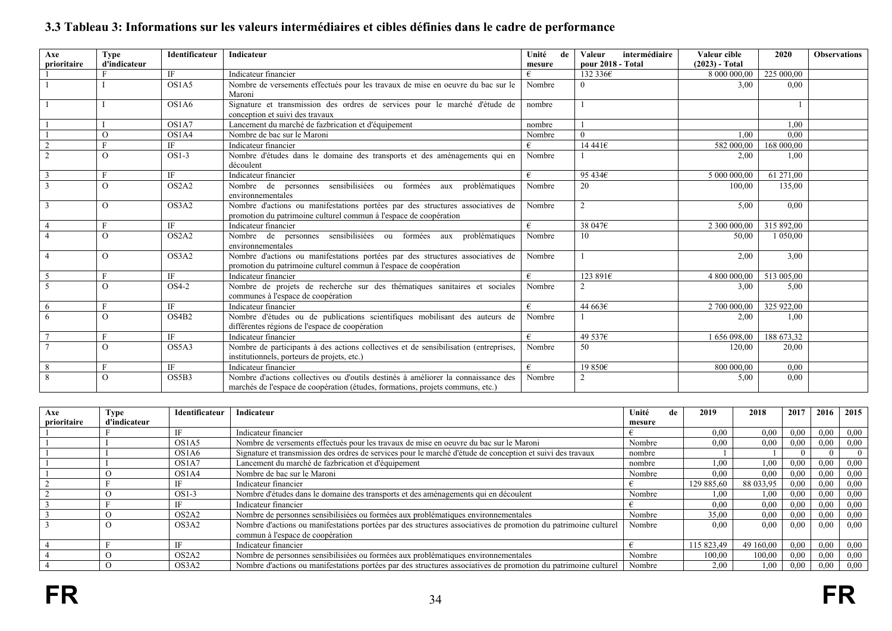| Axe<br>prioritaire | <b>Type</b><br>d'indicateur | Identificateur | Indicateur                                                                                                                                                          | Unité<br>de<br>mesure | intermédiaire<br><b>Valeur</b><br>pour 2018 - Total | Valeur cible<br>$(2023)$ - Total | 2020       | <b>Observations</b> |
|--------------------|-----------------------------|----------------|---------------------------------------------------------------------------------------------------------------------------------------------------------------------|-----------------------|-----------------------------------------------------|----------------------------------|------------|---------------------|
|                    |                             | IF             | Indicateur financier                                                                                                                                                | €                     | 132 336€                                            | 8 000 000,00                     | 225 000,00 |                     |
|                    |                             | OS1A5          | Nombre de versements effectués pour les travaux de mise en oeuvre du bac sur le                                                                                     |                       | 3,00                                                | 0,00                             |            |                     |
|                    |                             |                | Maroni                                                                                                                                                              | Nombre                |                                                     |                                  |            |                     |
|                    |                             | OS1A6          | Signature et transmission des ordres de services pour le marché d'étude de<br>conception et suivi des travaux                                                       | nombre                |                                                     |                                  |            |                     |
|                    |                             | OS1A7          | Lancement du marché de fazbrication et d'équipement                                                                                                                 | nombre                |                                                     |                                  | 1,00       |                     |
|                    | $\Omega$                    | OS1A4          | Nombre de bac sur le Maroni                                                                                                                                         | Nombre                |                                                     | 1.00                             | 0.00       |                     |
|                    |                             | IF             | Indicateur financier                                                                                                                                                | €                     | 14 441€                                             | 582 000,00                       | 168 000,00 |                     |
|                    | $\Omega$                    | $OS1-3$        | Nombre d'études dans le domaine des transports et des aménagements qui en<br>découlent                                                                              | Nombre                |                                                     | 2,00                             | 1.00       |                     |
|                    | E                           | IF             | Indicateur financier                                                                                                                                                | €                     | 95 434€                                             | 5 000 000,00                     | 61 271,00  |                     |
|                    | $\Omega$                    | OS2A2          | Nombre de personnes sensibilisiées ou formées aux problématiques<br>environnementales                                                                               | Nombre                | 20                                                  | 100,00                           | 135,00     |                     |
|                    | $\Omega$                    | OS3A2          | Nombre d'actions ou manifestations portées par des structures associatives de<br>promotion du patrimoine culturel commun à l'espace de coopération                  | Nombre                | $\overline{2}$                                      | 5,00                             | 0.00       |                     |
|                    | F                           | IF             | Indicateur financier                                                                                                                                                | €                     | 38 047€                                             | 2 300 000,00                     | 315 892.00 |                     |
|                    | $\Omega$                    | OS2A2          | Nombre de personnes sensibilisiées ou formées aux problématiques<br>environnementales                                                                               | Nombre                | 10                                                  | 50.00                            | 1 050,00   |                     |
|                    | $\Omega$                    | OS3A2          | Nombre d'actions ou manifestations portées par des structures associatives de<br>promotion du patrimoine culturel commun à l'espace de coopération                  | Nombre                |                                                     | 2,00                             | 3,00       |                     |
| 5                  |                             | IF             | Indicateur financier                                                                                                                                                | €                     | 123 891€                                            | 4 800 000,00                     | 513 005,00 |                     |
|                    | $\Omega$                    | $OS4-2$        | Nombre de projets de recherche sur des thématiques sanitaires et sociales<br>communes à l'espace de coopération                                                     | Nombre                |                                                     | 3,00                             | 5,00       |                     |
| 6                  | F                           | IF             | Indicateur financier                                                                                                                                                | €                     | 44 663€                                             | 2 700 000,00                     | 325 922,00 |                     |
|                    | $\Omega$                    | OS4B2          | Nombre d'études ou de publications scientifiques mobilisant des auteurs de<br>différentes régions de l'espace de coopération                                        | Nombre                |                                                     | 2.00                             | 1,00       |                     |
|                    | F                           | IF.            | Indicateur financier                                                                                                                                                | €                     | 49 537€                                             | 1656098,00                       | 188 673,32 |                     |
|                    | $\Omega$                    | OS5A3          | Nombre de participants à des actions collectives et de sensibilisation (entreprises,<br>institutionnels, porteurs de projets, etc.)                                 | Nombre                | 50                                                  | 120,00                           | 20,00      |                     |
|                    | F                           | IF             | Indicateur financier                                                                                                                                                | €                     | 19 850€                                             | 800 000.00                       | 0,00       |                     |
|                    | $\Omega$                    | OS5B3          | Nombre d'actions collectives ou d'outils destinés à améliorer la connaissance des<br>marchés de l'espace de coopération (études, formations, projets communs, etc.) | Nombre                | $\overline{2}$                                      | 5,00                             | 0,00       |                     |

# **3.3 Tableau 3: Informations sur les valeurs intermédiaires et cibles définies dans le cadre de performance**

<span id="page-33-0"></span>

| Axe         | <b>Type</b>  | Identificateur                 | Indicateur                                                                                                     | Unité<br>de | 2019       | 2018      | 2017 | 2016 | 2015 |
|-------------|--------------|--------------------------------|----------------------------------------------------------------------------------------------------------------|-------------|------------|-----------|------|------|------|
| prioritaire | d'indicateur |                                |                                                                                                                | mesure      |            |           |      |      |      |
|             |              | IF                             | Indicateur financier                                                                                           |             | 0.00       | 0.00      | 0.00 | 0.00 | 0.00 |
|             |              | OS <sub>1</sub> A <sub>5</sub> | Nombre de versements effectués pour les travaux de mise en oeuvre du bac sur le Maroni                         | Nombre      | 0.00       | 0.00      | 0.00 | 0.00 | 0.00 |
|             |              | OS <sub>1</sub> A <sub>6</sub> | Signature et transmission des ordres de services pour le marché d'étude de conception et suivi des travaux     | nombre      |            |           |      |      |      |
|             |              | OS1A7                          | Lancement du marché de fazbrication et d'équipement                                                            | nombre      | 1.00       | 1.00      | 0.00 | 0.00 | 0.00 |
|             |              | OS1A4                          | Nombre de bac sur le Maroni                                                                                    | Nombre      | 0.00       | 0.00      | 0.00 | 0.00 | 0.00 |
|             |              | ΙF                             | Indicateur financier                                                                                           |             | 129 885.60 | 88 033,95 | 0.00 | 0.00 | 0.00 |
|             |              | $OS1-3$                        | Nombre d'études dans le domaine des transports et des aménagements qui en découlent                            | Nombre      | $1.00\,$   | 1.00      | 0.00 | 0.00 | 0.00 |
|             |              | ΙF                             | Indicateur financier                                                                                           |             | 0.00       | 0.00      | 0.00 | 0,00 | 0.00 |
|             |              | OS <sub>2</sub> A <sub>2</sub> | Nombre de personnes sensibilisiées ou formées aux problématiques environnementales                             | Nombre      | 35,00      | 0.00      | 0.00 | 0,00 | 0.00 |
|             |              | OS3A2                          | Nombre d'actions ou manifestations portées par des structures associatives de promotion du patrimoine culturel | Nombre      | 0.00       | 0.00      | 0.00 | 0.00 | 0.00 |
|             |              |                                | commun à l'espace de coopération                                                                               |             |            |           |      |      |      |
|             |              | ĪF                             | Indicateur financier                                                                                           |             | 115 823.49 | 49 160,00 | 0.00 | 0.00 | 0.00 |
|             |              | OS <sub>2</sub> A <sub>2</sub> | Nombre de personnes sensibilisiées ou formées aux problématiques environnementales                             | Nombre      | 100.00     | 100,00    | 0.00 | 0,00 | 0.00 |
|             |              | OS3A2                          | Nombre d'actions ou manifestations portées par des structures associatives de promotion du patrimoine culturel | Nombre      | 2.00       | 1.00      | 0.00 | 0.00 | 0.00 |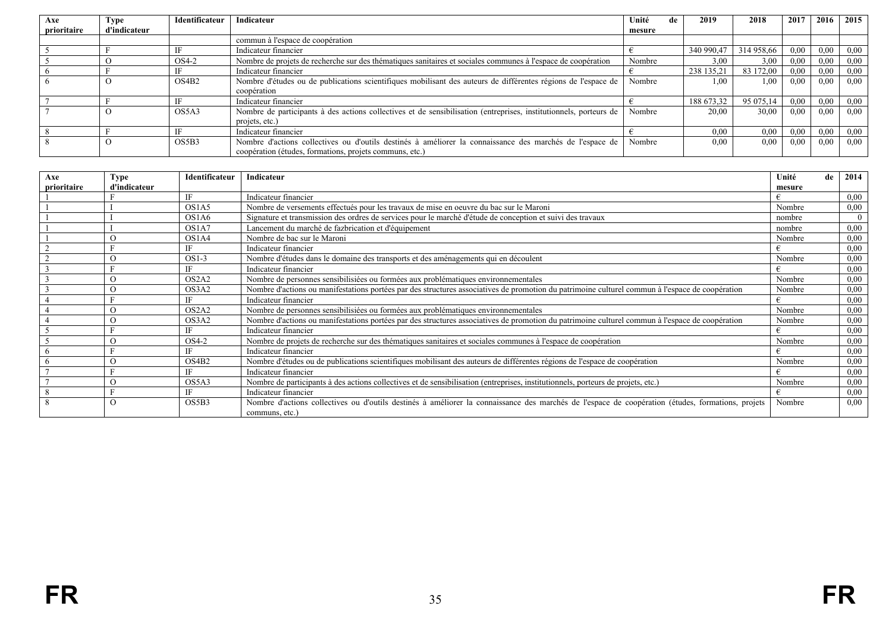| Axe         | <b>Type</b>  | Identificateur    | Indicateur                                                                                                        | Unité<br>de | 2019       | 2018       | 2017 | 2016 | 2015 |
|-------------|--------------|-------------------|-------------------------------------------------------------------------------------------------------------------|-------------|------------|------------|------|------|------|
| prioritaire | d'indicateur |                   |                                                                                                                   | mesure      |            |            |      |      |      |
|             |              |                   | commun à l'espace de coopération                                                                                  |             |            |            |      |      |      |
|             |              |                   | Indicateur financier                                                                                              |             | 340 990,47 | 314 958.66 | 0,00 | 0.00 | 0,00 |
|             |              | OS4-2             | Nombre de projets de recherche sur des thématiques sanitaires et sociales communes à l'espace de coopération      | Nombre      | 3.00       | 3.00       | 0,00 | 0.00 | 0,00 |
|             |              |                   | Indicateur financier                                                                                              |             | 238 135,21 | 83 172,00  | 0,00 | 0.00 | 0,00 |
|             |              | OS4B <sub>2</sub> | Nombre d'études ou de publications scientifiques mobilisant des auteurs de différentes régions de l'espace de     | Nombre      | 00.1       | 1,00       | 0,00 | 0.00 | 0.00 |
|             |              |                   | coopération                                                                                                       |             |            |            |      |      |      |
|             |              |                   | Indicateur financier                                                                                              |             | 188 673,32 | 95 075,14  | 0,00 | 0.00 | 0,00 |
|             |              | OS5A3             | Nombre de participants à des actions collectives et de sensibilisation (entreprises, institutionnels, porteurs de | Nombre      | 20.00      | 30.00      | 0.00 | 0.00 | 0.00 |
|             |              |                   | projets, etc.)                                                                                                    |             |            |            |      |      |      |
|             |              |                   | Indicateur financier                                                                                              |             | 0.00       | 0.00       | 0,00 | 0.00 | 0,00 |
|             |              | OS5B3             | Nombre d'actions collectives ou d'outils destinés à améliorer la connaissance des marchés de l'espace de          | Nombre      | 0.00       | 0.00       | 0.00 | 0.00 | 0.00 |
|             |              |                   | coopération (études, formations, projets communs, etc.)                                                           |             |            |            |      |      |      |

| Axe         | Type         | Identificateur | Indicateur                                                                                                                                                          | Unité<br>de | 2014 |
|-------------|--------------|----------------|---------------------------------------------------------------------------------------------------------------------------------------------------------------------|-------------|------|
| prioritaire | d'indicateur |                |                                                                                                                                                                     | mesure      |      |
|             |              | IF             | Indicateur financier                                                                                                                                                |             | 0,00 |
|             |              | OS1A5          | Nombre de versements effectués pour les travaux de mise en oeuvre du bac sur le Maroni                                                                              | Nombre      | 0,00 |
|             |              | OS1A6          | Signature et transmission des ordres de services pour le marché d'étude de conception et suivi des travaux                                                          | nombre      |      |
|             |              | OS1A7          | Lancement du marché de fazbrication et d'équipement                                                                                                                 | nombre      | 0,00 |
|             |              | OS1A4          | Nombre de bac sur le Maroni                                                                                                                                         | Nombre      | 0,00 |
|             |              | IF             | Indicateur financier                                                                                                                                                |             | 0,00 |
|             |              | $OS1-3$        | Nombre d'études dans le domaine des transports et des aménagements qui en découlent                                                                                 | Nombre      | 0,00 |
|             |              | IF             | Indicateur financier                                                                                                                                                |             | 0,00 |
|             |              | OS2A2          | Nombre de personnes sensibilisiées ou formées aux problématiques environnementales                                                                                  | Nombre      | 0.00 |
|             | $\Omega$     | OS3A2          | Nombre d'actions ou manifestations portées par des structures associatives de promotion du patrimoine culturel commun à l'espace de coopération                     | Nombre      | 0,00 |
|             |              | IF             | Indicateur financier                                                                                                                                                |             | 0,00 |
|             |              | OS2A2          | Nombre de personnes sensibilisiées ou formées aux problématiques environnementales                                                                                  | Nombre      | 0,00 |
|             |              | OS3A2          | Nombre d'actions ou manifestations portées par des structures associatives de promotion du patrimoine culturel commun à l'espace de coopération                     | Nombre      | 0,00 |
|             |              | IF             | Indicateur financier                                                                                                                                                |             | 0,00 |
|             |              | OS4-2          | Nombre de projets de recherche sur des thématiques sanitaires et sociales communes à l'espace de coopération                                                        | Nombre      | 0,00 |
|             |              | IF             | Indicateur financier                                                                                                                                                |             | 0.00 |
|             |              | OS4B2          | Nombre d'études ou de publications scientifiques mobilisant des auteurs de différentes régions de l'espace de coopération                                           | Nombre      | 0,00 |
|             |              | IF             | Indicateur financier                                                                                                                                                |             | 0,00 |
|             |              | OS5A3          | Nombre de participants à des actions collectives et de sensibilisation (entreprises, institutionnels, porteurs de projets, etc.)                                    | Nombre      | 0,00 |
|             |              | IF             | Indicateur financier                                                                                                                                                |             | 0.00 |
|             | $\Omega$     | OS5B3          | Nombre d'actions collectives ou d'outils destinés à améliorer la connaissance des marchés de l'espace de coopération (études, formations, projets<br>communs, etc.) | Nombre      | 0.00 |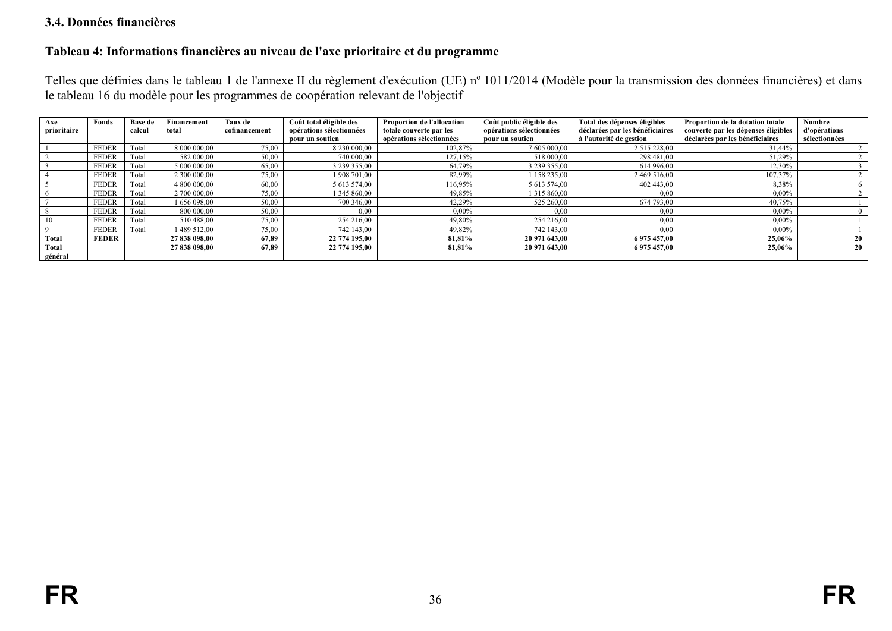#### **3.4. Données financières**

#### **Tableau 4: Informations financières au niveau de l'axe prioritaire et du programme**

Telles que définies dans le tableau 1 de l'annexe II du règlement d'exécution (UE) nº 1011/2014 (Modèle pour la transmission des données financières) et dans le tableau 16 du modèle pour les programmes de coopération relevant de l'objectif

<span id="page-35-1"></span><span id="page-35-0"></span>

| Axe         | Fonds        | Base de | Financement   | Taux de       | Coût total éligible des  | Proportion de l'allocation | Coût public éligible des | Total des dépenses éligibles    | Proportion de la dotation totale    | <b>Nombre</b> |
|-------------|--------------|---------|---------------|---------------|--------------------------|----------------------------|--------------------------|---------------------------------|-------------------------------------|---------------|
| prioritaire |              | calcul  | total         | cofinancement | opérations sélectionnées | totale couverte par les    | opérations sélectionnées | déclarées par les bénéficiaires | couverte par les dépenses éligibles | d'opérations  |
|             |              |         |               |               | pour un soutien          | opérations sélectionnées   | pour un soutien          | à l'autorité de gestion         | déclarées par les bénéficiaires     | sélectionnées |
|             | <b>FEDER</b> | Total   | 8 000 000,00  | 75,00         | 8 230 000,00             | 102,87%                    | 7 605 000,00             | 2 515 228,00                    | 31,44%                              |               |
|             | <b>FEDER</b> | Total   | 582 000,00    | 50,00         | 740 000,00               | 127,15%                    | 518 000,00               | 298 481,00                      | 51,29%                              |               |
|             | <b>FEDER</b> | Total   | 5 000 000.00  | 65,00         | 3 239 355,00             | 64.79%                     | 3 239 355,00             | 614 996.00                      | 12,30%                              |               |
|             | <b>FEDER</b> | Total   | 2 300 000,00  | 75,00         | 1 908 701,00             | 82,99%                     | 158 235,00               | 2 469 516,00                    | 107,37%                             |               |
|             | <b>FEDER</b> | Total   | 4 800 000,00  | 60,00         | 5 613 574,00             | 116,95%                    | 5 613 574,00             | 402 443,00                      | 8,38%                               |               |
|             | <b>FEDER</b> | Total   | 2 700 000.00  | 75,00         | 345 860,00               | 49,85%                     | 1 315 860,00             | 0,00                            | $0.00\%$                            |               |
|             | <b>FEDER</b> | Total   | 1656098.00    | 50,00         | 700 346,00               | 42,29%                     | 525 260,00               | 674 793,00                      | 40,75%                              |               |
|             | <b>FEDER</b> | Total   | 800 000,00    | 50,00         | 0.00                     | $0.00\%$                   | 0.00                     | 0,00                            | $0.00\%$                            |               |
| 10          | <b>FEDER</b> | Total   | 510 488,00    | 75,00         | 254 216,00               | 49,80%                     | 254 216,00               | 0.00                            | $0,00\%$                            |               |
|             | <b>FEDER</b> | Total   | 1489 512.00   | 75.00         | 742 143.00               | 49,82%                     | 742 143.00               | 0.00                            | $0.00\%$                            |               |
| Total       | <b>FEDER</b> |         | 27 838 098,00 | 67.89         | 22 774 195,00            | 81.81%                     | 20 971 643,00            | 6 975 457,00                    | 25,06%                              | 20            |
| Total       |              |         | 27 838 098,00 | 67,89         | 22 774 195,00            | 81,81%                     | 20 971 643,00            | 6 975 457,00                    | 25,06%                              | 20            |
| général     |              |         |               |               |                          |                            |                          |                                 |                                     |               |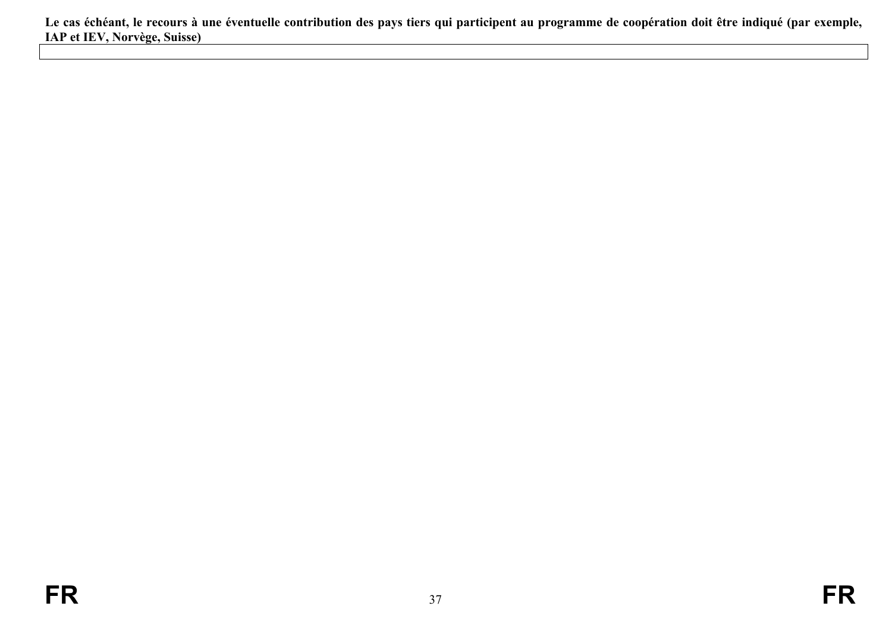<span id="page-36-0"></span>**Le cas échéant, le recours à une éventuelle contribution des pays tiers qui participent au programme de coopération doit être indiqué (par exemple, IAP et IEV, Norvège, Suisse)**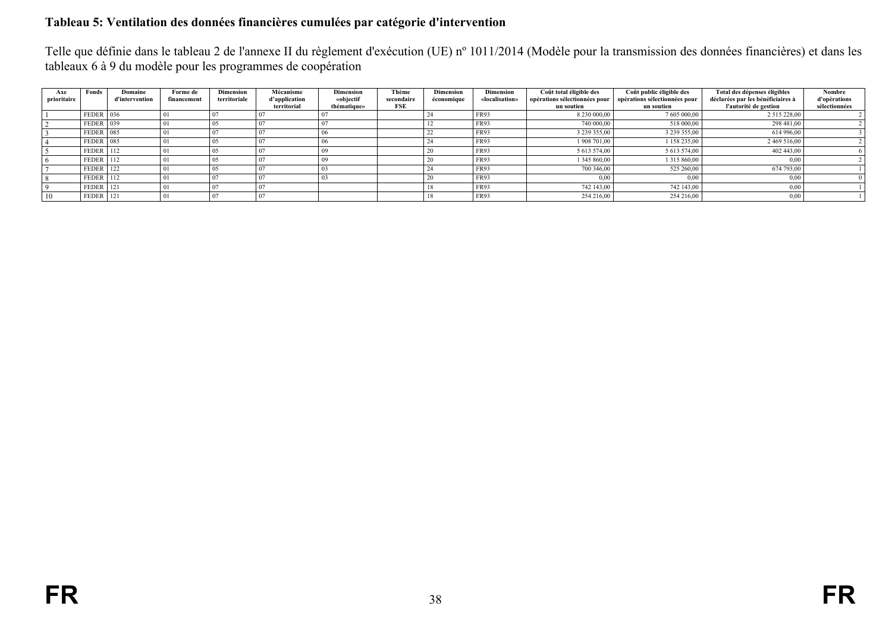## **Tableau 5: Ventilation des données financières cumulées par catégorie d'intervention**

Telle que définie dans le tableau 2 de l'annexe II du règlement d'exécution (UE) nº 1011/2014 (Modèle pour la transmission des données financières) et dans les tableaux 6 à 9 du modèle pour les programmes de coopération

<span id="page-37-0"></span>

| Axe<br>prioritaire | Fonds            | Domaine<br>d'intervention | Forme de<br>financement | <b>Dimension</b><br>territoriale | Mécanisme<br>d'application<br>territorial | <b>Dimension</b><br>«objectif<br>thématique» | Thème<br>secondaire<br>FSE | <b>Dimension</b><br>économique | <b>Dimension</b><br>«localisation» | Coût total éligible des<br>opérations sélectionnées pour<br>un soutien | Coût public éligible des<br>opérations sélectionnées pour<br>un soutien | Total des dépenses éligibles<br>déclarées par les bénéficiaires à<br>l'autorité de gestion | <b>Nombre</b><br>d'opérations<br>sélectionnées |
|--------------------|------------------|---------------------------|-------------------------|----------------------------------|-------------------------------------------|----------------------------------------------|----------------------------|--------------------------------|------------------------------------|------------------------------------------------------------------------|-------------------------------------------------------------------------|--------------------------------------------------------------------------------------------|------------------------------------------------|
|                    | $FEDER$ 036      |                           |                         |                                  |                                           |                                              |                            |                                | <b>FR93</b>                        | 8 230 000,00                                                           | 7 605 000,00                                                            | 2 515 228,00                                                                               |                                                |
|                    | FEDER 039        |                           |                         |                                  |                                           |                                              |                            |                                | <b>FR93</b>                        | 740 000,00                                                             | 518 000,00                                                              | 298 481,00                                                                                 |                                                |
|                    | FEDER 085        |                           |                         |                                  |                                           |                                              |                            |                                | <b>FR93</b>                        | 3 239 355,00                                                           | 3 239 355,00                                                            | 614 996,00                                                                                 |                                                |
|                    | FEDER 085        |                           |                         |                                  |                                           |                                              |                            |                                | <b>FR93</b>                        | 1 908 701.00                                                           | 1 158 235.00                                                            | 2 469 516,00                                                                               |                                                |
|                    | FEDER 112        |                           |                         | 05                               |                                           |                                              |                            | 20                             | <b>FR93</b>                        | 5 613 574,00                                                           | 5 613 574.00                                                            | 402 443.00                                                                                 |                                                |
|                    | FEDER 112        |                           |                         | 05                               |                                           |                                              |                            |                                | <b>FR93</b>                        | 1 345 860,00                                                           | 1 315 860,00                                                            | 0,00                                                                                       |                                                |
|                    | $FEDER$ 122      |                           |                         | 05                               |                                           |                                              |                            |                                | <b>FR93</b>                        | 700 346.00                                                             | 525 260,00                                                              | 674 793.00                                                                                 |                                                |
|                    | <b>FEDER</b> 112 |                           |                         |                                  |                                           |                                              |                            |                                | FR93                               | 0.00                                                                   | 0.00                                                                    | 0,00                                                                                       |                                                |
|                    | FEDER 121        |                           |                         |                                  |                                           |                                              |                            |                                | <b>FR93</b>                        | 742 143.00                                                             | 742 143.00                                                              | 0,00                                                                                       |                                                |
| 10                 | FEDER 121        |                           |                         |                                  |                                           |                                              |                            |                                | <b>FR93</b>                        | 254 216.00                                                             | 254 216.00                                                              | 0,00                                                                                       |                                                |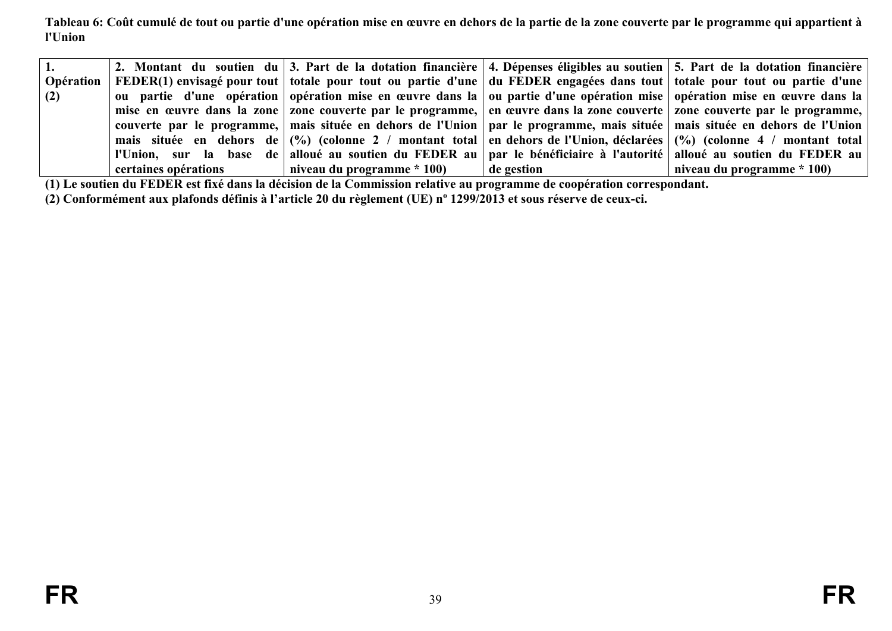**Tableau 6: Coût cumulé de tout ou partie d'une opération mise en œuvre en dehors de la partie de la zone couverte par le programme qui appartient à l'Union**

| 1.         |                      |                            |                    | 2. Montant du soutien du 3. Part de la dotation financière 4. Dépenses éligibles au soutien 5. Part de la dotation financière   |
|------------|----------------------|----------------------------|--------------------|---------------------------------------------------------------------------------------------------------------------------------|
| Opération  |                      |                            |                    | FEDER(1) envisagé pour tout   totale pour tout ou partie d'une   du FEDER engagées dans tout   totale pour tout ou partie d'une |
| $\mid$ (2) |                      |                            |                    | ou partie d'une opération opération mise en œuvre dans la ou partie d'une opération mise opération mise en œuvre dans la        |
|            |                      |                            |                    | mise en œuvre dans la zone zone couverte par le programme, en œuvre dans la zone couverte zone couverte par le programme,       |
|            |                      |                            |                    | couverte par le programme, mais située en dehors de l'Union par le programme, mais située mais située en dehors de l'Union      |
|            |                      |                            |                    | mais située en dehors de (%) (colonne 2 / montant total en dehors de l'Union, déclarées (%) (colonne 4 / montant total          |
|            |                      |                            |                    | l'Union, sur la base de alloué au soutien du FEDER au par le bénéficiaire à l'autorité alloué au soutien du FEDER au            |
|            | certaines opérations | niveau du programme * 100) | $\vert$ de gestion | niveau du programme * 100)                                                                                                      |

**(1) Le soutien du FEDER est fixé dans la décision de la Commission relative au programme de coopération correspondant.**

<span id="page-38-1"></span><span id="page-38-0"></span>**(2) Conformément aux plafonds définis à l'article 20 du règlement (UE) nº 1299/2013 et sous réserve de ceux-ci.**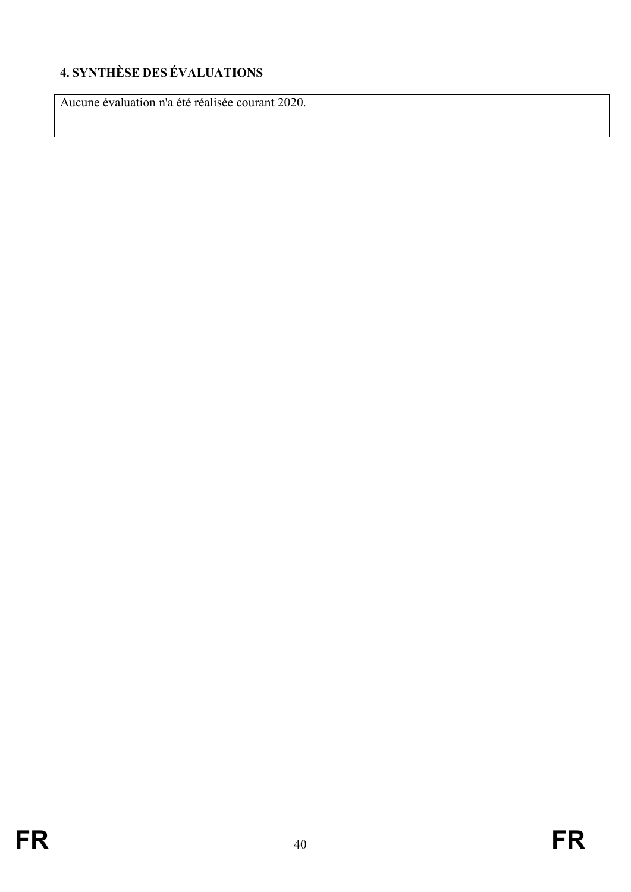# <span id="page-39-0"></span>**4. SYNTHÈSE DES ÉVALUATIONS**

Aucune évaluation n'a été réalisée courant 2020.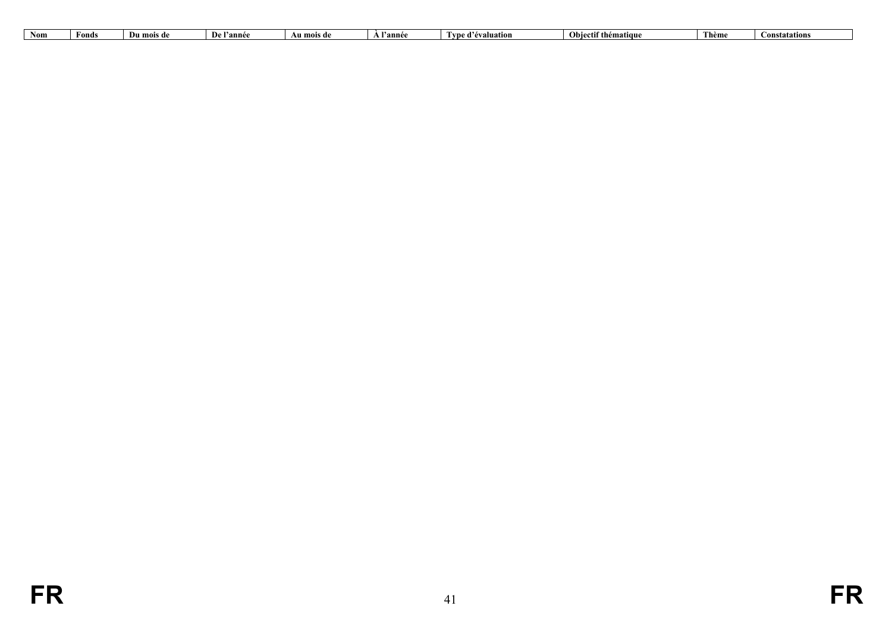| Non. | Fonds | Du mois de | $\mathbf{P}$<br>l'année | Au mois de | $\mathbf{v}$<br>l'année | $\cdots$<br>.<br>™evaluation<br>VU! | <b>Obiectif thématique</b> | Thème | onstatations |
|------|-------|------------|-------------------------|------------|-------------------------|-------------------------------------|----------------------------|-------|--------------|
|      |       |            |                         |            |                         |                                     |                            |       |              |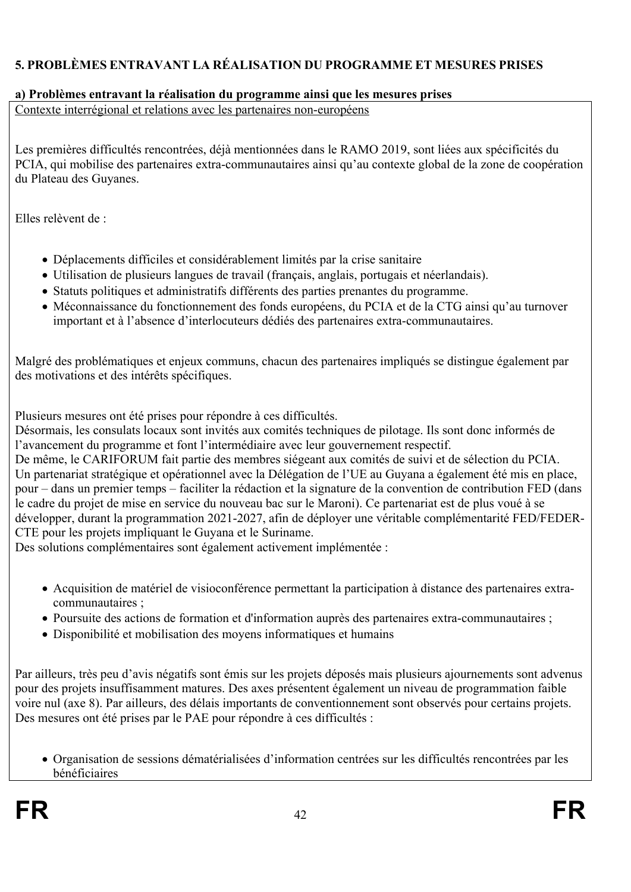# <span id="page-41-0"></span>**5. PROBLÈMES ENTRAVANT LA RÉALISATION DU PROGRAMME ET MESURES PRISES**

#### <span id="page-41-1"></span>**a) Problèmes entravant la réalisation du programme ainsi que les mesures prises**

Contexte interrégional et relations avec les partenaires non-européens

Les premières difficultés rencontrées, déjà mentionnées dans le RAMO 2019, sont liées aux spécificités du PCIA, qui mobilise des partenaires extra-communautaires ainsi qu'au contexte global de la zone de coopération du Plateau des Guyanes.

Elles relèvent de :

- Déplacements difficiles et considérablement limités par la crise sanitaire
- Utilisation de plusieurs langues de travail (français, anglais, portugais et néerlandais).
- Statuts politiques et administratifs différents des parties prenantes du programme.
- Méconnaissance du fonctionnement des fonds européens, du PCIA et de la CTG ainsi qu'au turnover important et à l'absence d'interlocuteurs dédiés des partenaires extra-communautaires.

Malgré des problématiques et enjeux communs, chacun des partenaires impliqués se distingue également par des motivations et des intérêts spécifiques.

Plusieurs mesures ont été prises pour répondre à ces difficultés.

Désormais, les consulats locaux sont invités aux comités techniques de pilotage. Ils sont donc informés de l'avancement du programme et font l'intermédiaire avec leur gouvernement respectif.

De même, le CARIFORUM fait partie des membres siégeant aux comités de suivi et de sélection du PCIA. Un partenariat stratégique et opérationnel avec la Délégation de l'UE au Guyana a également été mis en place, pour – dans un premier temps – faciliter la rédaction et la signature de la convention de contribution FED (dans le cadre du projet de mise en service du nouveau bac sur le Maroni). Ce partenariat est de plus voué à se développer, durant la programmation 2021-2027, afin de déployer une véritable complémentarité FED/FEDER-CTE pour les projets impliquant le Guyana et le Suriname.

Des solutions complémentaires sont également activement implémentée :

- Acquisition de matériel de visioconférence permettant la participation à distance des partenaires extracommunautaires ;
- Poursuite des actions de formation et d'information auprès des partenaires extra-communautaires ;
- Disponibilité et mobilisation des moyens informatiques et humains

Par ailleurs, très peu d'avis négatifs sont émis sur les projets déposés mais plusieurs ajournements sont advenus pour des projets insuffisamment matures. Des axes présentent également un niveau de programmation faible voire nul (axe 8). Par ailleurs, des délais importants de conventionnement sont observés pour certains projets. Des mesures ont été prises par le PAE pour répondre à ces difficultés :

 Organisation de sessions dématérialisées d'information centrées sur les difficultés rencontrées par les bénéficiaires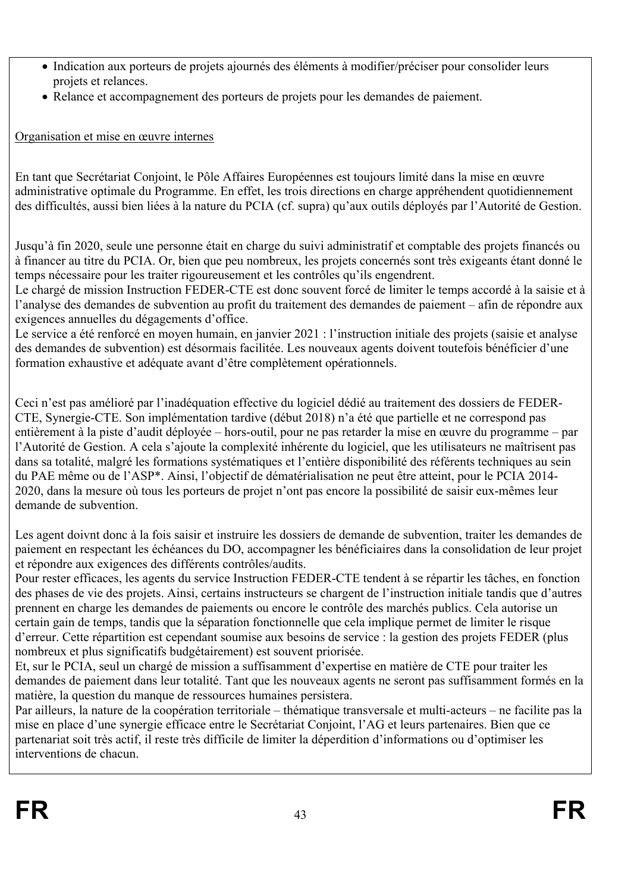- Indication aux porteurs de projets ajournés des éléments à modifier/préciser pour consolider leurs projets et relances.
- Relance et accompagnement des porteurs de projets pour les demandes de paiement.

# Organisation et mise en œuvre internes

En tant que Secrétariat Conjoint, le Pôle Affaires Européennes est toujours limité dans la mise en œuvre administrative optimale du Programme. En effet, les trois directions en charge appréhendent quotidiennement des difficultés, aussi bien liées à la nature du PCIA (cf. supra) qu'aux outils déployés par l'Autorité de Gestion.

Jusqu'à fin 2020, seule une personne était en charge du suivi administratif et comptable des projets financés ou à financer au titre du PCIA. Or, bien que peu nombreux, les projets concernés sont très exigeants étant donné le temps nécessaire pour les traiter rigoureusement et les contrôles qu'ils engendrent.

Le chargé de mission Instruction FEDER-CTE est donc souvent forcé de limiter le temps accordé à la saisie et à l'analyse des demandes de subvention au profit du traitement des demandes de paiement – afin de répondre aux exigences annuelles du dégagements d'office.

Le service a été renforcé en moyen humain, en janvier 2021 : l'instruction initiale des projets (saisie et analyse des demandes de subvention) est désormais facilitée. Les nouveaux agents doivent toutefois bénéficier d'une formation exhaustive et adéquate avant d'être complètement opérationnels.

Ceci n'est pas amélioré par l'inadéquation effective du logiciel dédié au traitement des dossiers de FEDER-CTE, Synergie-CTE. Son implémentation tardive (début 2018) n'a été que partielle et ne correspond pas entièrement à la piste d'audit déployée – hors-outil, pour ne pas retarder la mise en œuvre du programme – par l'Autorité de Gestion. A cela s'ajoute la complexité inhérente du logiciel, que les utilisateurs ne maîtrisent pas dans sa totalité, malgré les formations systématiques et l'entière disponibilité des référents techniques au sein du PAE même ou de l'ASP\*. Ainsi, l'objectif de dématérialisation ne peut être atteint, pour le PCIA 2014- 2020, dans la mesure où tous les porteurs de projet n'ont pas encore la possibilité de saisir eux-mêmes leur demande de subvention.

Les agent doivnt donc à la fois saisir et instruire les dossiers de demande de subvention, traiter les demandes de paiement en respectant les échéances du DO, accompagner les bénéficiaires dans la consolidation de leur projet et répondre aux exigences des différents contrôles/audits.

Pour rester efficaces, les agents du service Instruction FEDER-CTE tendent à se répartir les tâches, en fonction des phases de vie des projets. Ainsi, certains instructeurs se chargent de l'instruction initiale tandis que d'autres prennent en charge les demandes de paiements ou encore le contrôle des marchés publics. Cela autorise un certain gain de temps, tandis que la séparation fonctionnelle que cela implique permet de limiter le risque d'erreur. Cette répartition est cependant soumise aux besoins de service : la gestion des projets FEDER (plus nombreux et plus significatifs budgétairement) est souvent priorisée.

Et, sur le PCIA, seul un chargé de mission a suffisamment d'expertise en matière de CTE pour traiter les demandes de paiement dans leur totalité. Tant que les nouveaux agents ne seront pas suffisamment formés en la matière, la question du manque de ressources humaines persistera.

Par ailleurs, la nature de la coopération territoriale – thématique transversale et multi-acteurs – ne facilite pas la mise en place d'une synergie efficace entre le Secrétariat Conjoint, l'AG et leurs partenaires. Bien que ce partenariat soit très actif, il reste très difficile de limiter la déperdition d'informations ou d'optimiser les interventions de chacun.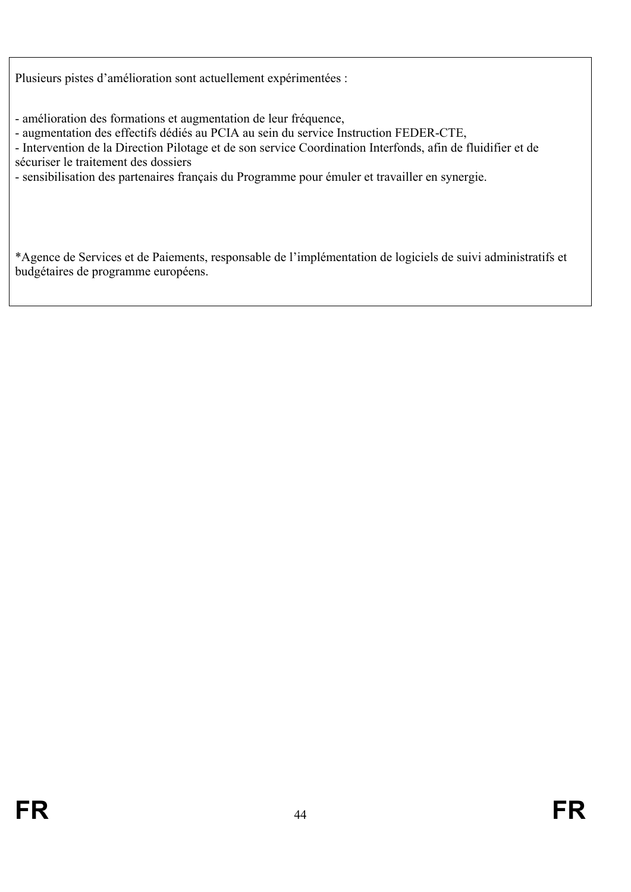Plusieurs pistes d'amélioration sont actuellement expérimentées :

- amélioration des formations et augmentation de leur fréquence,
- augmentation des effectifs dédiés au PCIA au sein du service Instruction FEDER-CTE,

- Intervention de la Direction Pilotage et de son service Coordination Interfonds, afin de fluidifier et de sécuriser le traitement des dossiers

- sensibilisation des partenaires français du Programme pour émuler et travailler en synergie.

\*Agence de Services et de Paiements, responsable de l'implémentation de logiciels de suivi administratifs et budgétaires de programme européens.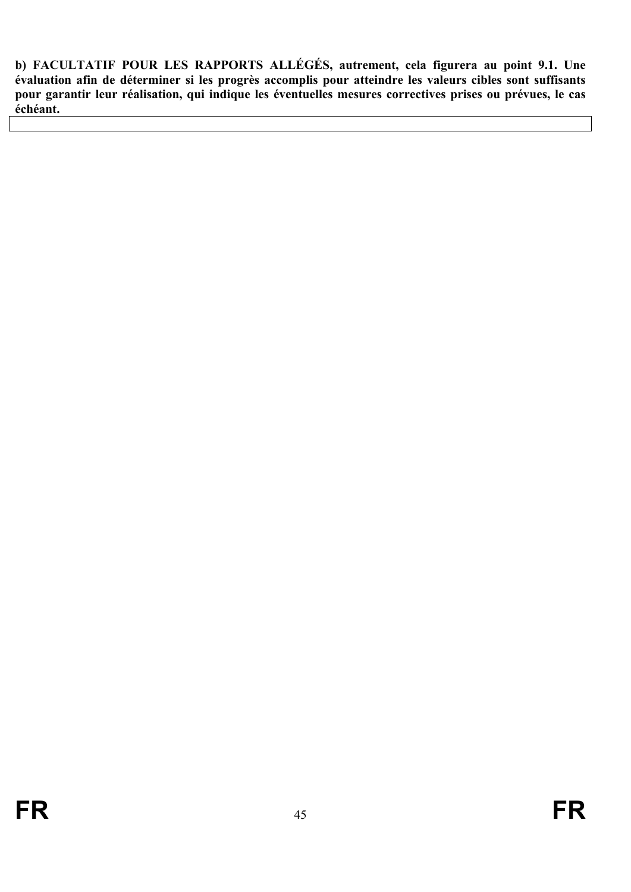<span id="page-44-0"></span>**b) FACULTATIF POUR LES RAPPORTS ALLÉGÉS, autrement, cela figurera au point 9.1. Une évaluation afin de déterminer si les progrès accomplis pour atteindre les valeurs cibles sont suffisants pour garantir leur réalisation, qui indique les éventuelles mesures correctives prises ou prévues, le cas échéant.**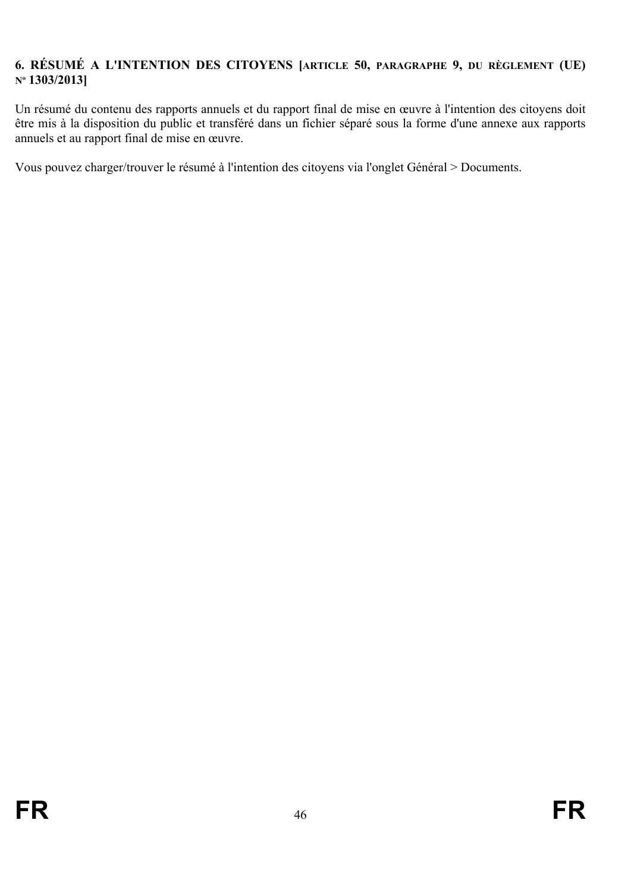## <span id="page-45-0"></span>**6. RÉSUMÉ A L'INTENTION DES CITOYENS [ARTICLE 50, PARAGRAPHE 9, DU RÈGLEMENT (UE) Nº 1303/2013]**

Un résumé du contenu des rapports annuels et du rapport final de mise en œuvre à l'intention des citoyens doit être mis à la disposition du public et transféré dans un fichier séparé sous la forme d'une annexe aux rapports annuels et au rapport final de mise en œuvre.

Vous pouvez charger/trouver le résumé à l'intention des citoyens via l'onglet Général > Documents.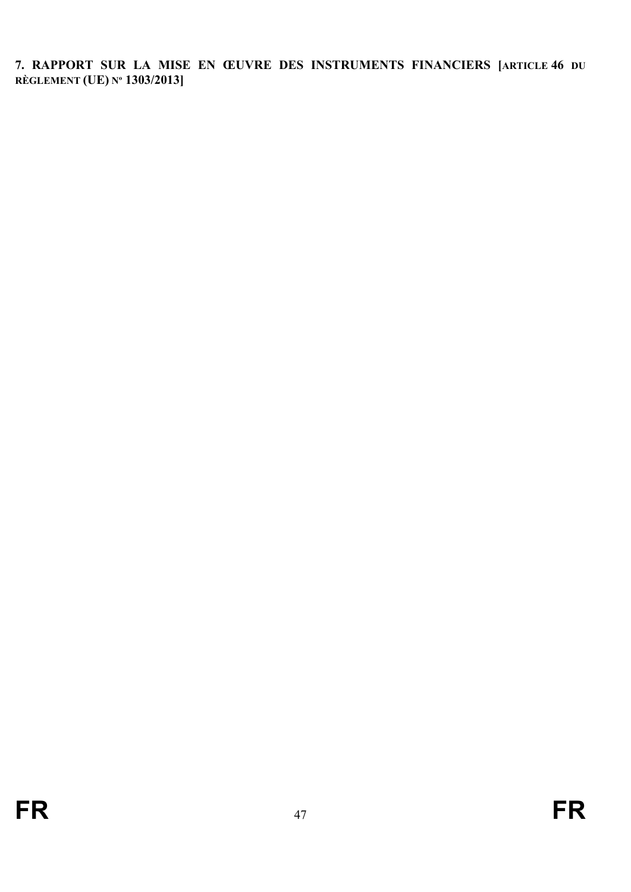<span id="page-46-0"></span>**7. RAPPORT SUR LA MISE EN ŒUVRE DES INSTRUMENTS FINANCIERS [ARTICLE 46 DU RÈGLEMENT (UE) Nº 1303/2013]**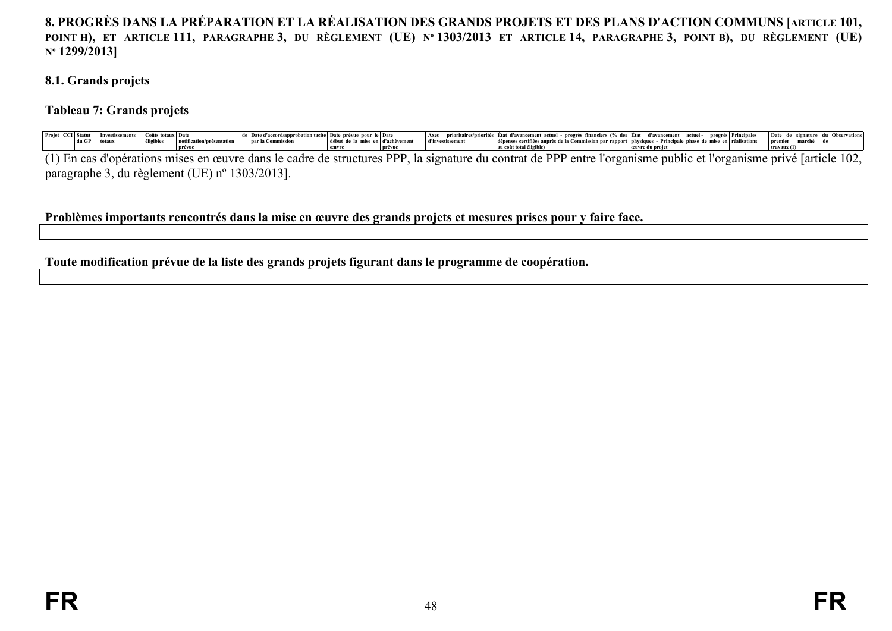## 8. PROGRÈS DANS LA PRÉPARATION ET LA RÉALISATION DES GRANDS PROJETS ET DES PLANS D'ACTION COMMUNS [ARTICLE 101, POINT H), ET ARTICLE 111, PARAGRAPHE 3, DU RÈGLEMENT (UE) Nº 1303/2013 ET ARTICLE 14, PARAGRAPHE 3, POINT B), DU RÈGLEMENT (UE) **Nº 1299/2013]**

#### **8.1. Grands projets**

#### **Tableau 7: Grands projets**

|                                                                                                                 |       | — ⊥nvestissemer* |                       | de   Date d'accord/ar | probation tacite   Date prévue pour le   Date |               | $ $ Axes         | prioritaires/priorités Etat d'avancement actuel - progrès financiers (% des Etat d'avancement actuel - progrès Principales |  |  | Date de signature |           | <b>Observation</b> |
|-----------------------------------------------------------------------------------------------------------------|-------|------------------|-----------------------|-----------------------|-----------------------------------------------|---------------|------------------|----------------------------------------------------------------------------------------------------------------------------|--|--|-------------------|-----------|--------------------|
|                                                                                                                 | du GF | l totau:         | esentati <sup>.</sup> | par la Commission     | de la mise                                    | en d'achèveme | d'investissement | dépenses certifiées auprès de la Commission par rapport physiques - Principale phase de mise en réalisations               |  |  | l premie.         | marché de |                    |
|                                                                                                                 |       |                  |                       |                       | œuvr                                          |               |                  |                                                                                                                            |  |  | travaux(1)        |           |                    |
| the contract of the contract of the contract of the contract of the contract of the contract of the contract of |       |                  |                       |                       |                                               |               |                  |                                                                                                                            |  |  |                   |           |                    |

(1) En cas d'opérations mises en œuvre dans le cadre de structures PPP, la signature du contrat de PPP entre l'organisme public et l'organisme privé [article 102, paragraphe 3, du règlement (UE) nº 1303/2013].

#### **Problèmes importants rencontrés dans la mise en œuvre des grands projets et mesures prises pour y faire face.**

#### <span id="page-47-4"></span><span id="page-47-3"></span><span id="page-47-2"></span><span id="page-47-1"></span><span id="page-47-0"></span>**Toute modification prévue de la liste des grands projets figurant dans le programme de coopération.**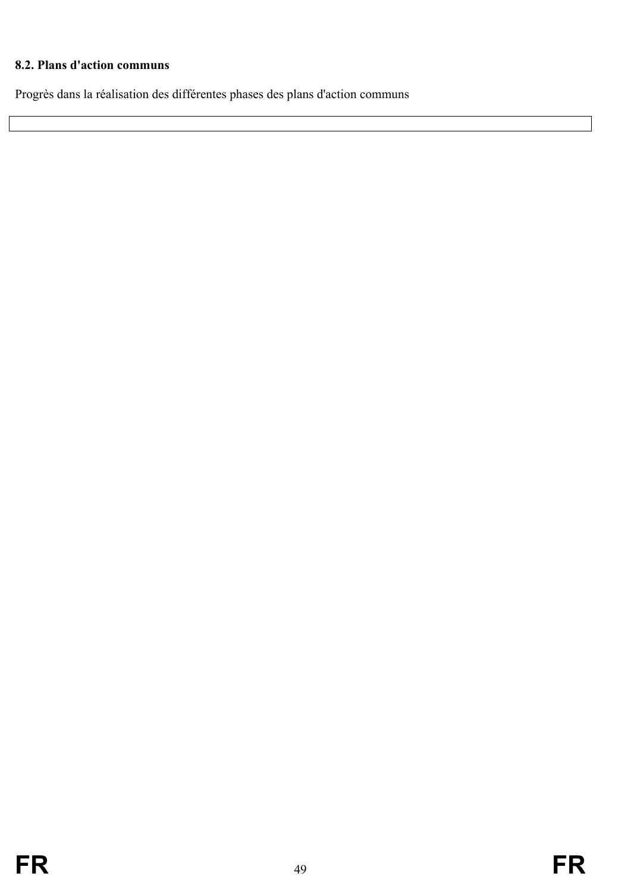# <span id="page-48-0"></span>**8.2. Plans d'action communs**

Progrès dans la réalisation des différentes phases des plans d'action communs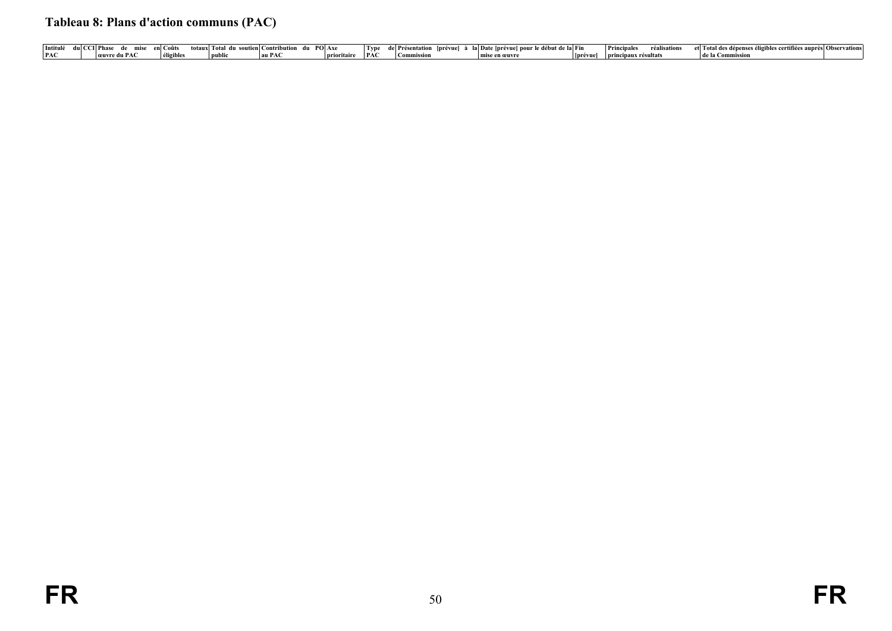# **Tableau 8: Plans d'action communs (PAC)**

<span id="page-49-0"></span>

| Intitulé   | CII Phas<br>mis | ∣ `∩iif | soutienl<br>tany Fotal | <b>PO</b> Axe<br>atribution |        | I vp | .prèvue<br>'I Presei | la la Date (prévuel pour le début de la Fin |         | Princinales<br>. ealisations | -≏t⊟otal des dènens<br>.1èes aunr<br>… certitie^<br>ses en. | èsl ()hse<br>rvations |
|------------|-----------------|---------|------------------------|-----------------------------|--------|------|----------------------|---------------------------------------------|---------|------------------------------|-------------------------------------------------------------|-----------------------|
| <b>PAC</b> | reuvre du PAC   |         | ' public               | ' au PAC                    | orītān | PA   | ' Commission         | mise en œuvre                               | Iprévue | aux re<br>sunat              | l de la Commissio                                           |                       |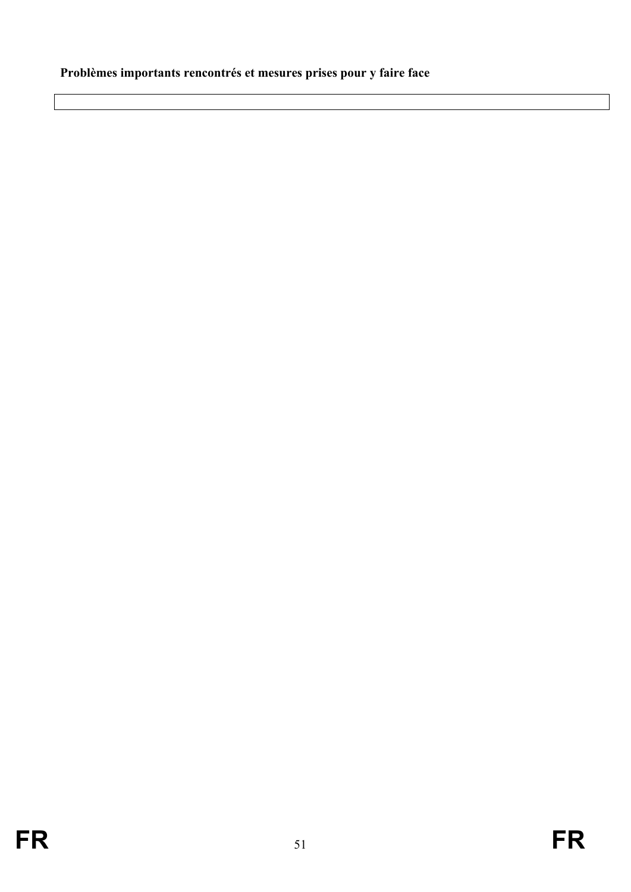# <span id="page-50-0"></span>**Problèmes importants rencontrés et mesures prises pour y faire face**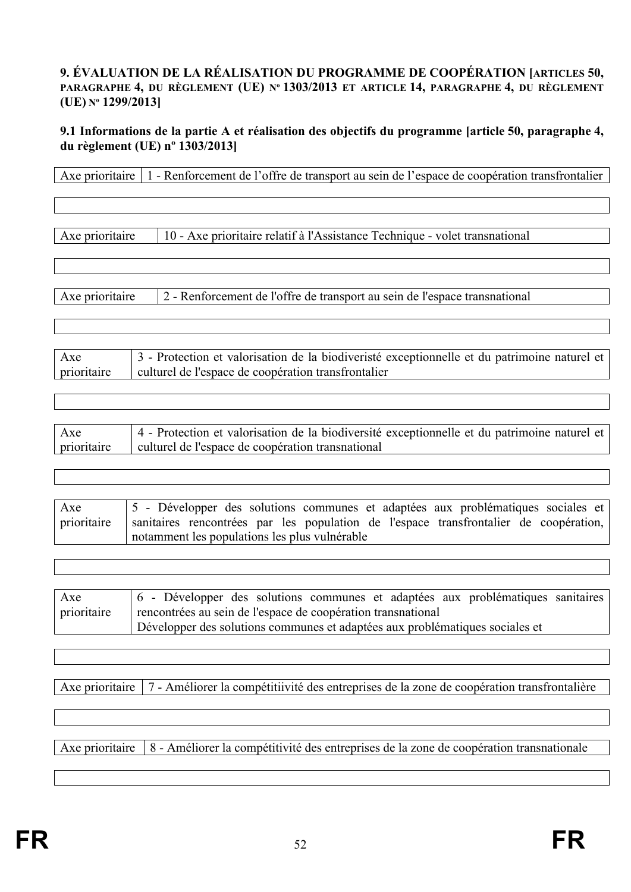#### <span id="page-51-0"></span>**9. ÉVALUATION DE LA RÉALISATION DU PROGRAMME DE COOPÉRATION [ARTICLES 50, PARAGRAPHE 4, DU RÈGLEMENT (UE) Nº 1303/2013 ET ARTICLE 14, PARAGRAPHE 4, DU RÈGLEMENT (UE) Nº 1299/2013]**

#### <span id="page-51-1"></span>**9.1 Informations de la partie A et réalisation des objectifs du programme [article 50, paragraphe 4, du règlement (UE) nº 1303/2013]**

| Axe prioritaire    | 1 - Renforcement de l'offre de transport au sein de l'espace de coopération transfrontalier                                                                                                                                     |
|--------------------|---------------------------------------------------------------------------------------------------------------------------------------------------------------------------------------------------------------------------------|
|                    |                                                                                                                                                                                                                                 |
| Axe prioritaire    | 10 - Axe prioritaire relatif à l'Assistance Technique - volet transnational                                                                                                                                                     |
| Axe prioritaire    | 2 - Renforcement de l'offre de transport au sein de l'espace transnational                                                                                                                                                      |
| Axe                | 3 - Protection et valorisation de la biodiveristé exceptionnelle et du patrimoine naturel et                                                                                                                                    |
| prioritaire        | culturel de l'espace de coopération transfrontalier                                                                                                                                                                             |
|                    |                                                                                                                                                                                                                                 |
| Axe<br>prioritaire | 4 - Protection et valorisation de la biodiversité exceptionnelle et du patrimoine naturel et<br>culturel de l'espace de coopération transnational                                                                               |
|                    |                                                                                                                                                                                                                                 |
| Axe<br>prioritaire | 5 - Développer des solutions communes et adaptées aux problématiques sociales et<br>sanitaires rencontrées par les population de l'espace transfrontalier de coopération,<br>notamment les populations les plus vulnérable      |
|                    |                                                                                                                                                                                                                                 |
| Axe<br>prioritaire | 6 - Développer des solutions communes et adaptées aux problématiques sanitaires<br>rencontrées au sein de l'espace de coopération transnational<br>Développer des solutions communes et adaptées aux problématiques sociales et |

Axe prioritaire 7 - Améliorer la compétitiivité des entreprises de la zone de coopération transfrontalière

Axe prioritaire 8 - Améliorer la compétitivité des entreprises de la zone de coopération transnationale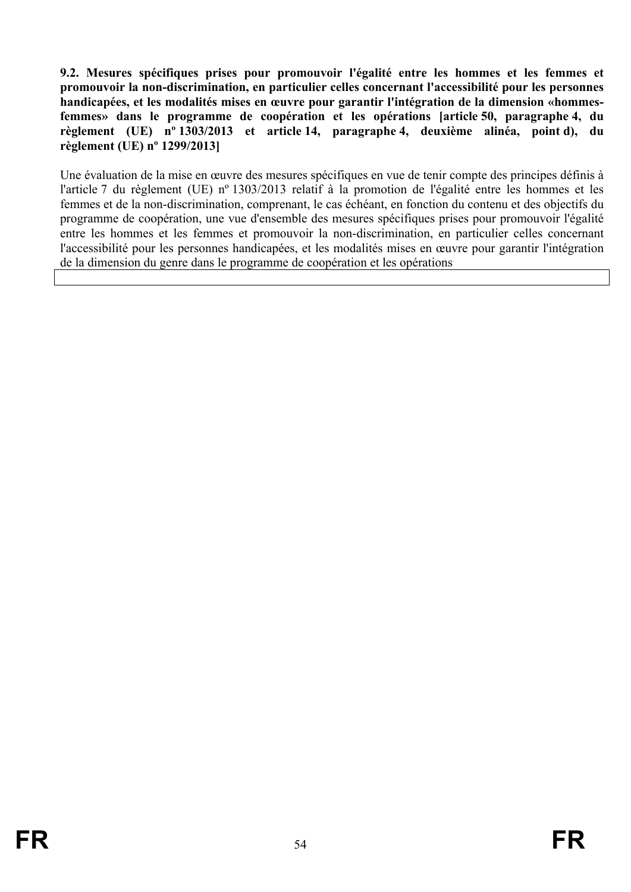<span id="page-53-0"></span>**9.2. Mesures spécifiques prises pour promouvoir l'égalité entre les hommes et les femmes et promouvoir la non-discrimination, en particulier celles concernant l'accessibilité pour les personnes handicapées, et les modalités mises en œuvre pour garantir l'intégration de la dimension «hommesfemmes» dans le programme de coopération et les opérations [article 50, paragraphe 4, du règlement (UE) nº 1303/2013 et article 14, paragraphe 4, deuxième alinéa, point d), du règlement (UE) nº 1299/2013]**

Une évaluation de la mise en œuvre des mesures spécifiques en vue de tenir compte des principes définis à l'article 7 du règlement (UE) nº 1303/2013 relatif à la promotion de l'égalité entre les hommes et les femmes et de la non-discrimination, comprenant, le cas échéant, en fonction du contenu et des objectifs du programme de coopération, une vue d'ensemble des mesures spécifiques prises pour promouvoir l'égalité entre les hommes et les femmes et promouvoir la non-discrimination, en particulier celles concernant l'accessibilité pour les personnes handicapées, et les modalités mises en œuvre pour garantir l'intégration de la dimension du genre dans le programme de coopération et les opérations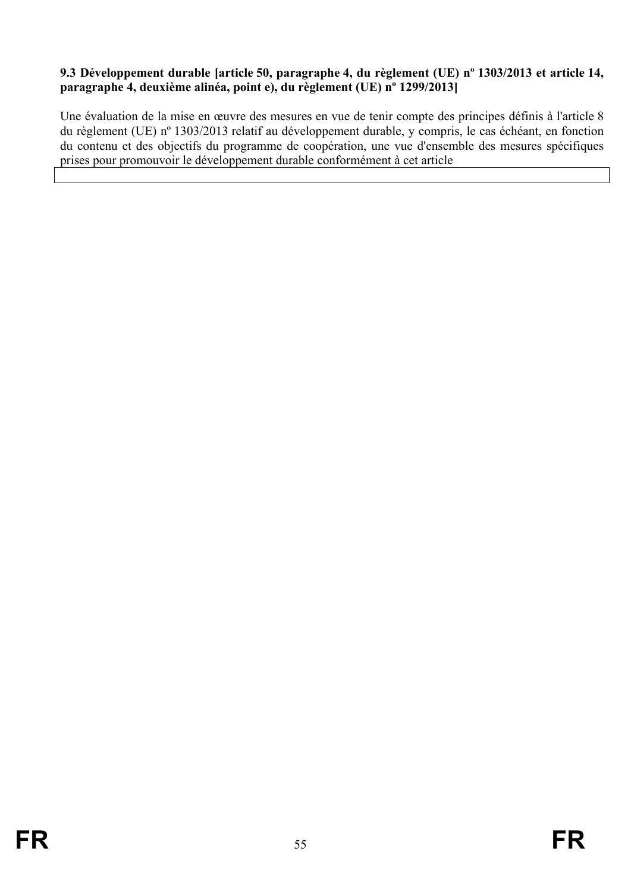## <span id="page-54-0"></span>**9.3 Développement durable [article 50, paragraphe 4, du règlement (UE) nº 1303/2013 et article 14, paragraphe 4, deuxième alinéa, point e), du règlement (UE) nº 1299/2013]**

Une évaluation de la mise en œuvre des mesures en vue de tenir compte des principes définis à l'article 8 du règlement (UE) nº 1303/2013 relatif au développement durable, y compris, le cas échéant, en fonction du contenu et des objectifs du programme de coopération, une vue d'ensemble des mesures spécifiques prises pour promouvoir le développement durable conformément à cet article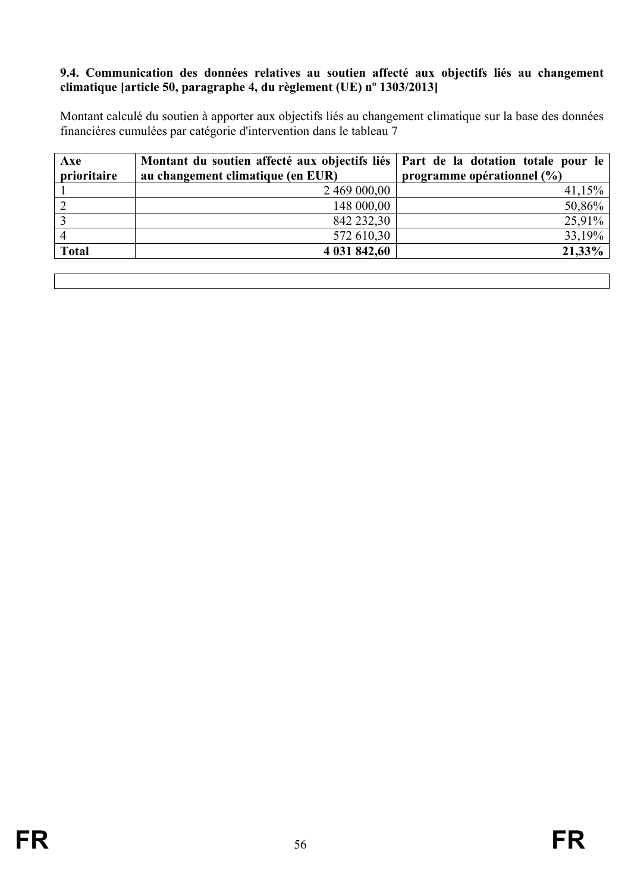#### <span id="page-55-0"></span>**9.4. Communication des données relatives au soutien affecté aux objectifs liés au changement climatique [article 50, paragraphe 4, du règlement (UE) nº 1303/2013]**

Montant calculé du soutien à apporter aux objectifs liés au changement climatique sur la base des données financières cumulées par catégorie d'intervention dans le tableau 7

| Axe            | Montant du soutien affecté aux objectifs liés   Part de la dotation totale pour le |                                |
|----------------|------------------------------------------------------------------------------------|--------------------------------|
| prioritaire    | au changement climatique (en EUR)                                                  | programme opérationnel $(\% )$ |
|                | 2 469 000,00                                                                       | $41,15\%$                      |
| 2              | 148 000,00                                                                         | 50,86%                         |
|                | 842 232,30                                                                         | 25,91%                         |
| $\overline{4}$ | 572 610,30                                                                         | 33,19%                         |
| <b>Total</b>   | 4 031 842,60                                                                       | 21,33%                         |
|                |                                                                                    |                                |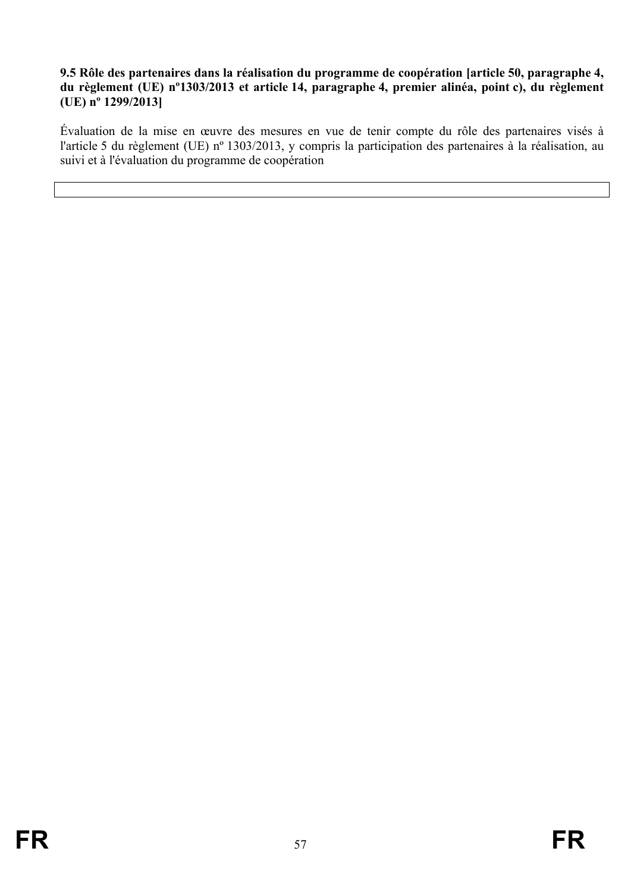#### <span id="page-56-0"></span>**9.5 Rôle des partenaires dans la réalisation du programme de coopération [article 50, paragraphe 4, du règlement (UE) nº1303/2013 et article 14, paragraphe 4, premier alinéa, point c), du règlement (UE) nº 1299/2013]**

Évaluation de la mise en œuvre des mesures en vue de tenir compte du rôle des partenaires visés à l'article 5 du règlement (UE) nº 1303/2013, y compris la participation des partenaires à la réalisation, au suivi et à l'évaluation du programme de coopération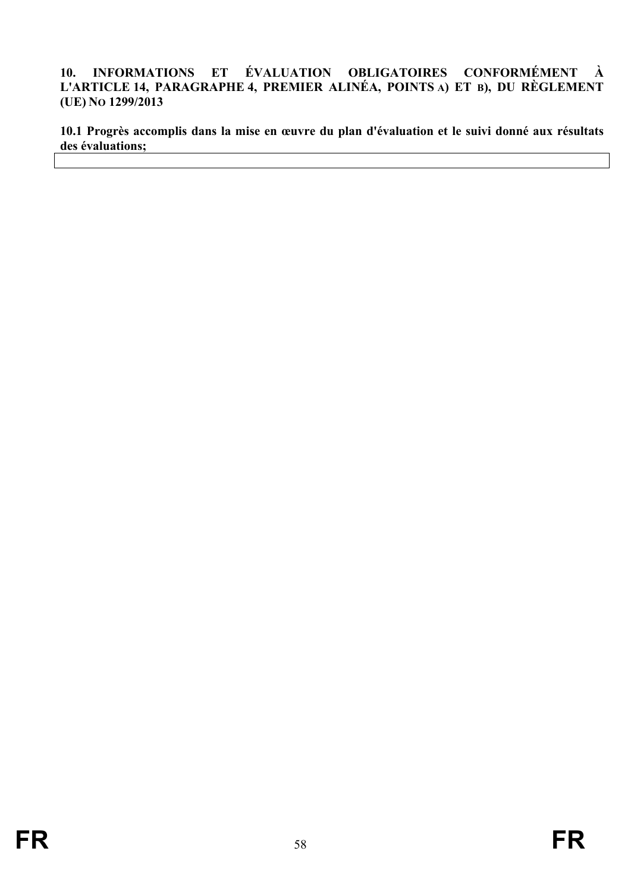#### <span id="page-57-0"></span>**10. INFORMATIONS ET ÉVALUATION OBLIGATOIRES CONFORMÉMENT À L'ARTICLE 14, PARAGRAPHE 4, PREMIER ALINÉA, POINTS A) ET B), DU RÈGLEMENT (UE) NO 1299/2013**

<span id="page-57-1"></span>**10.1 Progrès accomplis dans la mise en œuvre du plan d'évaluation et le suivi donné aux résultats des évaluations;**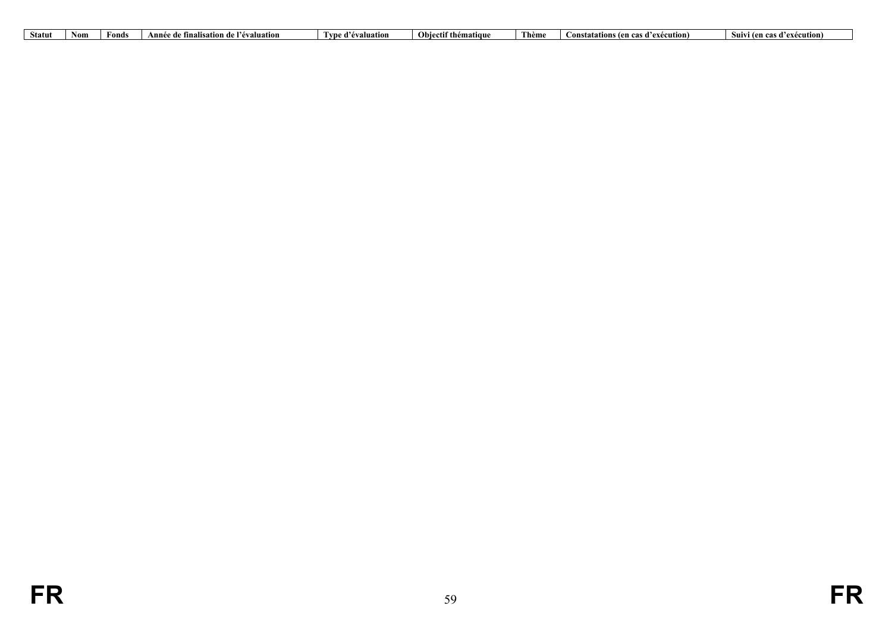| Statut | Non. | ≠onds | <br>uation<br>Ann<br>.<br>ınalısatıoı<br>de | <br>'l vn<br>'évaluatioi | <b>Obiectif thématique</b> | l hèm<br>. | d'exécution)<br>en cas d'<br>tations (4<br>ansta | Suivi<br>ten cas<br>'exécution) |
|--------|------|-------|---------------------------------------------|--------------------------|----------------------------|------------|--------------------------------------------------|---------------------------------|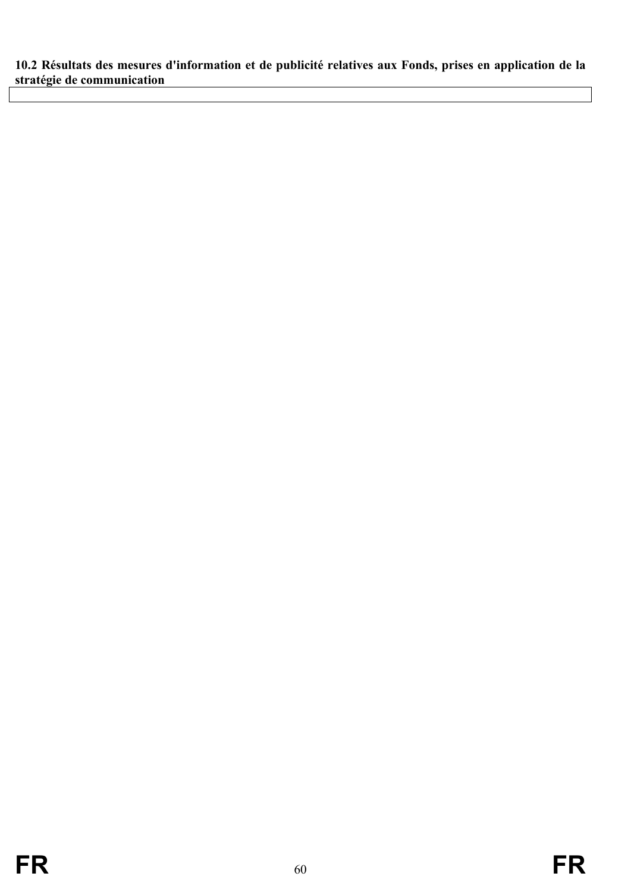<span id="page-59-0"></span>**10.2 Résultats des mesures d'information et de publicité relatives aux Fonds, prises en application de la stratégie de communication**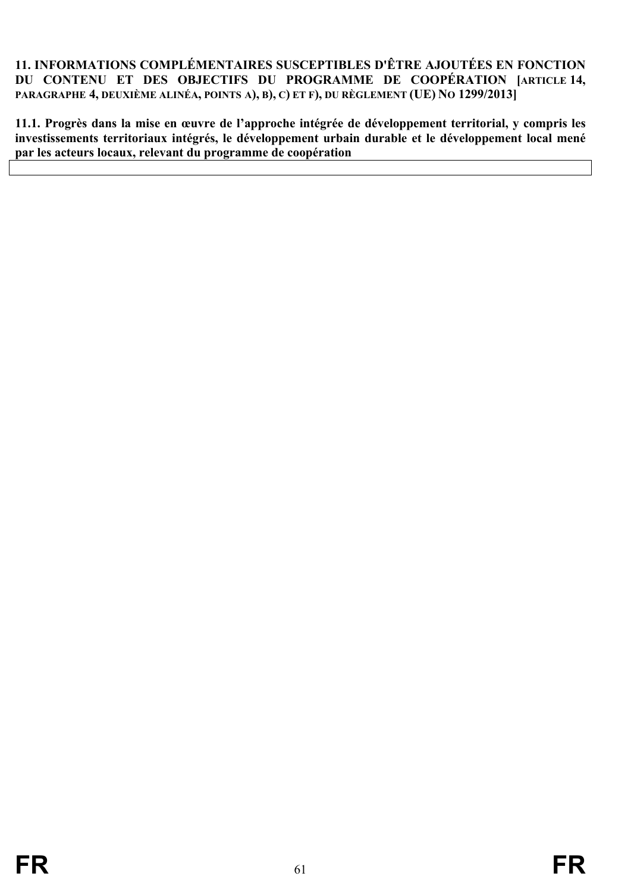#### <span id="page-60-0"></span>**11. INFORMATIONS COMPLÉMENTAIRES SUSCEPTIBLES D'ÊTRE AJOUTÉES EN FONCTION DU CONTENU ET DES OBJECTIFS DU PROGRAMME DE COOPÉRATION [ARTICLE 14, PARAGRAPHE 4, DEUXIÈME ALINÉA, POINTS A), B), C) ET F), DU RÈGLEMENT (UE) NO 1299/2013]**

<span id="page-60-1"></span>**11.1. Progrès dans la mise en œuvre de l'approche intégrée de développement territorial, y compris les investissements territoriaux intégrés, le développement urbain durable et le développement local mené par les acteurs locaux, relevant du programme de coopération**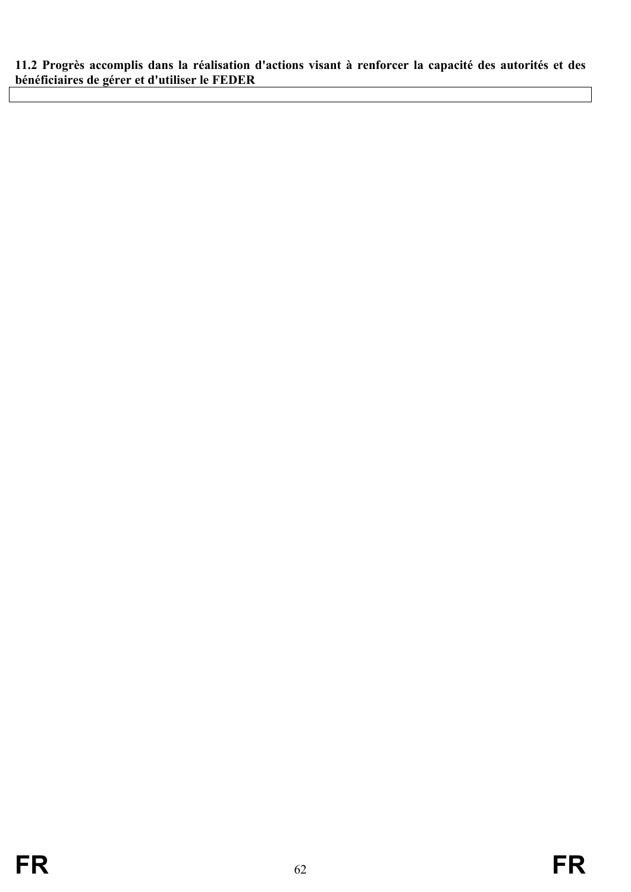<span id="page-61-0"></span>**11.2 Progrès accomplis dans la réalisation d'actions visant à renforcer la capacité des autorités et des bénéficiaires de gérer et d'utiliser le FEDER**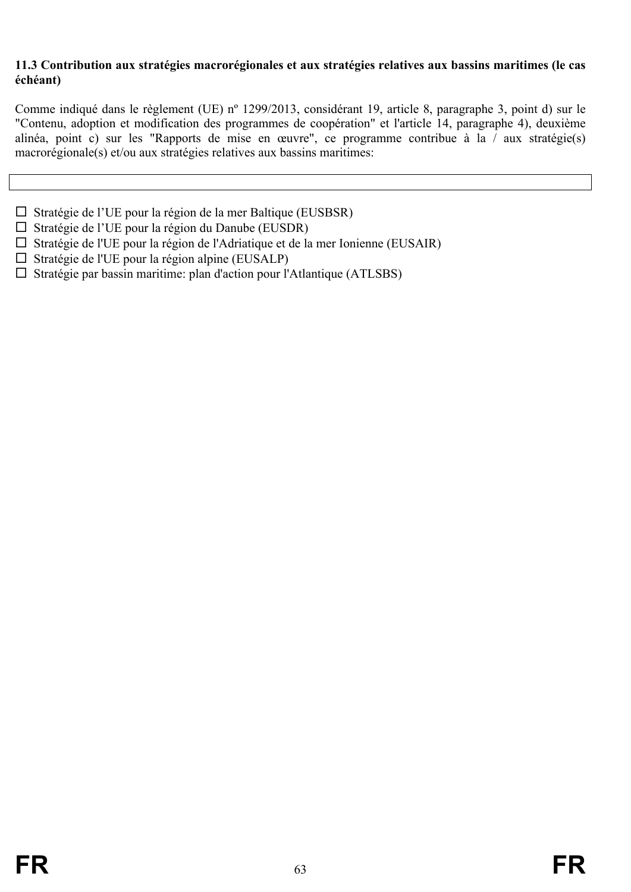#### <span id="page-62-0"></span>**11.3 Contribution aux stratégies macrorégionales et aux stratégies relatives aux bassins maritimes (le cas échéant)**

Comme indiqué dans le règlement (UE) nº 1299/2013, considérant 19, article 8, paragraphe 3, point d) sur le "Contenu, adoption et modification des programmes de coopération" et l'article 14, paragraphe 4), deuxième alinéa, point c) sur les "Rapports de mise en œuvre", ce programme contribue à la / aux stratégie(s) macrorégionale(s) et/ou aux stratégies relatives aux bassins maritimes:

- $\square$  Stratégie de l'UE pour la région de la mer Baltique (EUSBSR)
- $\Box$  Stratégie de l'UE pour la région du Danube (EUSDR)
- $\square$  Stratégie de l'UE pour la région de l'Adriatique et de la mer Ionienne (EUSAIR)
- $\square$  Stratégie de l'UE pour la région alpine (EUSALP)
- $\square$  Stratégie par bassin maritime: plan d'action pour l'Atlantique (ATLSBS)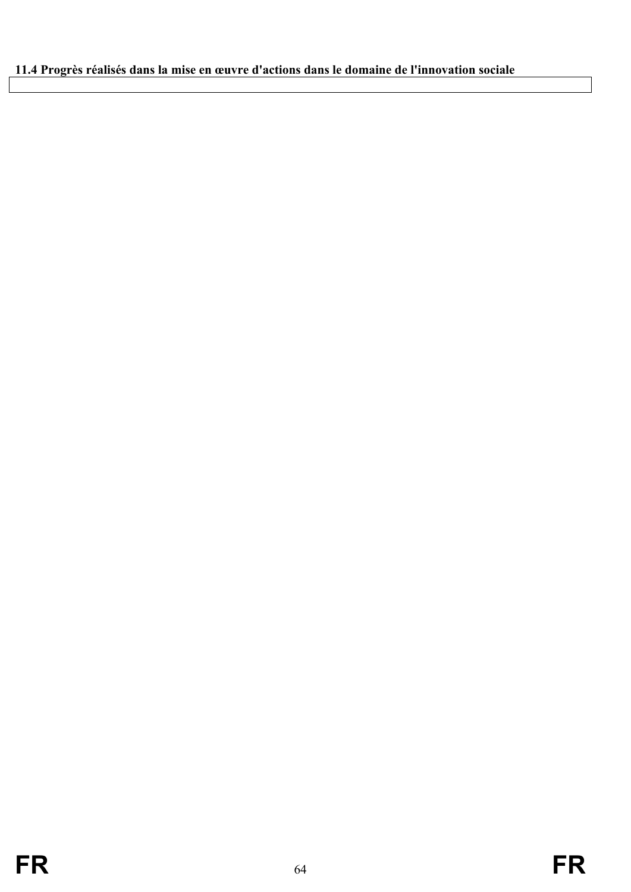# <span id="page-63-0"></span>**11.4 Progrès réalisés dans la mise en œuvre d'actions dans le domaine de l'innovation sociale**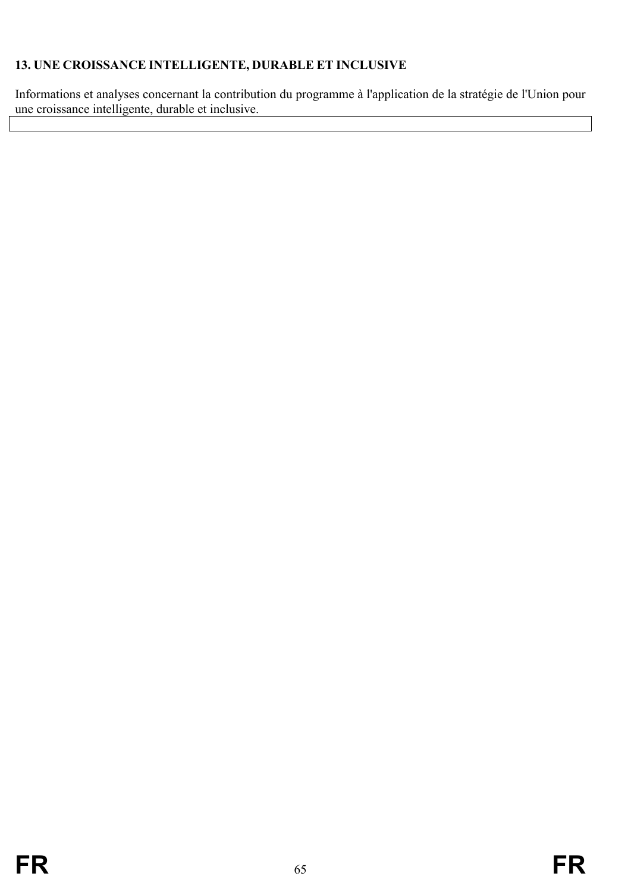# <span id="page-64-0"></span>**13. UNE CROISSANCE INTELLIGENTE, DURABLE ET INCLUSIVE**

Informations et analyses concernant la contribution du programme à l'application de la stratégie de l'Union pour une croissance intelligente, durable et inclusive.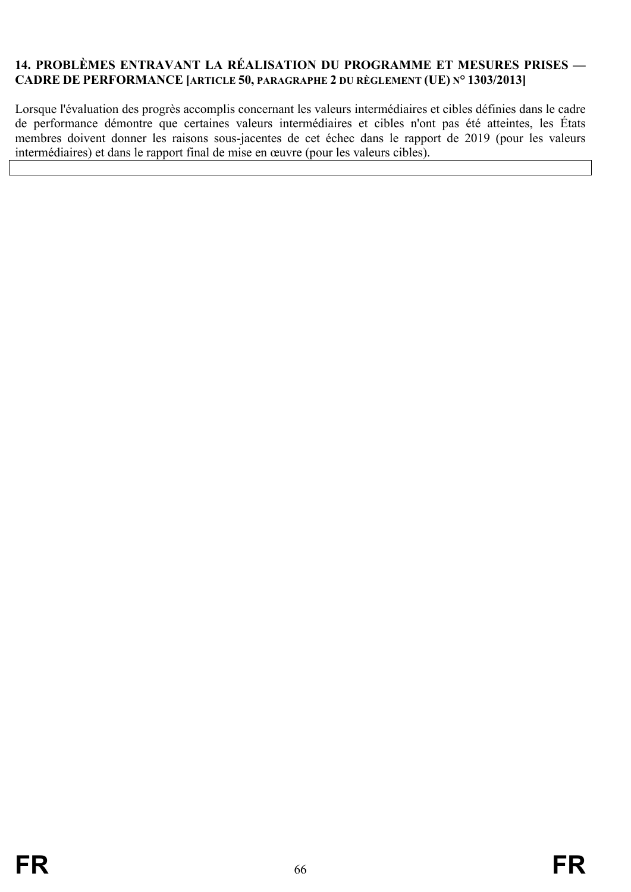## <span id="page-65-0"></span>**14. PROBLÈMES ENTRAVANT LA RÉALISATION DU PROGRAMME ET MESURES PRISES — CADRE DE PERFORMANCE [ARTICLE 50, PARAGRAPHE 2 DU RÈGLEMENT (UE) N° 1303/2013]**

Lorsque l'évaluation des progrès accomplis concernant les valeurs intermédiaires et cibles définies dans le cadre de performance démontre que certaines valeurs intermédiaires et cibles n'ont pas été atteintes, les États membres doivent donner les raisons sous-jacentes de cet échec dans le rapport de 2019 (pour les valeurs intermédiaires) et dans le rapport final de mise en œuvre (pour les valeurs cibles).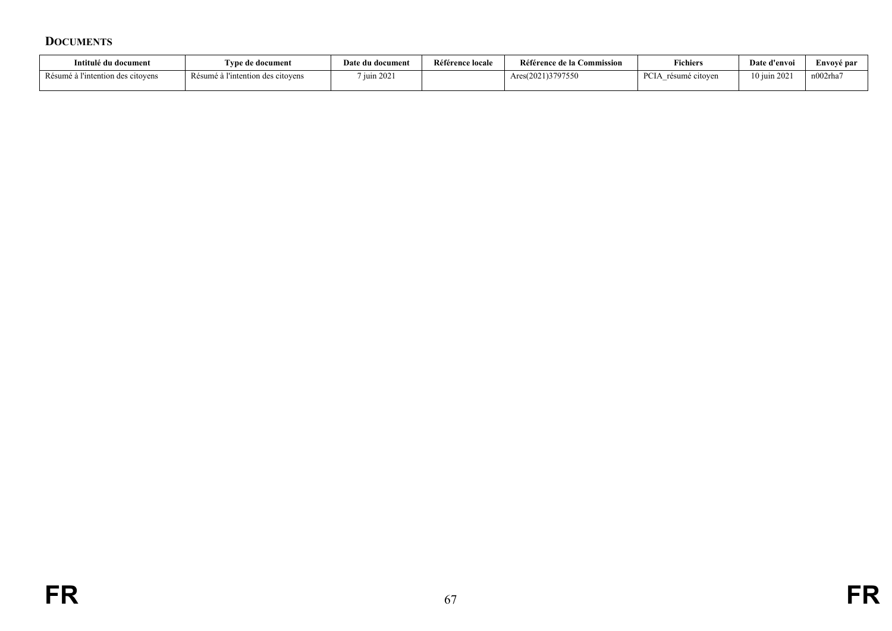#### **DOCUMENTS**

<span id="page-66-0"></span>

| Intitulé du document              | I vpe de document-                | Date du document | Référence locale | Référence de la Commission | <b>Fichiers</b>                                        | Date d'envoi    | Envové par |
|-----------------------------------|-----------------------------------|------------------|------------------|----------------------------|--------------------------------------------------------|-----------------|------------|
| Résumé à l'intention des citovens | Résumé à l'intention des citoyens | 7 juin 2021      |                  | Ares(2021)3797550          | $\Gamma$<br>résumé citoven<br>$\overline{\phantom{a}}$ | $10$ juin $202$ | n002rha7   |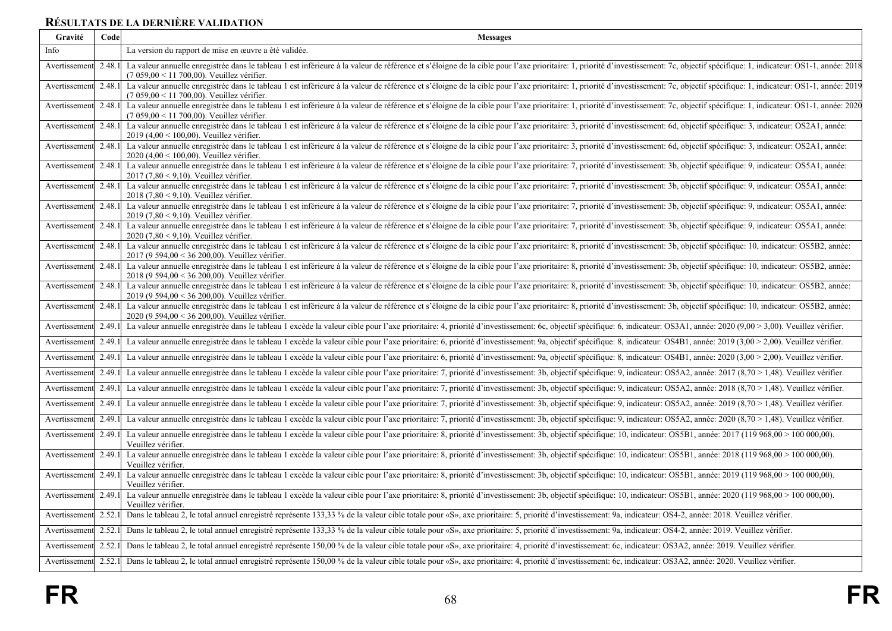# **RÉSULTATS DE LA DERNIÈRE VALIDATION**

<span id="page-67-0"></span>

| Gravité       | Code   | <b>Messages</b>                                                                                                                                                                                                                                                                   |
|---------------|--------|-----------------------------------------------------------------------------------------------------------------------------------------------------------------------------------------------------------------------------------------------------------------------------------|
| Info          |        | La version du rapport de mise en œuvre a été validée.                                                                                                                                                                                                                             |
| Avertissement | 2.48.1 | La valeur annuelle enregistrée dans le tableau 1 est inférieure à la valeur de référence et s'éloigne de la cible pour l'axe prioritaire: 1, priorité d'investissement: 7c, objectif spécifique: 1, indicateur: OS1-1, année:<br>$(7059.00 \le 11700.00)$ . Veuillez vérifier.    |
| Avertissement | 2.48.  | La valeur annuelle enregistrée dans le tableau 1 est inférieure à la valeur de référence et s'éloigne de la cible pour l'axe prioritaire: 1, priorité d'investissement: 7c, objectif spécifique: 1, indicateur: OS1-1, année:<br>(7 059,00 < 11 700,00). Veuillez vérifier.       |
| Avertissement | 2.48.  | La valeur annuelle enregistrée dans le tableau 1 est inférieure à la valeur de référence et s'éloigne de la cible pour l'axe prioritaire: 1, priorité d'investissement: 7c, objectif spécifique: 1, indicateur: OS1-1, année:<br>$(7059,00 < 11700,00)$ . Veuillez vérifier.      |
| Avertissement | 2.48.1 | La valeur annuelle enregistrée dans le tableau 1 est inférieure à la valeur de référence et s'éloigne de la cible pour l'axe prioritaire: 3, priorité d'investissement: 6d, objectif spécifique: 3, indicateur: OS2A1, année:<br>2019 (4,00 < 100,00). Veuillez vérifier.         |
| Avertissement | 2.48.1 | La valeur annuelle enregistrée dans le tableau 1 est inférieure à la valeur de référence et s'éloigne de la cible pour l'axe prioritaire: 3, priorité d'investissement: 6d, objectif spécifique: 3, indicateur: OS2A1, année:<br>2020 (4,00 < 100,00). Veuillez vérifier.         |
| Avertissement | 2.48.  | La valeur annuelle enregistrée dans le tableau 1 est inférieure à la valeur de référence et s'éloigne de la cible pour l'axe prioritaire: 7, priorité d'investissement: 3b, objectif spécifique: 9, indicateur: OS5A1, année:<br>2017 (7,80 < 9,10). Veuillez vérifier.           |
| Avertissement | 2.48.1 | La valeur annuelle enregistrée dans le tableau 1 est inférieure à la valeur de référence et s'éloigne de la cible pour l'axe prioritaire: 7, priorité d'investissement: 3b, objectif spécifique: 9, indicateur: OS5A1, année:<br>2018 (7,80 < 9,10). Veuillez vérifier.           |
| Avertissement | 2.48.1 | La valeur annuelle enregistrée dans le tableau 1 est inférieure à la valeur de référence et s'éloigne de la cible pour l'axe prioritaire: 7, priorité d'investissement: 3b, objectif spécifique: 9, indicateur: OS5A1, année:<br>2019 (7,80 < 9,10). Veuillez vérifier.           |
| Avertissement | 2.48.1 | La valeur annuelle enregistrée dans le tableau 1 est inférieure à la valeur de référence et s'éloigne de la cible pour l'axe prioritaire: 7, priorité d'investissement: 3b, objectif spécifique: 9, indicateur: OS5A1, année:<br>2020 (7,80 < 9,10). Veuillez vérifier.           |
| Avertissement | 2.48.1 | La valeur annuelle enregistrée dans le tableau 1 est inférieure à la valeur de référence et s'éloigne de la cible pour l'axe prioritaire: 8, priorité d'investissement: 3b, objectif spécifique: 10, indicateur: OS5B2, année:<br>2017 (9 594,00 < 36 200,00). Veuillez vérifier. |
| Avertissement | 2.48.1 | La valeur annuelle enregistrée dans le tableau 1 est inférieure à la valeur de référence et s'éloigne de la cible pour l'axe prioritaire: 8, priorité d'investissement: 3b, objectif spécifique: 10, indicateur: OS5B2, année:<br>2018 (9 594,00 < 36 200,00). Veuillez vérifier. |
| Avertissement | 2.48.1 | La valeur annuelle enregistrée dans le tableau 1 est inférieure à la valeur de référence et s'éloigne de la cible pour l'axe prioritaire: 8, priorité d'investissement: 3b, objectif spécifique: 10, indicateur: OS5B2, année:<br>2019 (9 594,00 < 36 200,00). Veuillez vérifier. |
| Avertissement | 2.48.1 | La valeur annuelle enregistrée dans le tableau 1 est inférieure à la valeur de référence et s'éloigne de la cible pour l'axe prioritaire: 8, priorité d'investissement: 3b, objectif spécifique: 10, indicateur: OS5B2, année:<br>2020 (9 594,00 < 36 200,00). Veuillez vérifier. |
| Avertissement | 2.49.  | La valeur annuelle enregistrée dans le tableau 1 excède la valeur cible pour l'axe prioritaire: 4, priorité d'investissement: 6c, objectif spécifique: 6, indicateur: OS3A1, année: 2020 (9,00 > 3,00). Veuillez vérifier.                                                        |
| Avertissement | 2.49.  | La valeur annuelle enregistrée dans le tableau 1 excède la valeur cible pour l'axe prioritaire: 6, priorité d'investissement: 9a, objectif spécifique: 8, indicateur: OS4B1, année: 2019 (3,00 > 2,00). Veuillez vérifier.                                                        |
| Avertissement | 2.49.  | La valeur annuelle enregistrée dans le tableau 1 excède la valeur cible pour l'axe prioritaire: 6, priorité d'investissement: 9a, objectif spécifique: 8, indicateur: OS4B1, année: 2020 (3,00 > 2,00). Veuillez vérifier.                                                        |
| Avertissement | 2.49.1 | La valeur annuelle enregistrée dans le tableau 1 excède la valeur cible pour l'axe prioritaire: 7, priorité d'investissement: 3b, objectif spécifique: 9, indicateur: OS5A2, année: 2017 (8,70 > 1,48). Veuillez vérifier.                                                        |
| Avertissement | 2.49.  | La valeur annuelle enregistrée dans le tableau 1 excède la valeur cible pour l'axe prioritaire: 7, priorité d'investissement: 3b, objectif spécifique: 9, indicateur: OS5A2, année: 2018 (8,70 > 1,48). Veuillez vérifier.                                                        |
| Avertissement | 2.49.  | La valeur annuelle enregistrée dans le tableau 1 excède la valeur cible pour l'axe prioritaire: 7, priorité d'investissement: 3b, objectif spécifique: 9, indicateur: OS5A2, année: 2019 (8,70 > 1,48). Veuillez vérifier.                                                        |
| Avertissement | 2.49.  | La valeur annuelle enregistrée dans le tableau 1 excède la valeur cible pour l'axe prioritaire: 7, priorité d'investissement: 3b, objectif spécifique: 9, indicateur: OS5A2, année: 2020 (8,70 > 1,48). Veuillez vérifier.                                                        |
| Avertissement | 2.49.1 | La valeur annuelle enregistrée dans le tableau 1 excède la valeur cible pour l'axe prioritaire: 8, priorité d'investissement: 3b, objectif spécifique: 10, indicateur: OS5B1, année: 2017 (119 968,00 > 100 000,00).<br>Veuillez vérifier.                                        |
| Avertissement | 2.49.  | La valeur annuelle enregistrée dans le tableau 1 excède la valeur cible pour l'axe prioritaire: 8, priorité d'investissement: 3b, objectif spécifique: 10, indicateur: OS5B1, année: 2018 (119 968,00 > 100 000,00).<br>Veuillez vérifier.                                        |
| Avertissement | 2.49.1 | La valeur annuelle enregistrée dans le tableau 1 excède la valeur cible pour l'axe prioritaire: 8, priorité d'investissement: 3b, objectif spécifique: 10, indicateur: OS5B1, année: 2019 (119 968,00 > 100 000,00).<br>Veuillez vérifier.                                        |
| Avertissement | 2.49.1 | La valeur annuelle enregistrée dans le tableau 1 excède la valeur cible pour l'axe prioritaire: 8, priorité d'investissement: 3b, objectif spécifique: 10, indicateur: OS5B1, année: 2020 (119 968,00 > 100 000,00).<br>Veuillez vérifier.                                        |
| Avertissement | 2.52.1 | Dans le tableau 2, le total annuel enregistré représente 133,33 % de la valeur cible totale pour «S», axe prioritaire: 5, priorité d'investissement: 9a, indicateur: OS4-2, année: 2018. Veuillez vérifier.                                                                       |
| Avertissement | 2.52.  | Dans le tableau 2, le total annuel enregistré représente 133,33 % de la valeur cible totale pour «S», axe prioritaire: 5, priorité d'investissement: 9a, indicateur: OS4-2, année: 2019. Veuillez vérifier.                                                                       |
| Avertissement | 2.52.1 | Dans le tableau 2, le total annuel enregistré représente 150,00 % de la valeur cible totale pour «S», axe prioritaire: 4, priorité d'investissement: 6c, indicateur: OS3A2, année: 2019. Veuillez vérifier.                                                                       |
| Avertissement | 2.52.1 | Dans le tableau 2, le total annuel enregistré représente 150,00 % de la valeur cible totale pour «S», axe prioritaire: 4, priorité d'investissement: 6c, indicateur: OS3A2, année: 2020. Veuillez vérifier.                                                                       |